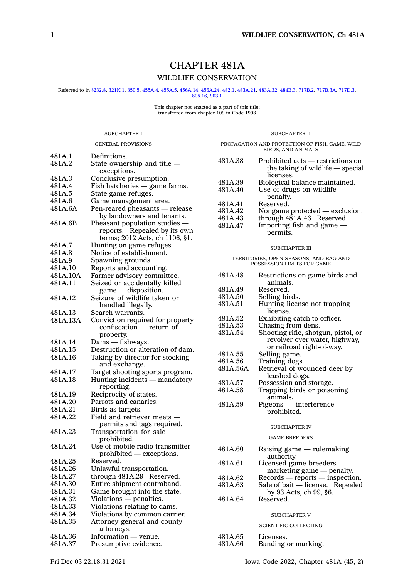# CHAPTER 481A WILDLIFE CONSERVATION

Referred to in [§232.8,](https://www.legis.iowa.gov/docs/code/232.8.pdf) [321K.1](https://www.legis.iowa.gov/docs/code/321K.1.pdf), [350.5](https://www.legis.iowa.gov/docs/code/350.5.pdf), [455A.4,](https://www.legis.iowa.gov/docs/code/455A.4.pdf) [455A.5](https://www.legis.iowa.gov/docs/code/455A.5.pdf), [456A.14](https://www.legis.iowa.gov/docs/code/456A.14.pdf), [456A.24](https://www.legis.iowa.gov/docs/code/456A.24.pdf), [482.1](https://www.legis.iowa.gov/docs/code/482.1.pdf), [483A.21](https://www.legis.iowa.gov/docs/code/483A.21.pdf), [483A.32](https://www.legis.iowa.gov/docs/code/483A.32.pdf), [484B.3](https://www.legis.iowa.gov/docs/code/484B.3.pdf), [717B.2](https://www.legis.iowa.gov/docs/code/717B.2.pdf), [717B.3A](https://www.legis.iowa.gov/docs/code/717B.3A.pdf), [717D.3](https://www.legis.iowa.gov/docs/code/717D.3.pdf), [805.16](https://www.legis.iowa.gov/docs/code/805.16.pdf), [903.1](https://www.legis.iowa.gov/docs/code/903.1.pdf)

# This chapter not enacted as <sup>a</sup> part of this title; transferred from chapter 109 in Code 1993

### SUBCHAPTER I

# SUBCHAPTER II PROPAGATION AND PROTECTION OF FISH, GAME, WILD

|          | <b>GENERAL PROVISIONS</b>                                 |
|----------|-----------------------------------------------------------|
| 481A.1   | Definitions.                                              |
| 481A.2   | State ownership and title —                               |
| 481A.3   | exceptions.<br>Conclusive presumption.                    |
| 481A.4   | Fish hatcheries - game farms.                             |
| 481A.5   | State game refuges.                                       |
| 481A.6   | Game management area.                                     |
| 481A.6A  | Pen-reared pheasants - release                            |
|          | by landowners and tenants.                                |
| 481A.6B  | Pheasant population studies –                             |
|          | reports. Repealed by its own                              |
|          | terms; 2012 Acts, ch 1106, §1.                            |
| 481A.7   | Hunting on game refuges.                                  |
| 481A.8   | Notice of establishment.                                  |
| 481A.9   | Spawning grounds.                                         |
| 481A.10  | Reports and accounting.                                   |
| 481A.10A | Farmer advisory committee.                                |
| 481A.11  | Seized or accidentally killed                             |
|          | game - disposition.                                       |
| 481A.12  | Seizure of wildlife taken or                              |
|          | handled illegally.                                        |
| 481A.13  | Search warrants.                                          |
| 481A.13A | Conviction required for property                          |
|          | confiscation — return of                                  |
|          | property.                                                 |
| 481A.14  | Dams — fishways.                                          |
| 481A.15  | Destruction or alteration of dam.                         |
| 481A.16  | Taking by director for stocking<br>and exchange.          |
| 481A.17  | Target shooting sports program.                           |
| 481A.18  | Hunting incidents - mandatory                             |
|          | reporting.                                                |
| 481A.19  | Reciprocity of states.                                    |
| 481A.20  | Parrots and canaries.                                     |
| 481A.21  | Birds as targets.                                         |
| 481A.22  | Field and retriever meets -<br>permits and tags required. |
| 481A.23  | Transportation for sale                                   |
|          | prohibited.                                               |
| 481A.24  | Use of mobile radio transmitter                           |
|          | prohibited - exceptions.                                  |
| 481A.25  | Reserved.                                                 |
| 481A.26  | Unlawful transportation.                                  |
| 481A.27  | through 481A.29 Reserved.                                 |
| 481A.30  | Entire shipment contraband.                               |
| 481A.31  | Game brought into the state.                              |
| 481A.32  | Violations - penalties.                                   |
| 481A.33  | Violations relating to dams.                              |
| 481A.34  | Violations by common carrier.                             |
| 481A.35  | Attorney general and county                               |
|          | attorneys.                                                |
| 481A.36  | Information — venue.                                      |
| 481A.37  | Presumptive evidence.                                     |

|         | BIRDS. AND ANIMALS                                                                 |
|---------|------------------------------------------------------------------------------------|
| 481A.38 | Prohibited acts – restrictions on<br>the taking of wildlife — special<br>licenses. |
| 481A.39 | Biological balance maintained.                                                     |
| 481A.40 | Use of drugs on wildlife -                                                         |
|         | penalty.                                                                           |
| 481A.41 | Reserved.                                                                          |
| 481A.42 | Nongame protected — exclusion.                                                     |
| 481A.43 | through 481A.46 Reserved.                                                          |
| 481A.47 | Importing fish and game $-$                                                        |
|         | permits.                                                                           |

#### SUBCHAPTER III

TERRITORIES, OPEN SEASONS, AND BAG AND POSSESSION LIMITS FOR GAME

| 481A.48  | Restrictions on game birds and<br>animals.                                                        |
|----------|---------------------------------------------------------------------------------------------------|
| 481A.49  | Reserved.                                                                                         |
| 481A.50  | Selling birds.                                                                                    |
| 481A.51  | Hunting license not trapping<br>license.                                                          |
| 481A.52  | Exhibiting catch to officer.                                                                      |
| 481A.53  | Chasing from dens.                                                                                |
| 481A.54  | Shooting rifle, shotgun, pistol, or<br>revolver over water, highway,<br>or railroad right-of-way. |
| 481A.55  | Selling game.                                                                                     |
| 481A.56  | Training dogs.                                                                                    |
| 481A.56A | Retrieval of wounded deer by<br>leashed dogs.                                                     |
| 481A.57  | Possession and storage.                                                                           |
| 481A.58  | Trapping birds or poisoning<br>animals.                                                           |
| 481A.59  | Pigeons — interference<br>prohibited.                                                             |
|          | <b>SUBCHAPTER IV</b>                                                                              |
|          | <b>GAME BREEDERS</b>                                                                              |
| 481A.60  | Raising game — rulemaking<br>authority.                                                           |
| 481A.61  | Licensed game breeders -                                                                          |
| 481A.62  | marketing game — penalty.<br>Records — reports — inspection.                                      |
| 481A.63  | Sale of bait $-$ license. Repealed<br>by 93 Acts, ch 99, §6.                                      |
| 481A.64  | Reserved.                                                                                         |
|          | <b>SUBCHAPTER V</b>                                                                               |
|          | <b>SCIENTIFIC COLLECTING</b>                                                                      |
| 481A.65  | Licenses.                                                                                         |
| 481A.66  | Banding or marking.                                                                               |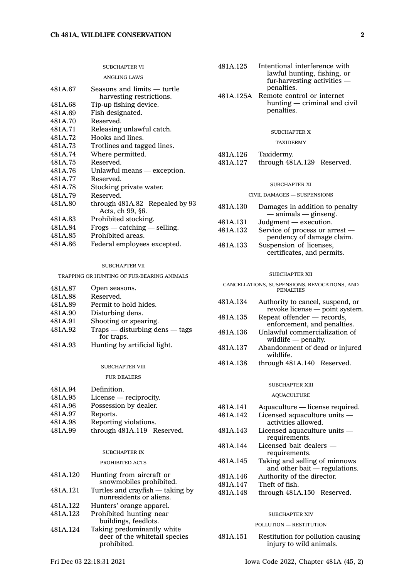|                    | <b>SUBCHAPTER VI</b>                                                           | 481A.125 | Intentional interference with<br>lawful hunting, fishing, or                      |
|--------------------|--------------------------------------------------------------------------------|----------|-----------------------------------------------------------------------------------|
| 481A.67            | <b>ANGLING LAWS</b><br>Seasons and limits — turtle<br>harvesting restrictions. |          | fur-harvesting activities —<br>penalties.<br>481A.125A Remote control or internet |
| 481A.68<br>481A.69 | Tip-up fishing device.<br>Fish designated.                                     |          | hunting — criminal and ci<br>penalties.                                           |
| 481A.70            | Reserved.                                                                      |          |                                                                                   |
| 481A.71<br>481A.72 | Releasing unlawful catch.<br>Hooks and lines.                                  |          | <b>SUBCHAPTER X</b>                                                               |
| 481A.73            | Trotlines and tagged lines.                                                    |          | <b>TAXIDERMY</b>                                                                  |
| 481A.74            | Where permitted.                                                               | 481A.126 | Taxidermy.                                                                        |
| 481A.75            | Reserved.                                                                      | 481A.127 | through 481A.129 Reserved.                                                        |
| 481A.76<br>481A.77 | Unlawful means - exception.<br>Reserved.                                       |          |                                                                                   |
| 481A.78            | Stocking private water.                                                        |          | <b>SUBCHAPTER XI</b>                                                              |
| 481A.79            | Reserved.                                                                      |          | CIVIL DAMAGES - SUSPENSIONS                                                       |
| 481A.80            | through 481A.82 Repealed by 93<br>Acts, ch 99, §6.                             | 481A.130 | Damages in addition to penal<br>$-$ animals $-$ ginseng.                          |
| 481A.83            | Prohibited stocking.                                                           | 481A.131 | Judgment — execution.                                                             |
| 481A.84<br>481A.85 | Frogs — catching — selling.<br>Prohibited areas.                               | 481A.132 | Service of process or arrest -<br>pendency of damage claim                        |
| 481A.86            | Federal employees excepted.                                                    | 481A.133 | Suspension of licenses,                                                           |

#### SUBCHAPTER VII

TRAPPING OR HUNTING OF FUR-BEARING ANIMALS

| 481A.87 | Open seasons.                    |
|---------|----------------------------------|
| 481A.88 | Reserved.                        |
| 481A.89 | Permit to hold hides.            |
| 481A.90 | Disturbing dens.                 |
| 481A.91 | Shooting or spearing.            |
| 481A.92 | $Trans$ - disturbing dens - tags |
|         | for traps.                       |
| 481A.93 | Hunting by artificial light.     |

#### SUBCHAPTER VIII

FUR DEALERS

| 481A.94 | Definition.                |  |
|---------|----------------------------|--|
| 481A.95 | License — reciprocity.     |  |
| 481A.96 | Possession by dealer.      |  |
| 481A.97 | Reports.                   |  |
| 481A.98 | Reporting violations.      |  |
| 481A.99 | through 481A.119 Reserved. |  |

#### SUBCHAPTER IX

#### PROHIBITED ACTS

| 481A.120 | Hunting from aircraft or         |
|----------|----------------------------------|
|          | snowmobiles prohibited.          |
| 481A.121 | Turtles and crayfish - taking by |
|          | nonresidents or aliens.          |
| 481A.122 | Hunters' orange apparel.         |
| 481A.123 | Prohibited hunting near          |
|          | buildings, feedlots.             |

481A.124 Taking predominantly white deer of the whitetail species prohibited.

|                      | penalties.<br>481A.125A Remote control or internet<br>hunting — criminal and civil<br>penalties. |
|----------------------|--------------------------------------------------------------------------------------------------|
|                      | SUBCHAPTER X<br><b>TAXIDERMY</b>                                                                 |
| 481A.126<br>481A.127 | Taxidermy.<br>through 481A.129 Reserved.                                                         |

### $R_{XI}$

#### USPENSIONS

| 481A.130 | Damages in addition to penalty |
|----------|--------------------------------|
|          | $-$ animals $-$ ginseng.       |
| 481A.131 | Judgment — execution.          |
| 481A.132 | Service of process or arrest - |
|          | pendency of damage claim.      |
| 481A.133 | Suspension of licenses,        |
|          | certificates, and permits.     |
|          |                                |

### SUBCHAPTER XII

CANCELLATIONS, SUSPENSIONS, REVOCATIONS, AND PENALTIES

| 481A.134 | Authority to cancel, suspend, or<br>revoke license - point system. |
|----------|--------------------------------------------------------------------|
| 481A.135 | Repeat offender — records,<br>enforcement, and penalties.          |
| 481A.136 | Unlawful commercialization of<br>wildlife $-$ penalty.             |
| 481A.137 | Abandonment of dead or injured<br>wildlife.                        |
| 481A.138 | through 481A.140 Reserved.                                         |

#### SUBCHAPTER XIII

#### AQUACULTURE

| 481A.141 | Aquaculture — license required.                                  |
|----------|------------------------------------------------------------------|
| 481A.142 | Licensed aquaculture units -<br>activities allowed.              |
| 481A.143 | Licensed aquaculture units $-$<br>requirements.                  |
| 481A.144 | Licensed bait dealers -<br>requirements.                         |
| 481A.145 | Taking and selling of minnows<br>and other bait $-$ regulations. |
| 481A.146 | Authority of the director.                                       |
| 481A.147 | Theft of fish.                                                   |
| 481A.148 | through 481A.150 Reserved.                                       |
|          |                                                                  |

### SUBCHAPTER XIV

# POLLUTION — RESTITUTION

481A.151 Restitution for pollution causing injury to wild animals.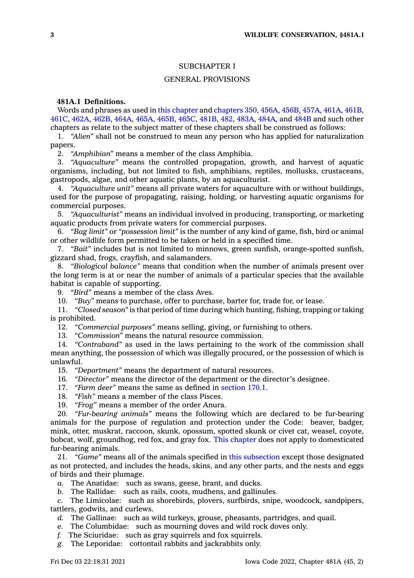# SUBCHAPTER I

### GENERAL PROVISIONS

# **481A.1 Definitions.**

Words and phrases as used in this [chapter](https://www.legis.iowa.gov/docs/code//481A.pdf) and [chapters](https://www.legis.iowa.gov/docs/code//350.pdf) 350, [456A](https://www.legis.iowa.gov/docs/code//456A.pdf), [456B](https://www.legis.iowa.gov/docs/code//456B.pdf), [457A](https://www.legis.iowa.gov/docs/code//457A.pdf), [461A](https://www.legis.iowa.gov/docs/code//461A.pdf), [461B](https://www.legis.iowa.gov/docs/code//461B.pdf), [461C](https://www.legis.iowa.gov/docs/code//461C.pdf), [462A](https://www.legis.iowa.gov/docs/code//462A.pdf), [462B](https://www.legis.iowa.gov/docs/code//462B.pdf), [464A](https://www.legis.iowa.gov/docs/code//464A.pdf), [465A](https://www.legis.iowa.gov/docs/code//465A.pdf), [465B](https://www.legis.iowa.gov/docs/code//465B.pdf), [465C](https://www.legis.iowa.gov/docs/code//465C.pdf), [481B](https://www.legis.iowa.gov/docs/code//481B.pdf), [482](https://www.legis.iowa.gov/docs/code//482.pdf), [483A](https://www.legis.iowa.gov/docs/code//483A.pdf), [484A](https://www.legis.iowa.gov/docs/code//484A.pdf), and [484B](https://www.legis.iowa.gov/docs/code//484B.pdf) and such other chapters as relate to the subject matter of these chapters shall be construed as follows:

1. *"Alien"* shall not be construed to mean any person who has applied for naturalization papers.

2. *"Amphibian"* means <sup>a</sup> member of the class Amphibia.

3. *"Aquaculture"* means the controlled propagation, growth, and harvest of aquatic organisms, including, but not limited to fish, amphibians, reptiles, mollusks, crustaceans, gastropods, algae, and other aquatic plants, by an aquaculturist.

4. *"Aquaculture unit"* means all private waters for aquaculture with or without buildings, used for the purpose of propagating, raising, holding, or harvesting aquatic organisms for commercial purposes.

5. *"Aquaculturist"* means an individual involved in producing, transporting, or marketing aquatic products from private waters for commercial purposes.

6. *"Bag limit"* or *"possession limit"* is the number of any kind of game, fish, bird or animal or other wildlife form permitted to be taken or held in <sup>a</sup> specified time.

7. *"Bait"* includes but is not limited to minnows, green sunfish, orange-spotted sunfish, gizzard shad, frogs, crayfish, and salamanders.

8. *"Biological balance"* means that condition when the number of animals present over the long term is at or near the number of animals of <sup>a</sup> particular species that the available habitat is capable of supporting.

9. *"Bird"* means <sup>a</sup> member of the class Aves.

10. *"Buy"* means to purchase, offer to purchase, barter for, trade for, or lease.

11. *"Closed season"* is that period of time during which hunting, fishing, trapping or taking is prohibited.

12. *"Commercial purposes"* means selling, giving, or furnishing to others.

13. *"Commission"* means the natural resource commission.

14. *"Contraband"* as used in the laws pertaining to the work of the commission shall mean anything, the possession of which was illegally procured, or the possession of which is unlawful.

15. *"Department"* means the department of natural resources.

16. *"Director"* means the director of the department or the director's designee.

17. *"Farm deer"* means the same as defined in [section](https://www.legis.iowa.gov/docs/code/170.1.pdf) 170.1.

18. *"Fish"* means <sup>a</sup> member of the class Pisces.

19. *"Frog"* means <sup>a</sup> member of the order Anura.

20. *"Fur-bearing animals"* means the following which are declared to be fur-bearing animals for the purpose of regulation and protection under the Code: beaver, badger, mink, otter, muskrat, raccoon, skunk, opossum, spotted skunk or civet cat, weasel, coyote, bobcat, wolf, groundhog, red fox, and gray fox. This [chapter](https://www.legis.iowa.gov/docs/code//481A.pdf) does not apply to domesticated fur-bearing animals.

21. *"Game"* means all of the animals specified in this [subsection](https://www.legis.iowa.gov/docs/code/481A.1.pdf) except those designated as not protected, and includes the heads, skins, and any other parts, and the nests and eggs of birds and their plumage.

*a.* The Anatidae: such as swans, geese, brant, and ducks.

*b.* The Rallidae: such as rails, coots, mudhens, and gallinules.

*c.* The Limicolae: such as shorebirds, plovers, surfbirds, snipe, woodcock, sandpipers, tattlers, godwits, and curlews.

*d.* The Gallinae: such as wild turkeys, grouse, pheasants, partridges, and quail.

*e.* The Columbidae: such as mourning doves and wild rock doves only.

*f.* The Sciuridae: such as gray squirrels and fox squirrels.

*g.* The Leporidae: cottontail rabbits and jackrabbits only.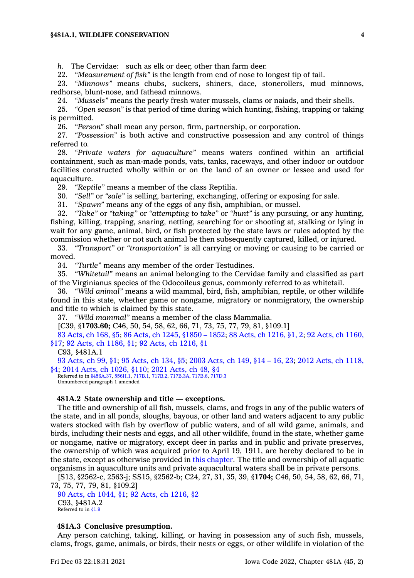### **§481A.1, WILDLIFE CONSERVATION 4**

*h.* The Cervidae: such as elk or deer, other than farm deer.

22. *"Measurement of fish"* is the length from end of nose to longest tip of tail.

23. *"Minnows"* means chubs, suckers, shiners, dace, stonerollers, mud minnows, redhorse, blunt-nose, and fathead minnows.

24. *"Mussels"* means the pearly fresh water mussels, clams or naiads, and their shells.

25. *"Open season"* is that period of time during which hunting, fishing, trapping or taking is permitted.

26. *"Person"* shall mean any person, firm, partnership, or corporation.

27. *"Possession"* is both active and constructive possession and any control of things referred to.

28. *"Private waters for aquaculture"* means waters confined within an artificial containment, such as man-made ponds, vats, tanks, raceways, and other indoor or outdoor facilities constructed wholly within or on the land of an owner or lessee and used for aquaculture.

29. *"Reptile"* means <sup>a</sup> member of the class Reptilia.

30. *"Sell"* or *"sale"* is selling, bartering, exchanging, offering or exposing for sale.

31. *"Spawn"* means any of the eggs of any fish, amphibian, or mussel.

32. *"Take"* or *"taking"* or *"attempting to take"* or *"hunt"* is any pursuing, or any hunting, fishing, killing, trapping, snaring, netting, searching for or shooting at, stalking or lying in wait for any game, animal, bird, or fish protected by the state laws or rules adopted by the commission whether or not such animal be then subsequently captured, killed, or injured.

33. *"Transport"* or *"transportation"* is all carrying or moving or causing to be carried or moved.

34. *"Turtle"* means any member of the order Testudines.

35. *"Whitetail"* means an animal belonging to the Cervidae family and classified as part of the Virginianus species of the Odocoileus genus, commonly referred to as whitetail.

36. *"Wild animal"* means <sup>a</sup> wild mammal, bird, fish, amphibian, reptile, or other wildlife found in this state, whether game or nongame, migratory or nonmigratory, the ownership and title to which is claimed by this state.

37. *"Wild mammal"* means <sup>a</sup> member of the class Mammalia.

[C39, §**1703.60;** C46, 50, 54, 58, 62, 66, 71, 73, 75, 77, 79, 81, §109.1]

83 [Acts,](https://www.legis.iowa.gov/docs/acts/1983/CH0168.pdf) ch 168, §5; 86 Acts, ch 1245, [§1850](https://www.legis.iowa.gov/docs/acts/86/CH1245.pdf) – 1852; 88 Acts, ch [1216,](https://www.legis.iowa.gov/docs/acts/88/CH1216.pdf) §1, 2; 92 Acts, ch [1160,](https://www.legis.iowa.gov/docs/acts/92/CH1160.pdf) [§17](https://www.legis.iowa.gov/docs/acts/92/CH1160.pdf); 92 Acts, ch [1186,](https://www.legis.iowa.gov/docs/acts/92/CH1186.pdf) §1; 92 Acts, ch [1216,](https://www.legis.iowa.gov/docs/acts/92/CH1216.pdf) §1

C93, §481A.1

93 [Acts,](https://www.legis.iowa.gov/docs/acts/1993/CH0099.pdf) ch 99, §1; 95 [Acts,](https://www.legis.iowa.gov/docs/acts/95/CH0134.pdf) ch 134, §5; 2003 [Acts,](https://www.legis.iowa.gov/docs/acts/2003/CH0149.pdf) ch 149, §14 – 16, 23; 2012 Acts, ch [1118,](https://www.legis.iowa.gov/docs/acts/2012/CH1118.pdf) [§4](https://www.legis.iowa.gov/docs/acts/2012/CH1118.pdf); 2014 Acts, ch [1026,](https://www.legis.iowa.gov/docs/acts/2014/CH1026.pdf) §110; 2021 [Acts,](https://www.legis.iowa.gov/docs/acts/2021/CH0048.pdf) ch 48, §4 Referred to in [§456A.37](https://www.legis.iowa.gov/docs/code/456A.37.pdf), [556H.1](https://www.legis.iowa.gov/docs/code/556H.1.pdf), [717B.1](https://www.legis.iowa.gov/docs/code/717B.1.pdf), [717B.2](https://www.legis.iowa.gov/docs/code/717B.2.pdf), [717B.3A](https://www.legis.iowa.gov/docs/code/717B.3A.pdf), [717B.6](https://www.legis.iowa.gov/docs/code/717B.6.pdf), [717D.3](https://www.legis.iowa.gov/docs/code/717D.3.pdf)

Unnumbered paragraph 1 amended

### **481A.2 State ownership and title — exceptions.**

The title and ownership of all fish, mussels, clams, and frogs in any of the public waters of the state, and in all ponds, sloughs, bayous, or other land and waters adjacent to any public waters stocked with fish by overflow of public waters, and of all wild game, animals, and birds, including their nests and eggs, and all other wildlife, found in the state, whether game or nongame, native or migratory, except deer in parks and in public and private preserves, the ownership of which was acquired prior to April 19, 1911, are hereby declared to be in the state, except as otherwise provided in this [chapter](https://www.legis.iowa.gov/docs/code//481A.pdf). The title and ownership of all aquatic organisms in aquaculture units and private aquacultural waters shall be in private persons.

[S13, §2562-c, 2563-j; SS15, §2562-b; C24, 27, 31, 35, 39, §**1704;** C46, 50, 54, 58, 62, 66, 71, 73, 75, 77, 79, 81, §109.2]

90 Acts, ch [1044,](https://www.legis.iowa.gov/docs/acts/1990/CH1044.pdf) §1; 92 Acts, ch [1216,](https://www.legis.iowa.gov/docs/acts/1992/CH1216.pdf) §2 C93, §481A.2 Referred to in [§1.9](https://www.legis.iowa.gov/docs/code/1.9.pdf)

# **481A.3 Conclusive presumption.**

Any person catching, taking, killing, or having in possession any of such fish, mussels, clams, frogs, game, animals, or birds, their nests or eggs, or other wildlife in violation of the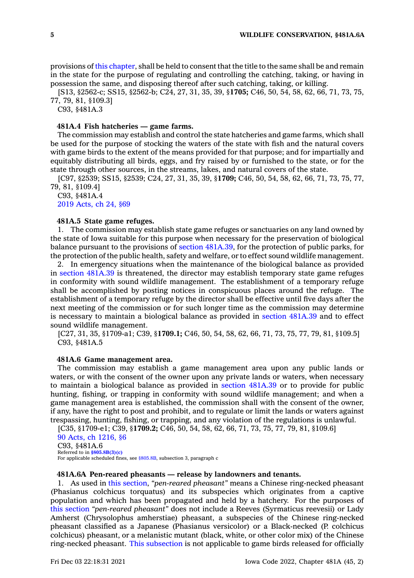provisions of this [chapter](https://www.legis.iowa.gov/docs/code//481A.pdf), shall be held to consent that the title to the same shall be and remain in the state for the purpose of regulating and controlling the catching, taking, or having in possession the same, and disposing thereof after such catching, taking, or killing.

[S13, §2562-c; SS15, §2562-b; C24, 27, 31, 35, 39, §**1705;** C46, 50, 54, 58, 62, 66, 71, 73, 75, 77, 79, 81, §109.3]

C93, §481A.3

# **481A.4 Fish hatcheries — game farms.**

The commission may establish and control the state hatcheries and game farms, which shall be used for the purpose of stocking the waters of the state with fish and the natural covers with game birds to the extent of the means provided for that purpose; and for impartially and equitably distributing all birds, eggs, and fry raised by or furnished to the state, or for the state through other sources, in the streams, lakes, and natural covers of the state.

[C97, §2539; SS15, §2539; C24, 27, 31, 35, 39, §**1709;** C46, 50, 54, 58, 62, 66, 71, 73, 75, 77, 79, 81, §109.4]

C93, §481A.4 2019 [Acts,](https://www.legis.iowa.gov/docs/acts/2019/CH0024.pdf) ch 24, §69

### **481A.5 State game refuges.**

1. The commission may establish state game refuges or sanctuaries on any land owned by the state of Iowa suitable for this purpose when necessary for the preservation of biological balance pursuant to the provisions of section [481A.39](https://www.legis.iowa.gov/docs/code/481A.39.pdf), for the protection of public parks, for the protection of the public health, safety and welfare, or to effect sound wildlife management.

2. In emergency situations when the maintenance of the biological balance as provided in section [481A.39](https://www.legis.iowa.gov/docs/code/481A.39.pdf) is threatened, the director may establish temporary state game refuges in conformity with sound wildlife management. The establishment of <sup>a</sup> temporary refuge shall be accomplished by posting notices in conspicuous places around the refuge. The establishment of <sup>a</sup> temporary refuge by the director shall be effective until five days after the next meeting of the commission or for such longer time as the commission may determine is necessary to maintain <sup>a</sup> biological balance as provided in section [481A.39](https://www.legis.iowa.gov/docs/code/481A.39.pdf) and to effect sound wildlife management.

[C27, 31, 35, §1709-a1; C39, §**1709.1;** C46, 50, 54, 58, 62, 66, 71, 73, 75, 77, 79, 81, §109.5] C93, §481A.5

### **481A.6 Game management area.**

The commission may establish <sup>a</sup> game management area upon any public lands or waters, or with the consent of the owner upon any private lands or waters, when necessary to maintain <sup>a</sup> biological balance as provided in section [481A.39](https://www.legis.iowa.gov/docs/code/481A.39.pdf) or to provide for public hunting, fishing, or trapping in conformity with sound wildlife management; and when <sup>a</sup> game management area is established, the commission shall with the consent of the owner, if any, have the right to post and prohibit, and to regulate or limit the lands or waters against trespassing, hunting, fishing, or trapping, and any violation of the regulations is unlawful.

[C35, §1709-e1; C39, §**1709.2;** C46, 50, 54, 58, 62, 66, 71, 73, 75, 77, 79, 81, §109.6]

90 Acts, ch [1216,](https://www.legis.iowa.gov/docs/acts/1990/CH1216.pdf) §6 C93, §481A.6 Referred to in **[§805.8B\(3\)\(c\)](https://www.legis.iowa.gov/docs/code/805.8B.pdf)** For applicable scheduled fines, see [§805.8B](https://www.legis.iowa.gov/docs/code/805.8B.pdf), subsection 3, paragraph <sup>c</sup>

### **481A.6A Pen-reared pheasants — release by landowners and tenants.**

1. As used in this [section](https://www.legis.iowa.gov/docs/code/481A.6A.pdf), *"pen-reared pheasant"* means <sup>a</sup> Chinese ring-necked pheasant (Phasianus colchicus torquatus) and its subspecies which originates from <sup>a</sup> captive population and which has been propagated and held by <sup>a</sup> hatchery. For the purposes of this [section](https://www.legis.iowa.gov/docs/code/481A.6A.pdf) *"pen-reared pheasant"* does not include <sup>a</sup> Reeves (Syrmaticus reevesii) or Lady Amherst (Chrysolophus amherstiae) pheasant, <sup>a</sup> subspecies of the Chinese ring-necked pheasant classified as <sup>a</sup> Japanese (Phasianus versicolor) or <sup>a</sup> Black-necked (P. colchicus colchicus) pheasant, or <sup>a</sup> melanistic mutant (black, white, or other color mix) of the Chinese ring-necked pheasant. This [subsection](https://www.legis.iowa.gov/docs/code/481A.6A.pdf) is not applicable to game birds released for officially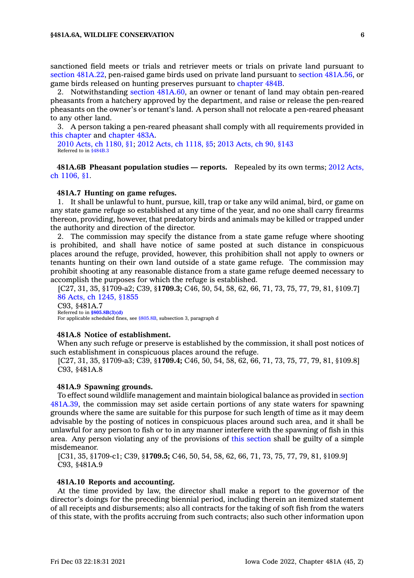sanctioned field meets or trials and retriever meets or trials on private land pursuant to section [481A.22](https://www.legis.iowa.gov/docs/code/481A.22.pdf), pen-raised game birds used on private land pursuant to section [481A.56](https://www.legis.iowa.gov/docs/code/481A.56.pdf), or game birds released on hunting preserves pursuant to [chapter](https://www.legis.iowa.gov/docs/code//484B.pdf) 484B.

2. Notwithstanding section [481A.60](https://www.legis.iowa.gov/docs/code/481A.60.pdf), an owner or tenant of land may obtain pen-reared pheasants from <sup>a</sup> hatchery approved by the department, and raise or release the pen-reared pheasants on the owner's or tenant's land. A person shall not relocate <sup>a</sup> pen-reared pheasant to any other land.

3. A person taking <sup>a</sup> pen-reared pheasant shall comply with all requirements provided in this [chapter](https://www.legis.iowa.gov/docs/code//481A.pdf) and [chapter](https://www.legis.iowa.gov/docs/code//483A.pdf) 483A.

2010 Acts, ch [1180,](https://www.legis.iowa.gov/docs/acts/2010/CH1180.pdf) §1; 2012 Acts, ch [1118,](https://www.legis.iowa.gov/docs/acts/2012/CH1118.pdf) §5; 2013 [Acts,](https://www.legis.iowa.gov/docs/acts/2013/CH0090.pdf) ch 90, §143 Referred to in [§484B.3](https://www.legis.iowa.gov/docs/code/484B.3.pdf)

**481A.6B Pheasant population studies — reports.** Repealed by its own terms; 2012 [Acts,](https://www.legis.iowa.gov/docs/acts/2012/CH1106.pdf) ch [1106,](https://www.legis.iowa.gov/docs/acts/2012/CH1106.pdf) §1.

### **481A.7 Hunting on game refuges.**

1. It shall be unlawful to hunt, pursue, kill, trap or take any wild animal, bird, or game on any state game refuge so established at any time of the year, and no one shall carry firearms thereon, providing, however, that predatory birds and animals may be killed or trapped under the authority and direction of the director.

2. The commission may specify the distance from <sup>a</sup> state game refuge where shooting is prohibited, and shall have notice of same posted at such distance in conspicuous places around the refuge, provided, however, this prohibition shall not apply to owners or tenants hunting on their own land outside of <sup>a</sup> state game refuge. The commission may prohibit shooting at any reasonable distance from <sup>a</sup> state game refuge deemed necessary to accomplish the purposes for which the refuge is established.

[C27, 31, 35, §1709-a2; C39, §**1709.3;** C46, 50, 54, 58, 62, 66, 71, 73, 75, 77, 79, 81, §109.7] 86 Acts, ch 1245, [§1855](https://www.legis.iowa.gov/docs/acts/1986/CH1245.pdf) C93, §481A.7 Referred to in **[§805.8B\(3\)\(d\)](https://www.legis.iowa.gov/docs/code/805.8B.pdf)**

For applicable scheduled fines, see [§805.8B](https://www.legis.iowa.gov/docs/code/805.8B.pdf), subsection 3, paragraph d

#### **481A.8 Notice of establishment.**

When any such refuge or preserve is established by the commission, it shall post notices of such establishment in conspicuous places around the refuge.

[C27, 31, 35, §1709-a3; C39, §**1709.4;** C46, 50, 54, 58, 62, 66, 71, 73, 75, 77, 79, 81, §109.8] C93, §481A.8

### **481A.9 Spawning grounds.**

To effect sound wildlife management and maintain biological balance as provided in [section](https://www.legis.iowa.gov/docs/code/481A.39.pdf) [481A.39](https://www.legis.iowa.gov/docs/code/481A.39.pdf), the commission may set aside certain portions of any state waters for spawning grounds where the same are suitable for this purpose for such length of time as it may deem advisable by the posting of notices in conspicuous places around such area, and it shall be unlawful for any person to fish or to in any manner interfere with the spawning of fish in this area. Any person violating any of the provisions of this [section](https://www.legis.iowa.gov/docs/code/481A.9.pdf) shall be guilty of <sup>a</sup> simple misdemeanor.

[C31, 35, §1709-c1; C39, §**1709.5;** C46, 50, 54, 58, 62, 66, 71, 73, 75, 77, 79, 81, §109.9] C93, §481A.9

### **481A.10 Reports and accounting.**

At the time provided by law, the director shall make <sup>a</sup> report to the governor of the director's doings for the preceding biennial period, including therein an itemized statement of all receipts and disbursements; also all contracts for the taking of soft fish from the waters of this state, with the profits accruing from such contracts; also such other information upon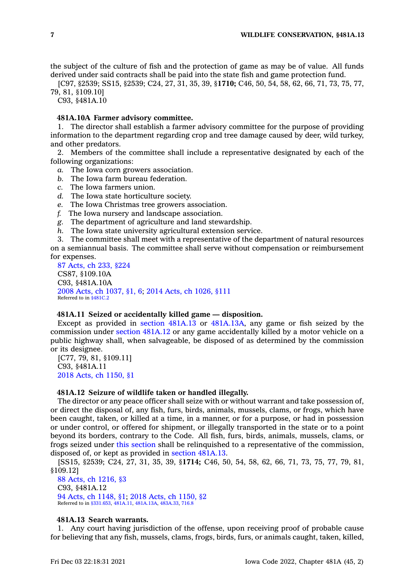the subject of the culture of fish and the protection of game as may be of value. All funds derived under said contracts shall be paid into the state fish and game protection fund.

[C97, §2539; SS15, §2539; C24, 27, 31, 35, 39, §**1710;** C46, 50, 54, 58, 62, 66, 71, 73, 75, 77, 79, 81, §109.10]

C93, §481A.10

# **481A.10A Farmer advisory committee.**

1. The director shall establish <sup>a</sup> farmer advisory committee for the purpose of providing information to the department regarding crop and tree damage caused by deer, wild turkey, and other predators.

2. Members of the committee shall include <sup>a</sup> representative designated by each of the following organizations:

*a.* The Iowa corn growers association.

- *b.* The Iowa farm bureau federation.
- *c.* The Iowa farmers union.
- *d.* The Iowa state horticulture society.
- *e.* The Iowa Christmas tree growers association.
- *f.* The Iowa nursery and landscape association.
- *g.* The department of agriculture and land stewardship.
- *h.* The Iowa state university agricultural extension service.

3. The committee shall meet with <sup>a</sup> representative of the department of natural resources on <sup>a</sup> semiannual basis. The committee shall serve without compensation or reimbursement for expenses.

87 [Acts,](https://www.legis.iowa.gov/docs/acts/1987/CH0233.pdf) ch 233, §224 CS87, §109.10A C93, §481A.10A 2008 Acts, ch [1037,](https://www.legis.iowa.gov/docs/acts/2008/CH1037.pdf) §1, 6; 2014 Acts, ch [1026,](https://www.legis.iowa.gov/docs/acts/2014/CH1026.pdf) §111 Referred to in [§481C.2](https://www.legis.iowa.gov/docs/code/481C.2.pdf)

### **481A.11 Seized or accidentally killed game — disposition.**

Except as provided in section [481A.13](https://www.legis.iowa.gov/docs/code/481A.13.pdf) or [481A.13A](https://www.legis.iowa.gov/docs/code/481A.13A.pdf), any game or fish seized by the commission under section [481A.12](https://www.legis.iowa.gov/docs/code/481A.12.pdf) or any game accidentally killed by <sup>a</sup> motor vehicle on <sup>a</sup> public highway shall, when salvageable, be disposed of as determined by the commission or its designee.

[C77, 79, 81, §109.11] C93, §481A.11 2018 Acts, ch [1150,](https://www.legis.iowa.gov/docs/acts/2018/CH1150.pdf) §1

### **481A.12 Seizure of wildlife taken or handled illegally.**

The director or any peace officer shall seize with or without warrant and take possession of, or direct the disposal of, any fish, furs, birds, animals, mussels, clams, or frogs, which have been caught, taken, or killed at <sup>a</sup> time, in <sup>a</sup> manner, or for <sup>a</sup> purpose, or had in possession or under control, or offered for shipment, or illegally transported in the state or to <sup>a</sup> point beyond its borders, contrary to the Code. All fish, furs, birds, animals, mussels, clams, or frogs seized under this [section](https://www.legis.iowa.gov/docs/code/481A.12.pdf) shall be relinquished to <sup>a</sup> representative of the commission, disposed of, or kept as provided in section [481A.13](https://www.legis.iowa.gov/docs/code/481A.13.pdf).

[SS15, §2539; C24, 27, 31, 35, 39, §**1714;** C46, 50, 54, 58, 62, 66, 71, 73, 75, 77, 79, 81, §109.12]

88 Acts, ch [1216,](https://www.legis.iowa.gov/docs/acts/1988/CH1216.pdf) §3 C93, §481A.12 94 Acts, ch [1148,](https://www.legis.iowa.gov/docs/acts/1994/CH1148.pdf) §1; 2018 Acts, ch [1150,](https://www.legis.iowa.gov/docs/acts/2018/CH1150.pdf) §2 Referred to in [§331.653](https://www.legis.iowa.gov/docs/code/331.653.pdf), [481A.11](https://www.legis.iowa.gov/docs/code/481A.11.pdf), [481A.13A](https://www.legis.iowa.gov/docs/code/481A.13A.pdf), [483A.33](https://www.legis.iowa.gov/docs/code/483A.33.pdf), [716.8](https://www.legis.iowa.gov/docs/code/716.8.pdf)

### **481A.13 Search warrants.**

1. Any court having jurisdiction of the offense, upon receiving proof of probable cause for believing that any fish, mussels, clams, frogs, birds, furs, or animals caught, taken, killed,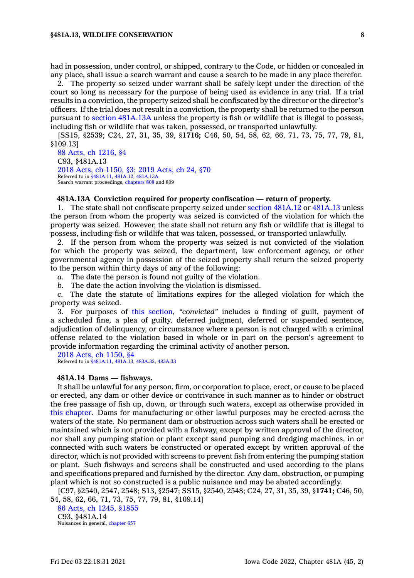had in possession, under control, or shipped, contrary to the Code, or hidden or concealed in any place, shall issue <sup>a</sup> search warrant and cause <sup>a</sup> search to be made in any place therefor.

2. The property so seized under warrant shall be safely kept under the direction of the court so long as necessary for the purpose of being used as evidence in any trial. If <sup>a</sup> trial results in <sup>a</sup> conviction, the property seized shall be confiscated by the director or the director's officers. If the trial does not result in <sup>a</sup> conviction, the property shall be returned to the person pursuant to section [481A.13A](https://www.legis.iowa.gov/docs/code/481A.13A.pdf) unless the property is fish or wildlife that is illegal to possess, including fish or wildlife that was taken, possessed, or transported unlawfully.

[SS15, §2539; C24, 27, 31, 35, 39, §**1716;** C46, 50, 54, 58, 62, 66, 71, 73, 75, 77, 79, 81, §109.13]

88 Acts, ch [1216,](https://www.legis.iowa.gov/docs/acts/1988/CH1216.pdf) §4 C93, §481A.13 2018 Acts, ch [1150,](https://www.legis.iowa.gov/docs/acts/2018/CH1150.pdf) §3; 2019 [Acts,](https://www.legis.iowa.gov/docs/acts/2019/CH0024.pdf) ch 24, §70 Referred to in [§481A.11](https://www.legis.iowa.gov/docs/code/481A.11.pdf), [481A.12](https://www.legis.iowa.gov/docs/code/481A.12.pdf), [481A.13A](https://www.legis.iowa.gov/docs/code/481A.13A.pdf) Search warrant proceedings, [chapters](https://www.legis.iowa.gov/docs/code//808.pdf) 808 and 809

### **481A.13A Conviction required for property confiscation — return of property.**

1. The state shall not confiscate property seized under section [481A.12](https://www.legis.iowa.gov/docs/code/481A.12.pdf) or [481A.13](https://www.legis.iowa.gov/docs/code/481A.13.pdf) unless the person from whom the property was seized is convicted of the violation for which the property was seized. However, the state shall not return any fish or wildlife that is illegal to possess, including fish or wildlife that was taken, possessed, or transported unlawfully.

2. If the person from whom the property was seized is not convicted of the violation for which the property was seized, the department, law enforcement agency, or other governmental agency in possession of the seized property shall return the seized property to the person within thirty days of any of the following:

- *a.* The date the person is found not guilty of the violation.
- *b.* The date the action involving the violation is dismissed.

*c.* The date the statute of limitations expires for the alleged violation for which the property was seized.

3. For purposes of this [section](https://www.legis.iowa.gov/docs/code/481A.13A.pdf), *"convicted"* includes <sup>a</sup> finding of guilt, payment of <sup>a</sup> scheduled fine, <sup>a</sup> plea of guilty, deferred judgment, deferred or suspended sentence, adjudication of delinquency, or circumstance where <sup>a</sup> person is not charged with <sup>a</sup> criminal offense related to the violation based in whole or in part on the person's agreement to provide information regarding the criminal activity of another person.

2018 Acts, ch [1150,](https://www.legis.iowa.gov/docs/acts/2018/CH1150.pdf) §4 Referred to in [§481A.11](https://www.legis.iowa.gov/docs/code/481A.11.pdf), [481A.13](https://www.legis.iowa.gov/docs/code/481A.13.pdf), [483A.32](https://www.legis.iowa.gov/docs/code/483A.32.pdf), [483A.33](https://www.legis.iowa.gov/docs/code/483A.33.pdf)

#### **481A.14 Dams — fishways.**

It shall be unlawful for any person, firm, or corporation to place, erect, or cause to be placed or erected, any dam or other device or contrivance in such manner as to hinder or obstruct the free passage of fish up, down, or through such waters, except as otherwise provided in this [chapter](https://www.legis.iowa.gov/docs/code//481A.pdf). Dams for manufacturing or other lawful purposes may be erected across the waters of the state. No permanent dam or obstruction across such waters shall be erected or maintained which is not provided with <sup>a</sup> fishway, except by written approval of the director, nor shall any pumping station or plant except sand pumping and dredging machines, in or connected with such waters be constructed or operated except by written approval of the director, which is not provided with screens to prevent fish from entering the pumping station or plant. Such fishways and screens shall be constructed and used according to the plans and specifications prepared and furnished by the director. Any dam, obstruction, or pumping plant which is not so constructed is <sup>a</sup> public nuisance and may be abated accordingly.

[C97, §2540, 2547, 2548; S13, §2547; SS15, §2540, 2548; C24, 27, 31, 35, 39, §**1741;** C46, 50, 54, 58, 62, 66, 71, 73, 75, 77, 79, 81, §109.14]

86 Acts, ch 1245, [§1855](https://www.legis.iowa.gov/docs/acts/1986/CH1245.pdf) C93, §481A.14 Nuisances in general, [chapter](https://www.legis.iowa.gov/docs/code//657.pdf) 657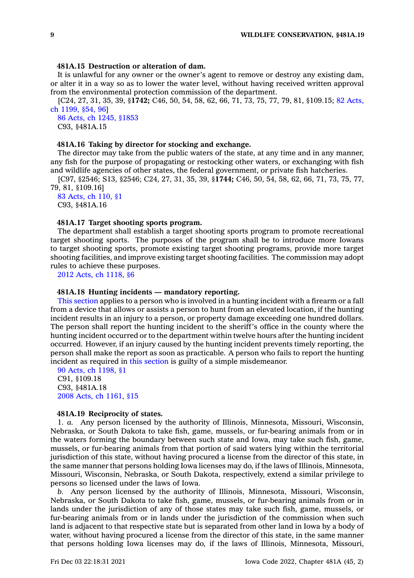### **481A.15 Destruction or alteration of dam.**

It is unlawful for any owner or the owner's agent to remove or destroy any existing dam, or alter it in <sup>a</sup> way so as to lower the water level, without having received written approval from the environmental protection commission of the department.

[C24, 27, 31, 35, 39, §**1742;** C46, 50, 54, 58, 62, 66, 71, 73, 75, 77, 79, 81, §109.15; 82 [Acts,](https://www.legis.iowa.gov/docs/acts/1982/CH1199.pdf) ch [1199,](https://www.legis.iowa.gov/docs/acts/1982/CH1199.pdf) §54, 96]

86 Acts, ch 1245, [§1853](https://www.legis.iowa.gov/docs/acts/1986/CH1245.pdf) C93, §481A.15

### **481A.16 Taking by director for stocking and exchange.**

The director may take from the public waters of the state, at any time and in any manner, any fish for the purpose of propagating or restocking other waters, or exchanging with fish and wildlife agencies of other states, the federal government, or private fish hatcheries.

[C97, §2546; S13, §2546; C24, 27, 31, 35, 39, §**1744;** C46, 50, 54, 58, 62, 66, 71, 73, 75, 77, 79, 81, §109.16]

# 83 [Acts,](https://www.legis.iowa.gov/docs/acts/1983/CH0110.pdf) ch 110, §1 C93, §481A.16

# **481A.17 Target shooting sports program.**

The department shall establish <sup>a</sup> target shooting sports program to promote recreational target shooting sports. The purposes of the program shall be to introduce more Iowans to target shooting sports, promote existing target shooting programs, provide more target shooting facilities, and improve existing target shooting facilities. The commission may adopt rules to achieve these purposes.

2012 Acts, ch [1118,](https://www.legis.iowa.gov/docs/acts/2012/CH1118.pdf) §6

### **481A.18 Hunting incidents — mandatory reporting.**

This [section](https://www.legis.iowa.gov/docs/code/481A.18.pdf) applies to <sup>a</sup> person who is involved in <sup>a</sup> hunting incident with <sup>a</sup> firearm or <sup>a</sup> fall from <sup>a</sup> device that allows or assists <sup>a</sup> person to hunt from an elevated location, if the hunting incident results in an injury to <sup>a</sup> person, or property damage exceeding one hundred dollars. The person shall report the hunting incident to the sheriff's office in the county where the hunting incident occurred or to the department within twelve hours after the hunting incident occurred. However, if an injury caused by the hunting incident prevents timely reporting, the person shall make the report as soon as practicable. A person who fails to report the hunting incident as required in this [section](https://www.legis.iowa.gov/docs/code/481A.18.pdf) is guilty of <sup>a</sup> simple misdemeanor.

90 Acts, ch [1198,](https://www.legis.iowa.gov/docs/acts/1990/CH1198.pdf) §1 C91, §109.18 C93, §481A.18 2008 Acts, ch [1161,](https://www.legis.iowa.gov/docs/acts/2008/CH1161.pdf) §15

#### **481A.19 Reciprocity of states.**

1. *a.* Any person licensed by the authority of Illinois, Minnesota, Missouri, Wisconsin, Nebraska, or South Dakota to take fish, game, mussels, or fur-bearing animals from or in the waters forming the boundary between such state and Iowa, may take such fish, game, mussels, or fur-bearing animals from that portion of said waters lying within the territorial jurisdiction of this state, without having procured <sup>a</sup> license from the director of this state, in the same manner that persons holding Iowa licenses may do, if the laws of Illinois, Minnesota, Missouri, Wisconsin, Nebraska, or South Dakota, respectively, extend <sup>a</sup> similar privilege to persons so licensed under the laws of Iowa.

*b.* Any person licensed by the authority of Illinois, Minnesota, Missouri, Wisconsin, Nebraska, or South Dakota to take fish, game, mussels, or fur-bearing animals from or in lands under the jurisdiction of any of those states may take such fish, game, mussels, or fur-bearing animals from or in lands under the jurisdiction of the commission when such land is adjacent to that respective state but is separated from other land in Iowa by <sup>a</sup> body of water, without having procured <sup>a</sup> license from the director of this state, in the same manner that persons holding Iowa licenses may do, if the laws of Illinois, Minnesota, Missouri,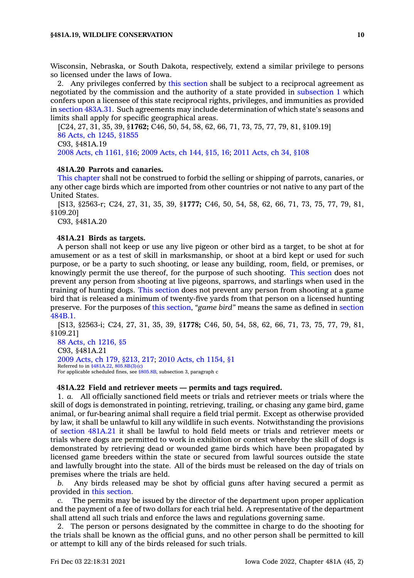Wisconsin, Nebraska, or South Dakota, respectively, extend <sup>a</sup> similar privilege to persons so licensed under the laws of Iowa.

2. Any privileges conferred by this [section](https://www.legis.iowa.gov/docs/code/481A.19.pdf) shall be subject to <sup>a</sup> reciprocal agreement as negotiated by the commission and the authority of <sup>a</sup> state provided in [subsection](https://www.legis.iowa.gov/docs/code/481A.19.pdf) 1 which confers upon <sup>a</sup> licensee of this state reciprocal rights, privileges, and immunities as provided in section [483A.31](https://www.legis.iowa.gov/docs/code/483A.31.pdf). Such agreements may include determination of which state's seasons and limits shall apply for specific geographical areas.

[C24, 27, 31, 35, 39, §**1762;** C46, 50, 54, 58, 62, 66, 71, 73, 75, 77, 79, 81, §109.19] 86 Acts, ch 1245, [§1855](https://www.legis.iowa.gov/docs/acts/1986/CH1245.pdf) C93, §481A.19 2008 Acts, ch [1161,](https://www.legis.iowa.gov/docs/acts/2008/CH1161.pdf) §16; 2009 [Acts,](https://www.legis.iowa.gov/docs/acts/2009/CH0144.pdf) ch 144, §15, 16; 2011 [Acts,](https://www.legis.iowa.gov/docs/acts/2011/CH0034.pdf) ch 34, §108

### **481A.20 Parrots and canaries.**

This [chapter](https://www.legis.iowa.gov/docs/code//481A.pdf) shall not be construed to forbid the selling or shipping of parrots, canaries, or any other cage birds which are imported from other countries or not native to any part of the United States.

[S13, §2563-r; C24, 27, 31, 35, 39, §**1777;** C46, 50, 54, 58, 62, 66, 71, 73, 75, 77, 79, 81, §109.20]

C93, §481A.20

### **481A.21 Birds as targets.**

A person shall not keep or use any live pigeon or other bird as <sup>a</sup> target, to be shot at for amusement or as <sup>a</sup> test of skill in marksmanship, or shoot at <sup>a</sup> bird kept or used for such purpose, or be <sup>a</sup> party to such shooting, or lease any building, room, field, or premises, or knowingly permit the use thereof, for the purpose of such shooting. This [section](https://www.legis.iowa.gov/docs/code/481A.21.pdf) does not prevent any person from shooting at live pigeons, sparrows, and starlings when used in the training of hunting dogs. This [section](https://www.legis.iowa.gov/docs/code/481A.21.pdf) does not prevent any person from shooting at <sup>a</sup> game bird that is released <sup>a</sup> minimum of twenty-five yards from that person on <sup>a</sup> licensed hunting preserve. For the purposes of this [section](https://www.legis.iowa.gov/docs/code/481A.21.pdf), *"game bird"* means the same as defined in [section](https://www.legis.iowa.gov/docs/code/484B.1.pdf) [484B.1](https://www.legis.iowa.gov/docs/code/484B.1.pdf).

[S13, §2563-i; C24, 27, 31, 35, 39, §**1778;** C46, 50, 54, 58, 62, 66, 71, 73, 75, 77, 79, 81, §109.21]

88 Acts, ch [1216,](https://www.legis.iowa.gov/docs/acts/1988/CH1216.pdf) §5 C93, §481A.21 2009 Acts, ch 179, [§213,](https://www.legis.iowa.gov/docs/acts/2009/CH0179.pdf) 217; 2010 Acts, ch [1154,](https://www.legis.iowa.gov/docs/acts/2010/CH1154.pdf) §1 Referred to in [§481A.22](https://www.legis.iowa.gov/docs/code/481A.22.pdf), [805.8B\(3\)\(c\)](https://www.legis.iowa.gov/docs/code/805.8B.pdf) For applicable scheduled fines, see [§805.8B](https://www.legis.iowa.gov/docs/code/805.8B.pdf), subsection 3, paragraph <sup>c</sup>

# **481A.22 Field and retriever meets — permits and tags required.**

1. *a.* All officially sanctioned field meets or trials and retriever meets or trials where the skill of dogs is demonstrated in pointing, retrieving, trailing, or chasing any game bird, game animal, or fur-bearing animal shall require <sup>a</sup> field trial permit. Except as otherwise provided by law, it shall be unlawful to kill any wildlife in such events. Notwithstanding the provisions of section [481A.21](https://www.legis.iowa.gov/docs/code/481A.21.pdf) it shall be lawful to hold field meets or trials and retriever meets or trials where dogs are permitted to work in exhibition or contest whereby the skill of dogs is demonstrated by retrieving dead or wounded game birds which have been propagated by licensed game breeders within the state or secured from lawful sources outside the state and lawfully brought into the state. All of the birds must be released on the day of trials on premises where the trials are held.

*b.* Any birds released may be shot by official guns after having secured <sup>a</sup> permit as provided in this [section](https://www.legis.iowa.gov/docs/code/481A.22.pdf).

*c.* The permits may be issued by the director of the department upon proper application and the payment of <sup>a</sup> fee of two dollars for each trial held. A representative of the department shall attend all such trials and enforce the laws and regulations governing same.

2. The person or persons designated by the committee in charge to do the shooting for the trials shall be known as the official guns, and no other person shall be permitted to kill or attempt to kill any of the birds released for such trials.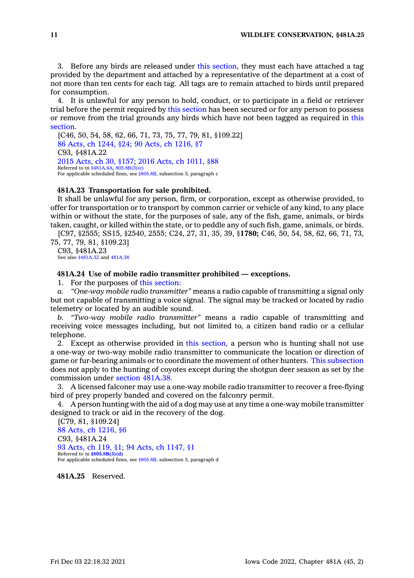3. Before any birds are released under this [section](https://www.legis.iowa.gov/docs/code/481A.22.pdf), they must each have attached <sup>a</sup> tag provided by the department and attached by <sup>a</sup> representative of the department at <sup>a</sup> cost of not more than ten cents for each tag. All tags are to remain attached to birds until prepared for consumption.

4. It is unlawful for any person to hold, conduct, or to participate in <sup>a</sup> field or retriever trial before the permit required by this [section](https://www.legis.iowa.gov/docs/code/481A.22.pdf) has been secured or for any person to possess or remove from the trial grounds any birds which have not been tagged as required in [this](https://www.legis.iowa.gov/docs/code/481A.22.pdf) [section](https://www.legis.iowa.gov/docs/code/481A.22.pdf).

[C46, 50, 54, 58, 62, 66, 71, 73, 75, 77, 79, 81, §109.22] 86 Acts, ch [1244,](https://www.legis.iowa.gov/docs/acts/1986/CH1244.pdf) §24; 90 Acts, ch [1216,](https://www.legis.iowa.gov/docs/acts/90/CH1216.pdf) §7 C93, §481A.22 2015 [Acts,](https://www.legis.iowa.gov/docs/acts/2015/CH0030.pdf) ch 30, §157; 2016 Acts, ch [1011,](https://www.legis.iowa.gov/docs/acts/2016/CH1011.pdf) §88 Referred to in [§481A.6A](https://www.legis.iowa.gov/docs/code/481A.6A.pdf), [805.8B\(3\)\(c\)](https://www.legis.iowa.gov/docs/code/805.8B.pdf)<br>For applicable scheduled fines, see [§805.8B](https://www.legis.iowa.gov/docs/code/805.8B.pdf), subsection 3, paragraph c

### **481A.23 Transportation for sale prohibited.**

It shall be unlawful for any person, firm, or corporation, except as otherwise provided, to offer for transportation or to transport by common carrier or vehicle of any kind, to any place within or without the state, for the purposes of sale, any of the fish, game, animals, or birds taken, caught, or killed within the state, or to peddle any of such fish, game, animals, or birds.

[C97, §2555; SS15, §2540, 2555; C24, 27, 31, 35, 39, §**1780;** C46, 50, 54, 58, 62, 66, 71, 73, 75, 77, 79, 81, §109.23]

C93, §481A.23 See also [§481A.32](https://www.legis.iowa.gov/docs/code/481A.32.pdf) and [481A.38](https://www.legis.iowa.gov/docs/code/481A.38.pdf)

# **481A.24 Use of mobile radio transmitter prohibited — exceptions.**

1. For the purposes of this [section](https://www.legis.iowa.gov/docs/code/481A.24.pdf):

*a. "One-way mobile radio transmitter"* means <sup>a</sup> radio capable of transmitting <sup>a</sup> signal only but not capable of transmitting <sup>a</sup> voice signal. The signal may be tracked or located by radio telemetry or located by an audible sound.

*b. "Two-way mobile radio transmitter"* means <sup>a</sup> radio capable of transmitting and receiving voice messages including, but not limited to, <sup>a</sup> citizen band radio or <sup>a</sup> cellular telephone.

2. Except as otherwise provided in this [section](https://www.legis.iowa.gov/docs/code/481A.24.pdf), <sup>a</sup> person who is hunting shall not use <sup>a</sup> one-way or two-way mobile radio transmitter to communicate the location or direction of game or fur-bearing animals or to coordinate the movement of other hunters. This [subsection](https://www.legis.iowa.gov/docs/code/481A.24.pdf) does not apply to the hunting of coyotes except during the shotgun deer season as set by the commission under section [481A.38](https://www.legis.iowa.gov/docs/code/481A.38.pdf).

3. A licensed falconer may use <sup>a</sup> one-way mobile radio transmitter to recover <sup>a</sup> free-flying bird of prey properly banded and covered on the falconry permit.

4. A person hunting with the aid of <sup>a</sup> dog may use at any time <sup>a</sup> one-way mobile transmitter designed to track or aid in the recovery of the dog.

[C79, 81, §109.24] 88 Acts, ch [1216,](https://www.legis.iowa.gov/docs/acts/1988/CH1216.pdf) §6 C93, §481A.24 93 [Acts,](https://www.legis.iowa.gov/docs/acts/1993/CH0119.pdf) ch 119, §1; 94 Acts, ch [1147,](https://www.legis.iowa.gov/docs/acts/1994/CH1147.pdf) §1 Referred to in **[§805.8B\(3\)\(d\)](https://www.legis.iowa.gov/docs/code/805.8B.pdf)** For applicable scheduled fines, see [§805.8B](https://www.legis.iowa.gov/docs/code/805.8B.pdf), subsection 3, paragraph d

**481A.25** Reserved.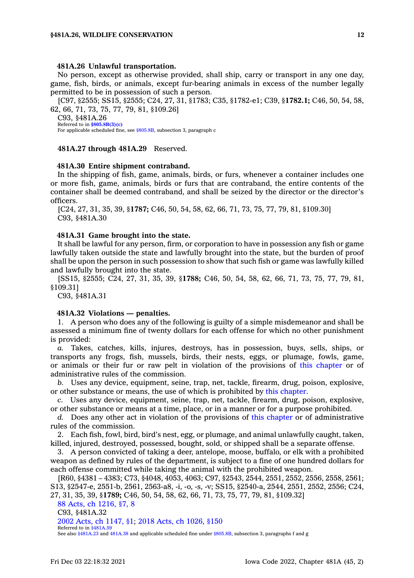### **481A.26 Unlawful transportation.**

No person, except as otherwise provided, shall ship, carry or transport in any one day, game, fish, birds, or animals, except fur-bearing animals in excess of the number legally permitted to be in possession of such <sup>a</sup> person.

[C97, §2555; SS15, §2555; C24, 27, 31, §1783; C35, §1782-e1; C39, §**1782.1;** C46, 50, 54, 58, 62, 66, 71, 73, 75, 77, 79, 81, §109.26]

C93, §481A.26 Referred to in **[§805.8B\(3\)\(c\)](https://www.legis.iowa.gov/docs/code/805.8B.pdf)** For applicable scheduled fine, see [§805.8B](https://www.legis.iowa.gov/docs/code/805.8B.pdf), subsection 3, paragraph <sup>c</sup>

# **481A.27 through 481A.29** Reserved.

#### **481A.30 Entire shipment contraband.**

In the shipping of fish, game, animals, birds, or furs, whenever <sup>a</sup> container includes one or more fish, game, animals, birds or furs that are contraband, the entire contents of the container shall be deemed contraband, and shall be seized by the director or the director's officers.

[C24, 27, 31, 35, 39, §**1787;** C46, 50, 54, 58, 62, 66, 71, 73, 75, 77, 79, 81, §109.30] C93, §481A.30

### **481A.31 Game brought into the state.**

It shall be lawful for any person, firm, or corporation to have in possession any fish or game lawfully taken outside the state and lawfully brought into the state, but the burden of proof shall be upon the person in such possession to show that such fish or game was lawfully killed and lawfully brought into the state.

[SS15, §2555; C24, 27, 31, 35, 39, §**1788;** C46, 50, 54, 58, 62, 66, 71, 73, 75, 77, 79, 81, §109.31]

C93, §481A.31

#### **481A.32 Violations — penalties.**

1. A person who does any of the following is guilty of <sup>a</sup> simple misdemeanor and shall be assessed <sup>a</sup> minimum fine of twenty dollars for each offense for which no other punishment is provided:

*a.* Takes, catches, kills, injures, destroys, has in possession, buys, sells, ships, or transports any frogs, fish, mussels, birds, their nests, eggs, or plumage, fowls, game, or animals or their fur or raw pelt in violation of the provisions of this [chapter](https://www.legis.iowa.gov/docs/code//481A.pdf) or of administrative rules of the commission.

*b.* Uses any device, equipment, seine, trap, net, tackle, firearm, drug, poison, explosive, or other substance or means, the use of which is prohibited by this [chapter](https://www.legis.iowa.gov/docs/code//481A.pdf).

*c.* Uses any device, equipment, seine, trap, net, tackle, firearm, drug, poison, explosive, or other substance or means at <sup>a</sup> time, place, or in <sup>a</sup> manner or for <sup>a</sup> purpose prohibited.

*d.* Does any other act in violation of the provisions of this [chapter](https://www.legis.iowa.gov/docs/code//481A.pdf) or of administrative rules of the commission.

2. Each fish, fowl, bird, bird's nest, egg, or plumage, and animal unlawfully caught, taken, killed, injured, destroyed, possessed, bought, sold, or shipped shall be <sup>a</sup> separate offense.

3. A person convicted of taking <sup>a</sup> deer, antelope, moose, buffalo, or elk with <sup>a</sup> prohibited weapon as defined by rules of the department, is subject to <sup>a</sup> fine of one hundred dollars for each offense committed while taking the animal with the prohibited weapon.

[R60, §4381 – 4383; C73, §4048, 4053, 4063; C97, §2543, 2544, 2551, 2552, 2556, 2558, 2561; S13, §2547-e, 2551-b, 2561, 2563-a8, -i, -o, -s, -v; SS15, §2540-a, 2544, 2551, 2552, 2556; C24, 27, 31, 35, 39, §**1789;** C46, 50, 54, 58, 62, 66, 71, 73, 75, 77, 79, 81, §109.32]

88 Acts, ch [1216,](https://www.legis.iowa.gov/docs/acts/1988/CH1216.pdf) §7, 8

C93, §481A.32

2002 Acts, ch [1147,](https://www.legis.iowa.gov/docs/acts/2002/CH1147.pdf) §1; 2018 Acts, ch [1026,](https://www.legis.iowa.gov/docs/acts/2018/CH1026.pdf) §150

Referred to in [§481A.59](https://www.legis.iowa.gov/docs/code/481A.59.pdf)

See also [§481A.23](https://www.legis.iowa.gov/docs/code/481A.23.pdf) and [481A.38](https://www.legis.iowa.gov/docs/code/481A.38.pdf) and applicable scheduled fine under [§805.8B](https://www.legis.iowa.gov/docs/code/805.8B.pdf), subsection 3, paragraphs f and g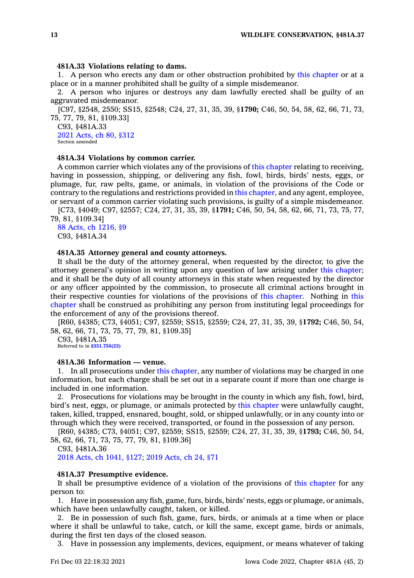### **481A.33 Violations relating to dams.**

1. A person who erects any dam or other obstruction prohibited by this [chapter](https://www.legis.iowa.gov/docs/code//481A.pdf) or at <sup>a</sup> place or in <sup>a</sup> manner prohibited shall be guilty of <sup>a</sup> simple misdemeanor.

2. A person who injures or destroys any dam lawfully erected shall be guilty of an aggravated misdemeanor.

[C97, §2548, 2550; SS15, §2548; C24, 27, 31, 35, 39, §**1790;** C46, 50, 54, 58, 62, 66, 71, 73, 75, 77, 79, 81, §109.33]

C93, §481A.33 2021 [Acts,](https://www.legis.iowa.gov/docs/acts/2021/CH0080.pdf) ch 80, §312 Section amended

### **481A.34 Violations by common carrier.**

A common carrier which violates any of the provisions of this [chapter](https://www.legis.iowa.gov/docs/code//481A.pdf) relating to receiving, having in possession, shipping, or delivering any fish, fowl, birds, birds' nests, eggs, or plumage, fur, raw pelts, game, or animals, in violation of the provisions of the Code or contrary to the regulations and restrictions provided in this [chapter](https://www.legis.iowa.gov/docs/code//481A.pdf), and any agent, employee, or servant of <sup>a</sup> common carrier violating such provisions, is guilty of <sup>a</sup> simple misdemeanor.

[C73, §4049; C97, §2557; C24, 27, 31, 35, 39, §**1791;** C46, 50, 54, 58, 62, 66, 71, 73, 75, 77, 79, 81, §109.34]

88 Acts, ch [1216,](https://www.legis.iowa.gov/docs/acts/1988/CH1216.pdf) §9 C93, §481A.34

# **481A.35 Attorney general and county attorneys.**

It shall be the duty of the attorney general, when requested by the director, to give the attorney general's opinion in writing upon any question of law arising under this [chapter](https://www.legis.iowa.gov/docs/code//481A.pdf); and it shall be the duty of all county attorneys in this state when requested by the director or any officer appointed by the commission, to prosecute all criminal actions brought in their respective counties for violations of the provisions of this [chapter](https://www.legis.iowa.gov/docs/code//481A.pdf). Nothing in [this](https://www.legis.iowa.gov/docs/code//481A.pdf) [chapter](https://www.legis.iowa.gov/docs/code//481A.pdf) shall be construed as prohibiting any person from instituting legal proceedings for the enforcement of any of the provisions thereof.

[R60, §4385; C73, §4051; C97, §2559; SS15, §2559; C24, 27, 31, 35, 39, §**1792;** C46, 50, 54, 58, 62, 66, 71, 73, 75, 77, 79, 81, §109.35]

C93, §481A.35 Referred to in **[§331.756\(23\)](https://www.legis.iowa.gov/docs/code/331.756.pdf)**

### **481A.36 Information — venue.**

1. In all prosecutions under this [chapter](https://www.legis.iowa.gov/docs/code//481A.pdf), any number of violations may be charged in one information, but each charge shall be set out in <sup>a</sup> separate count if more than one charge is included in one information.

2. Prosecutions for violations may be brought in the county in which any fish, fowl, bird, bird's nest, eggs, or plumage, or animals protected by this [chapter](https://www.legis.iowa.gov/docs/code//481A.pdf) were unlawfully caught, taken, killed, trapped, ensnared, bought, sold, or shipped unlawfully, or in any county into or through which they were received, transported, or found in the possession of any person.

[R60, §4385; C73, §4051; C97, §2559; SS15, §2559; C24, 27, 31, 35, 39, §**1793;** C46, 50, 54, 58, 62, 66, 71, 73, 75, 77, 79, 81, §109.36]

C93, §481A.36 2018 Acts, ch [1041,](https://www.legis.iowa.gov/docs/acts/2018/CH1041.pdf) §127; 2019 [Acts,](https://www.legis.iowa.gov/docs/acts/2019/CH0024.pdf) ch 24, §71

### **481A.37 Presumptive evidence.**

It shall be presumptive evidence of <sup>a</sup> violation of the provisions of this [chapter](https://www.legis.iowa.gov/docs/code//481A.pdf) for any person to:

1. Have in possession any fish, game, furs, birds, birds' nests, eggs or plumage, or animals, which have been unlawfully caught, taken, or killed.

2. Be in possession of such fish, game, furs, birds, or animals at <sup>a</sup> time when or place where it shall be unlawful to take, catch, or kill the same, except game, birds or animals, during the first ten days of the closed season.

3. Have in possession any implements, devices, equipment, or means whatever of taking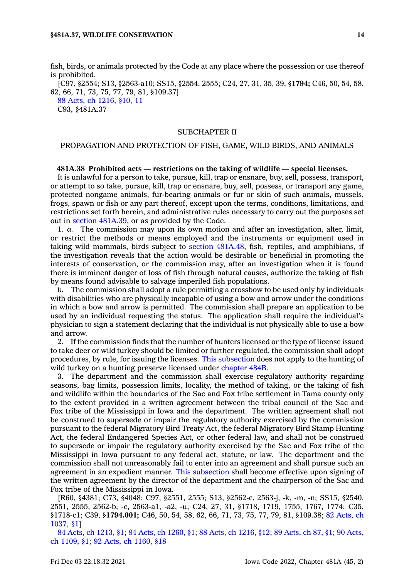fish, birds, or animals protected by the Code at any place where the possession or use thereof is prohibited.

[C97, §2554; S13, §2563-a10; SS15, §2554, 2555; C24, 27, 31, 35, 39, §**1794;** C46, 50, 54, 58, 62, 66, 71, 73, 75, 77, 79, 81, §109.37]

88 Acts, ch [1216,](https://www.legis.iowa.gov/docs/acts/1988/CH1216.pdf) §10, 11 C93, §481A.37

### SUBCHAPTER II

### PROPAGATION AND PROTECTION OF FISH, GAME, WILD BIRDS, AND ANIMALS

### **481A.38 Prohibited acts — restrictions on the taking of wildlife — special licenses.**

It is unlawful for <sup>a</sup> person to take, pursue, kill, trap or ensnare, buy, sell, possess, transport, or attempt to so take, pursue, kill, trap or ensnare, buy, sell, possess, or transport any game, protected nongame animals, fur-bearing animals or fur or skin of such animals, mussels, frogs, spawn or fish or any part thereof, except upon the terms, conditions, limitations, and restrictions set forth herein, and administrative rules necessary to carry out the purposes set out in section [481A.39](https://www.legis.iowa.gov/docs/code/481A.39.pdf), or as provided by the Code.

1. *a.* The commission may upon its own motion and after an investigation, alter, limit, or restrict the methods or means employed and the instruments or equipment used in taking wild mammals, birds subject to section [481A.48](https://www.legis.iowa.gov/docs/code/481A.48.pdf), fish, reptiles, and amphibians, if the investigation reveals that the action would be desirable or beneficial in promoting the interests of conservation, or the commission may, after an investigation when it is found there is imminent danger of loss of fish through natural causes, authorize the taking of fish by means found advisable to salvage imperiled fish populations.

*b.* The commission shall adopt <sup>a</sup> rule permitting <sup>a</sup> crossbow to be used only by individuals with disabilities who are physically incapable of using <sup>a</sup> bow and arrow under the conditions in which <sup>a</sup> bow and arrow is permitted. The commission shall prepare an application to be used by an individual requesting the status. The application shall require the individual's physician to sign <sup>a</sup> statement declaring that the individual is not physically able to use <sup>a</sup> bow and arrow.

2. If the commission finds that the number of hunters licensed or the type of license issued to take deer or wild turkey should be limited or further regulated, the commission shall adopt procedures, by rule, for issuing the licenses. This [subsection](https://www.legis.iowa.gov/docs/code/481A.38.pdf) does not apply to the hunting of wild turkey on <sup>a</sup> hunting preserve licensed under [chapter](https://www.legis.iowa.gov/docs/code//484B.pdf) 484B.

3. The department and the commission shall exercise regulatory authority regarding seasons, bag limits, possession limits, locality, the method of taking, or the taking of fish and wildlife within the boundaries of the Sac and Fox tribe settlement in Tama county only to the extent provided in <sup>a</sup> written agreement between the tribal council of the Sac and Fox tribe of the Mississippi in Iowa and the department. The written agreement shall not be construed to supersede or impair the regulatory authority exercised by the commission pursuant to the federal Migratory Bird Treaty Act, the federal Migratory Bird Stamp Hunting Act, the federal Endangered Species Act, or other federal law, and shall not be construed to supersede or impair the regulatory authority exercised by the Sac and Fox tribe of the Mississippi in Iowa pursuant to any federal act, statute, or law. The department and the commission shall not unreasonably fail to enter into an agreement and shall pursue such an agreement in an expedient manner. This [subsection](https://www.legis.iowa.gov/docs/code/481A.38.pdf) shall become effective upon signing of the written agreement by the director of the department and the chairperson of the Sac and Fox tribe of the Mississippi in Iowa.

[R60, §4381; C73, §4048; C97, §2551, 2555; S13, §2562-c, 2563-j, -k, -m, -n; SS15, §2540, 2551, 2555, 2562-b, -c, 2563-a1, -a2, -u; C24, 27, 31, §1718, 1719, 1755, 1767, 1774; C35, §1718-c1; C39, §**1794.001;** C46, 50, 54, 58, 62, 66, 71, 73, 75, 77, 79, 81, §109.38; 82 [Acts,](https://www.legis.iowa.gov/docs/acts/1982/CH1037.pdf) ch [1037,](https://www.legis.iowa.gov/docs/acts/1982/CH1037.pdf) §1]

84 Acts, ch [1213,](https://www.legis.iowa.gov/docs/acts/1984/CH1213.pdf) §1; 84 Acts, ch [1260,](https://www.legis.iowa.gov/docs/acts/84/CH1260.pdf) §1; 88 Acts, ch [1216,](https://www.legis.iowa.gov/docs/acts/88/CH1216.pdf) §12; 89 [Acts,](https://www.legis.iowa.gov/docs/acts/89/CH0087.pdf) ch 87, §1; 90 [Acts,](https://www.legis.iowa.gov/docs/acts/90/CH1109.pdf) ch [1109,](https://www.legis.iowa.gov/docs/acts/90/CH1109.pdf) §1; 92 Acts, ch [1160,](https://www.legis.iowa.gov/docs/acts/92/CH1160.pdf) §18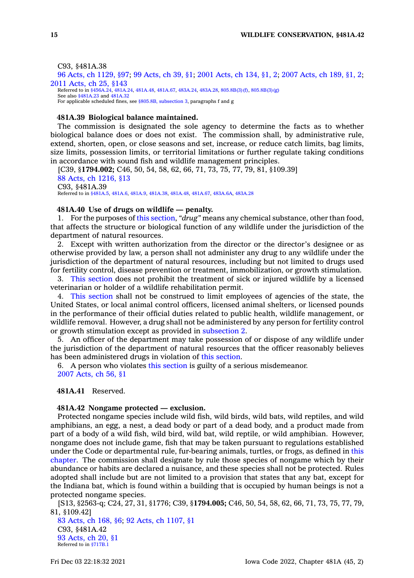### C93, §481A.38

96 Acts, ch [1129,](https://www.legis.iowa.gov/docs/acts/1996/CH1129.pdf) §97; 99 [Acts,](https://www.legis.iowa.gov/docs/acts/99/CH0039.pdf) ch 39, §1; 2001 [Acts,](https://www.legis.iowa.gov/docs/acts/2001/CH0134.pdf) ch 134, §1, 2; 2007 [Acts,](https://www.legis.iowa.gov/docs/acts/2007/CH0189.pdf) ch 189, §1, 2; 2011 [Acts,](https://www.legis.iowa.gov/docs/acts/2011/CH0025.pdf) ch 25, §143 Referred to in [§456A.24](https://www.legis.iowa.gov/docs/code/456A.24.pdf), [481A.24,](https://www.legis.iowa.gov/docs/code/481A.24.pdf) [481A.48](https://www.legis.iowa.gov/docs/code/481A.48.pdf), [481A.67](https://www.legis.iowa.gov/docs/code/481A.67.pdf), [483A.24](https://www.legis.iowa.gov/docs/code/483A.24.pdf), [483A.28](https://www.legis.iowa.gov/docs/code/483A.28.pdf), [805.8B\(3\)\(f\)](https://www.legis.iowa.gov/docs/code/805.8B.pdf), [805.8B\(3\)\(g\)](https://www.legis.iowa.gov/docs/code/805.8B.pdf) See also [§481A.23](https://www.legis.iowa.gov/docs/code/481A.23.pdf) and [481A.32](https://www.legis.iowa.gov/docs/code/481A.32.pdf) For applicable scheduled fines, see §805.8B, [subsection](https://www.legis.iowa.gov/docs/code/805.8B.pdf) 3, paragraphs f and g

#### **481A.39 Biological balance maintained.**

The commission is designated the sole agency to determine the facts as to whether biological balance does or does not exist. The commission shall, by administrative rule, extend, shorten, open, or close seasons and set, increase, or reduce catch limits, bag limits, size limits, possession limits, or territorial limitations or further regulate taking conditions in accordance with sound fish and wildlife management principles.

[C39, §**1794.002;** C46, 50, 54, 58, 62, 66, 71, 73, 75, 77, 79, 81, §109.39] 88 Acts, ch [1216,](https://www.legis.iowa.gov/docs/acts/1988/CH1216.pdf) §13 C93, §481A.39 Referred to in [§481A.5](https://www.legis.iowa.gov/docs/code/481A.5.pdf), [481A.6](https://www.legis.iowa.gov/docs/code/481A.6.pdf), [481A.9](https://www.legis.iowa.gov/docs/code/481A.9.pdf), [481A.38](https://www.legis.iowa.gov/docs/code/481A.38.pdf), [481A.48](https://www.legis.iowa.gov/docs/code/481A.48.pdf), [481A.67](https://www.legis.iowa.gov/docs/code/481A.67.pdf), [483A.6A](https://www.legis.iowa.gov/docs/code/483A.6A.pdf), [483A.28](https://www.legis.iowa.gov/docs/code/483A.28.pdf)

### **481A.40 Use of drugs on wildlife — penalty.**

1. For the purposes of this [section](https://www.legis.iowa.gov/docs/code/481A.40.pdf), *"drug"* means any chemical substance, other than food, that affects the structure or biological function of any wildlife under the jurisdiction of the department of natural resources.

2. Except with written authorization from the director or the director's designee or as otherwise provided by law, <sup>a</sup> person shall not administer any drug to any wildlife under the jurisdiction of the department of natural resources, including but not limited to drugs used for fertility control, disease prevention or treatment, immobilization, or growth stimulation.

3. This [section](https://www.legis.iowa.gov/docs/code/481A.40.pdf) does not prohibit the treatment of sick or injured wildlife by <sup>a</sup> licensed veterinarian or holder of <sup>a</sup> wildlife rehabilitation permit.

4. This [section](https://www.legis.iowa.gov/docs/code/481A.40.pdf) shall not be construed to limit employees of agencies of the state, the United States, or local animal control officers, licensed animal shelters, or licensed pounds in the performance of their official duties related to public health, wildlife management, or wildlife removal. However, <sup>a</sup> drug shall not be administered by any person for fertility control or growth stimulation except as provided in [subsection](https://www.legis.iowa.gov/docs/code/481A.40.pdf) 2.

5. An officer of the department may take possession of or dispose of any wildlife under the jurisdiction of the department of natural resources that the officer reasonably believes has been administered drugs in violation of this [section](https://www.legis.iowa.gov/docs/code/481A.40.pdf).

6. A person who violates this [section](https://www.legis.iowa.gov/docs/code/481A.40.pdf) is guilty of <sup>a</sup> serious misdemeanor. 2007 [Acts,](https://www.legis.iowa.gov/docs/acts/2007/CH0056.pdf) ch 56, §1

**481A.41** Reserved.

### **481A.42 Nongame protected — exclusion.**

Protected nongame species include wild fish, wild birds, wild bats, wild reptiles, and wild amphibians, an egg, <sup>a</sup> nest, <sup>a</sup> dead body or part of <sup>a</sup> dead body, and <sup>a</sup> product made from part of <sup>a</sup> body of <sup>a</sup> wild fish, wild bird, wild bat, wild reptile, or wild amphibian. However, nongame does not include game, fish that may be taken pursuant to regulations established under the Code or departmental rule, fur-bearing animals, turtles, or frogs, as defined in [this](https://www.legis.iowa.gov/docs/code//481A.pdf) [chapter](https://www.legis.iowa.gov/docs/code//481A.pdf). The commission shall designate by rule those species of nongame which by their abundance or habits are declared <sup>a</sup> nuisance, and these species shall not be protected. Rules adopted shall include but are not limited to <sup>a</sup> provision that states that any bat, except for the Indiana bat, which is found within <sup>a</sup> building that is occupied by human beings is not <sup>a</sup> protected nongame species.

[S13, §2563-q; C24, 27, 31, §1776; C39, §**1794.005;** C46, 50, 54, 58, 62, 66, 71, 73, 75, 77, 79, 81, §109.42]

83 [Acts,](https://www.legis.iowa.gov/docs/acts/1983/CH0168.pdf) ch 168, §6; 92 Acts, ch [1107,](https://www.legis.iowa.gov/docs/acts/1992/CH1107.pdf) §1 C93, §481A.42 93 [Acts,](https://www.legis.iowa.gov/docs/acts/1993/CH0020.pdf) ch 20, §1 Referred to in [§717B.1](https://www.legis.iowa.gov/docs/code/717B.1.pdf)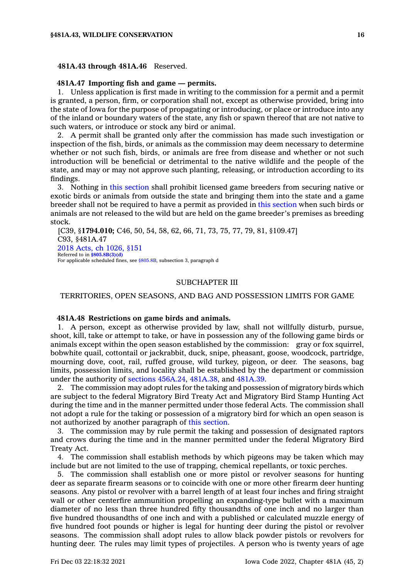### **481A.43 through 481A.46** Reserved.

### **481A.47 Importing fish and game — permits.**

1. Unless application is first made in writing to the commission for <sup>a</sup> permit and <sup>a</sup> permit is granted, <sup>a</sup> person, firm, or corporation shall not, except as otherwise provided, bring into the state of Iowa for the purpose of propagating or introducing, or place or introduce into any of the inland or boundary waters of the state, any fish or spawn thereof that are not native to such waters, or introduce or stock any bird or animal.

2. A permit shall be granted only after the commission has made such investigation or inspection of the fish, birds, or animals as the commission may deem necessary to determine whether or not such fish, birds, or animals are free from disease and whether or not such introduction will be beneficial or detrimental to the native wildlife and the people of the state, and may or may not approve such planting, releasing, or introduction according to its findings.

3. Nothing in this [section](https://www.legis.iowa.gov/docs/code/481A.47.pdf) shall prohibit licensed game breeders from securing native or exotic birds or animals from outside the state and bringing them into the state and <sup>a</sup> game breeder shall not be required to have <sup>a</sup> permit as provided in this [section](https://www.legis.iowa.gov/docs/code/481A.47.pdf) when such birds or animals are not released to the wild but are held on the game breeder's premises as breeding stock.

[C39, §**1794.010;** C46, 50, 54, 58, 62, 66, 71, 73, 75, 77, 79, 81, §109.47] C93, §481A.47 2018 Acts, ch [1026,](https://www.legis.iowa.gov/docs/acts/2018/CH1026.pdf) §151 Referred to in **[§805.8B\(3\)\(d\)](https://www.legis.iowa.gov/docs/code/805.8B.pdf)** For applicable scheduled fines, see [§805.8B](https://www.legis.iowa.gov/docs/code/805.8B.pdf), subsection 3, paragraph d

### SUBCHAPTER III

TERRITORIES, OPEN SEASONS, AND BAG AND POSSESSION LIMITS FOR GAME

### **481A.48 Restrictions on game birds and animals.**

1. A person, except as otherwise provided by law, shall not willfully disturb, pursue, shoot, kill, take or attempt to take, or have in possession any of the following game birds or animals except within the open season established by the commission: gray or fox squirrel, bobwhite quail, cottontail or jackrabbit, duck, snipe, pheasant, goose, woodcock, partridge, mourning dove, coot, rail, ruffed grouse, wild turkey, pigeon, or deer. The seasons, bag limits, possession limits, and locality shall be established by the department or commission under the authority of sections [456A.24](https://www.legis.iowa.gov/docs/code/456A.24.pdf), [481A.38](https://www.legis.iowa.gov/docs/code/481A.38.pdf), and [481A.39](https://www.legis.iowa.gov/docs/code/481A.39.pdf).

2. The commission may adopt rules for the taking and possession of migratory birds which are subject to the federal Migratory Bird Treaty Act and Migratory Bird Stamp Hunting Act during the time and in the manner permitted under those federal Acts. The commission shall not adopt <sup>a</sup> rule for the taking or possession of <sup>a</sup> migratory bird for which an open season is not authorized by another paragraph of this [section](https://www.legis.iowa.gov/docs/code/481A.48.pdf).

3. The commission may by rule permit the taking and possession of designated raptors and crows during the time and in the manner permitted under the federal Migratory Bird Treaty Act.

4. The commission shall establish methods by which pigeons may be taken which may include but are not limited to the use of trapping, chemical repellants, or toxic perches.

5. The commission shall establish one or more pistol or revolver seasons for hunting deer as separate firearm seasons or to coincide with one or more other firearm deer hunting seasons. Any pistol or revolver with <sup>a</sup> barrel length of at least four inches and firing straight wall or other centerfire ammunition propelling an expanding-type bullet with <sup>a</sup> maximum diameter of no less than three hundred fifty thousandths of one inch and no larger than five hundred thousandths of one inch and with <sup>a</sup> published or calculated muzzle energy of five hundred foot pounds or higher is legal for hunting deer during the pistol or revolver seasons. The commission shall adopt rules to allow black powder pistols or revolvers for hunting deer. The rules may limit types of projectiles. A person who is twenty years of age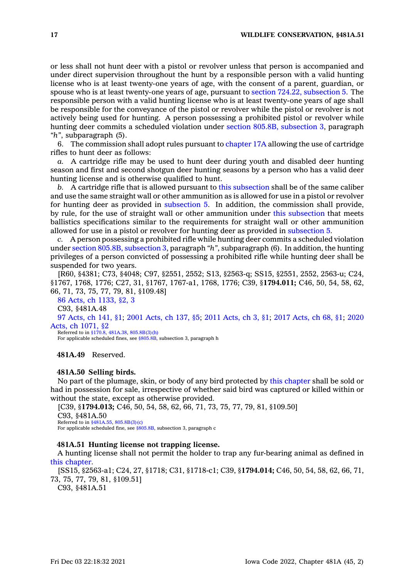or less shall not hunt deer with <sup>a</sup> pistol or revolver unless that person is accompanied and under direct supervision throughout the hunt by <sup>a</sup> responsible person with <sup>a</sup> valid hunting license who is at least twenty-one years of age, with the consent of <sup>a</sup> parent, guardian, or spouse who is at least twenty-one years of age, pursuant to section 724.22, [subsection](https://www.legis.iowa.gov/docs/code/724.22.pdf) 5. The responsible person with <sup>a</sup> valid hunting license who is at least twenty-one years of age shall be responsible for the conveyance of the pistol or revolver while the pistol or revolver is not actively being used for hunting. A person possessing <sup>a</sup> prohibited pistol or revolver while hunting deer commits <sup>a</sup> scheduled violation under section 805.8B, [subsection](https://www.legis.iowa.gov/docs/code/805.8B.pdf) 3, paragraph *"h"*, subparagraph (5).

6. The commission shall adopt rules pursuant to [chapter](https://www.legis.iowa.gov/docs/code//17A.pdf) 17A allowing the use of cartridge rifles to hunt deer as follows:

*a.* A cartridge rifle may be used to hunt deer during youth and disabled deer hunting season and first and second shotgun deer hunting seasons by <sup>a</sup> person who has <sup>a</sup> valid deer hunting license and is otherwise qualified to hunt.

*b.* A cartridge rifle that is allowed pursuant to this [subsection](https://www.legis.iowa.gov/docs/code/481A.48.pdf) shall be of the same caliber and use the same straight wall or other ammunition as is allowed for use in <sup>a</sup> pistol or revolver for hunting deer as provided in [subsection](https://www.legis.iowa.gov/docs/code/481A.48.pdf) 5. In addition, the commission shall provide, by rule, for the use of straight wall or other ammunition under this [subsection](https://www.legis.iowa.gov/docs/code/481A.48.pdf) that meets ballistics specifications similar to the requirements for straight wall or other ammunition allowed for use in <sup>a</sup> pistol or revolver for hunting deer as provided in [subsection](https://www.legis.iowa.gov/docs/code/481A.48.pdf) 5.

*c.* A person possessing <sup>a</sup> prohibited rifle while hunting deer commits <sup>a</sup> scheduled violation under section 805.8B, [subsection](https://www.legis.iowa.gov/docs/code/805.8B.pdf) 3, paragraph *"h"*, subparagraph (6). In addition, the hunting privileges of <sup>a</sup> person convicted of possessing <sup>a</sup> prohibited rifle while hunting deer shall be suspended for two years.

[R60, §4381; C73, §4048; C97, §2551, 2552; S13, §2563-q; SS15, §2551, 2552, 2563-u; C24, §1767, 1768, 1776; C27, 31, §1767, 1767-a1, 1768, 1776; C39, §**1794.011;** C46, 50, 54, 58, 62, 66, 71, 73, 75, 77, 79, 81, §109.48]

86 Acts, ch [1133,](https://www.legis.iowa.gov/docs/acts/1986/CH1133.pdf) §2, 3 C93, §481A.48 97 [Acts,](https://www.legis.iowa.gov/docs/acts/1997/CH0141.pdf) ch 141, §1; 2001 [Acts,](https://www.legis.iowa.gov/docs/acts/2001/CH0137.pdf) ch 137, §5; 2011 [Acts,](https://www.legis.iowa.gov/docs/acts/2011/CH0003.pdf) ch 3, §1; 2017 [Acts,](https://www.legis.iowa.gov/docs/acts/2017/CH0068.pdf) ch 68, §1; [2020](https://www.legis.iowa.gov/docs/acts/2020/CH1071.pdf) Acts, ch [1071,](https://www.legis.iowa.gov/docs/acts/2020/CH1071.pdf) §2

Referred to in [§170.8](https://www.legis.iowa.gov/docs/code/170.8.pdf), [481A.38](https://www.legis.iowa.gov/docs/code/481A.38.pdf), [805.8B\(3\)\(h\)](https://www.legis.iowa.gov/docs/code/805.8B.pdf) For applicable scheduled fines, see [§805.8B](https://www.legis.iowa.gov/docs/code/805.8B.pdf), subsection 3, paragraph h

**481A.49** Reserved.

### **481A.50 Selling birds.**

No part of the plumage, skin, or body of any bird protected by this [chapter](https://www.legis.iowa.gov/docs/code//481A.pdf) shall be sold or had in possession for sale, irrespective of whether said bird was captured or killed within or without the state, except as otherwise provided.

[C39, §**1794.013;** C46, 50, 54, 58, 62, 66, 71, 73, 75, 77, 79, 81, §109.50]

C93, §481A.50 Referred to in [§481A.55](https://www.legis.iowa.gov/docs/code/481A.55.pdf), [805.8B\(3\)\(c\)](https://www.legis.iowa.gov/docs/code/805.8B.pdf) For applicable scheduled fine, see [§805.8B](https://www.legis.iowa.gov/docs/code/805.8B.pdf), subsection 3, paragraph <sup>c</sup>

### **481A.51 Hunting license not trapping license.**

A hunting license shall not permit the holder to trap any fur-bearing animal as defined in this [chapter](https://www.legis.iowa.gov/docs/code//481A.pdf).

[SS15, §2563-a1; C24, 27, §1718; C31, §1718-c1; C39, §**1794.014;** C46, 50, 54, 58, 62, 66, 71, 73, 75, 77, 79, 81, §109.51]

C93, §481A.51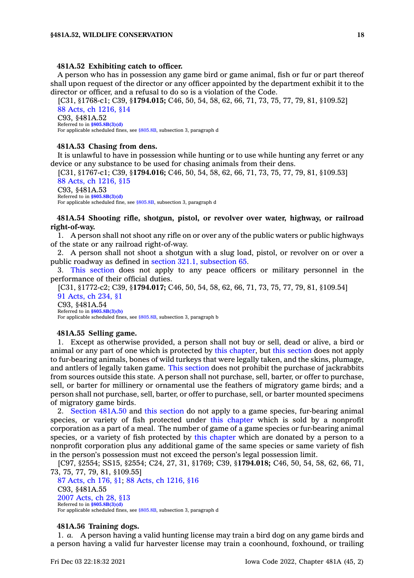#### **481A.52 Exhibiting catch to officer.**

A person who has in possession any game bird or game animal, fish or fur or part thereof shall upon request of the director or any officer appointed by the department exhibit it to the director or officer, and <sup>a</sup> refusal to do so is <sup>a</sup> violation of the Code.

[C31, §1768-c1; C39, §**1794.015;** C46, 50, 54, 58, 62, 66, 71, 73, 75, 77, 79, 81, §109.52] 88 Acts, ch [1216,](https://www.legis.iowa.gov/docs/acts/1988/CH1216.pdf) §14 C93, §481A.52 Referred to in **[§805.8B\(3\)\(d\)](https://www.legis.iowa.gov/docs/code/805.8B.pdf)** For applicable scheduled fines, see [§805.8B](https://www.legis.iowa.gov/docs/code/805.8B.pdf), subsection 3, paragraph d

#### **481A.53 Chasing from dens.**

It is unlawful to have in possession while hunting or to use while hunting any ferret or any device or any substance to be used for chasing animals from their dens.

[C31, §1767-c1; C39, §**1794.016;** C46, 50, 54, 58, 62, 66, 71, 73, 75, 77, 79, 81, §109.53] 88 Acts, ch [1216,](https://www.legis.iowa.gov/docs/acts/1988/CH1216.pdf) §15 C93, §481A.53 Referred to in **[§805.8B\(3\)\(d\)](https://www.legis.iowa.gov/docs/code/805.8B.pdf)**

For applicable scheduled fine, see [§805.8B](https://www.legis.iowa.gov/docs/code/805.8B.pdf), subsection 3, paragraph d

# **481A.54 Shooting rifle, shotgun, pistol, or revolver over water, highway, or railroad right-of-way.**

1. A person shall not shoot any rifle on or over any of the public waters or public highways of the state or any railroad right-of-way.

2. A person shall not shoot <sup>a</sup> shotgun with <sup>a</sup> slug load, pistol, or revolver on or over <sup>a</sup> public roadway as defined in section 321.1, [subsection](https://www.legis.iowa.gov/docs/code/321.1.pdf) 65.

3. This [section](https://www.legis.iowa.gov/docs/code/481A.54.pdf) does not apply to any peace officers or military personnel in the performance of their official duties.

[C31, §1772-c2; C39, §**1794.017;** C46, 50, 54, 58, 62, 66, 71, 73, 75, 77, 79, 81, §109.54] 91 [Acts,](https://www.legis.iowa.gov/docs/acts/1991/CH0234.pdf) ch 234, §1 C93, §481A.54 Referred to in **[§805.8B\(3\)\(b\)](https://www.legis.iowa.gov/docs/code/805.8B.pdf)**

For applicable scheduled fines, see [§805.8B](https://www.legis.iowa.gov/docs/code/805.8B.pdf), subsection 3, paragraph b

#### **481A.55 Selling game.**

1. Except as otherwise provided, <sup>a</sup> person shall not buy or sell, dead or alive, <sup>a</sup> bird or animal or any part of one which is protected by this [chapter](https://www.legis.iowa.gov/docs/code//481A.pdf), but this [section](https://www.legis.iowa.gov/docs/code/481A.55.pdf) does not apply to fur-bearing animals, bones of wild turkeys that were legally taken, and the skins, plumage, and antlers of legally taken game. This [section](https://www.legis.iowa.gov/docs/code/481A.55.pdf) does not prohibit the purchase of jackrabbits from sources outside this state. A person shall not purchase, sell, barter, or offer to purchase, sell, or barter for millinery or ornamental use the feathers of migratory game birds; and <sup>a</sup> person shall not purchase, sell, barter, or offer to purchase, sell, or barter mounted specimens of migratory game birds.

2. Section [481A.50](https://www.legis.iowa.gov/docs/code/481A.50.pdf) and this [section](https://www.legis.iowa.gov/docs/code/481A.55.pdf) do not apply to <sup>a</sup> game species, fur-bearing animal species, or variety of fish protected under this [chapter](https://www.legis.iowa.gov/docs/code//481A.pdf) which is sold by <sup>a</sup> nonprofit corporation as <sup>a</sup> part of <sup>a</sup> meal. The number of game of <sup>a</sup> game species or fur-bearing animal species, or <sup>a</sup> variety of fish protected by this [chapter](https://www.legis.iowa.gov/docs/code//481A.pdf) which are donated by <sup>a</sup> person to <sup>a</sup> nonprofit corporation plus any additional game of the same species or same variety of fish in the person's possession must not exceed the person's legal possession limit.

[C97, §2554; SS15, §2554; C24, 27, 31, §1769; C39, §**1794.018;** C46, 50, 54, 58, 62, 66, 71, 73, 75, 77, 79, 81, §109.55]

87 [Acts,](https://www.legis.iowa.gov/docs/acts/1987/CH0176.pdf) ch 176, §1; 88 Acts, ch [1216,](https://www.legis.iowa.gov/docs/acts/1988/CH1216.pdf) §16 C93, §481A.55 2007 [Acts,](https://www.legis.iowa.gov/docs/acts/2007/CH0028.pdf) ch 28, §13 Referred to in **[§805.8B\(3\)\(d\)](https://www.legis.iowa.gov/docs/code/805.8B.pdf)** For applicable scheduled fines, see [§805.8B](https://www.legis.iowa.gov/docs/code/805.8B.pdf), subsection 3, paragraph d

#### **481A.56 Training dogs.**

1. *a.* A person having <sup>a</sup> valid hunting license may train <sup>a</sup> bird dog on any game birds and <sup>a</sup> person having <sup>a</sup> valid fur harvester license may train <sup>a</sup> coonhound, foxhound, or trailing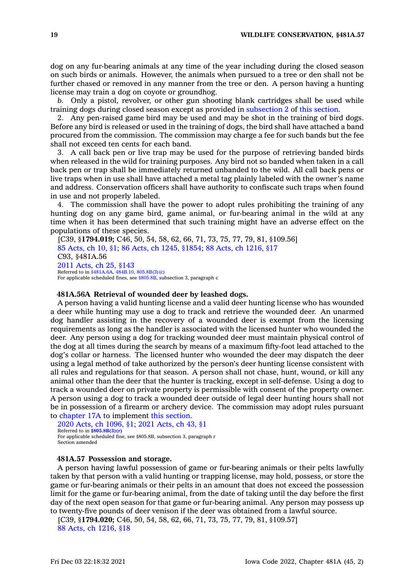dog on any fur-bearing animals at any time of the year including during the closed season on such birds or animals. However, the animals when pursued to <sup>a</sup> tree or den shall not be further chased or removed in any manner from the tree or den. A person having <sup>a</sup> hunting license may train <sup>a</sup> dog on coyote or groundhog.

*b.* Only <sup>a</sup> pistol, revolver, or other gun shooting blank cartridges shall be used while training dogs during closed season except as provided in [subsection](https://www.legis.iowa.gov/docs/code/481A.56.pdf) 2 of this [section](https://www.legis.iowa.gov/docs/code/481A.56.pdf).

2. Any pen-raised game bird may be used and may be shot in the training of bird dogs. Before any bird is released or used in the training of dogs, the bird shall have attached <sup>a</sup> band procured from the commission. The commission may charge <sup>a</sup> fee for such bands but the fee shall not exceed ten cents for each band.

3. A call back pen or live trap may be used for the purpose of retrieving banded birds when released in the wild for training purposes. Any bird not so banded when taken in <sup>a</sup> call back pen or trap shall be immediately returned unbanded to the wild. All call back pens or live traps when in use shall have attached <sup>a</sup> metal tag plainly labeled with the owner's name and address. Conservation officers shall have authority to confiscate such traps when found in use and not properly labeled.

4. The commission shall have the power to adopt rules prohibiting the training of any hunting dog on any game bird, game animal, or fur-bearing animal in the wild at any time when it has been determined that such training might have an adverse effect on the populations of these species.

[C39, §**1794.019;** C46, 50, 54, 58, 62, 66, 71, 73, 75, 77, 79, 81, §109.56] 85 [Acts,](https://www.legis.iowa.gov/docs/acts/1985/CH0010.pdf) ch 10, §1; 86 Acts, ch 1245, [§1854](https://www.legis.iowa.gov/docs/acts/86/CH1245.pdf); 88 Acts, ch [1216,](https://www.legis.iowa.gov/docs/acts/88/CH1216.pdf) §17 C93, §481A.56 2011 [Acts,](https://www.legis.iowa.gov/docs/acts/2011/CH0025.pdf) ch 25, §143 Referred to in [§481A.6A](https://www.legis.iowa.gov/docs/code/481A.6A.pdf), [484B.10](https://www.legis.iowa.gov/docs/code/484B.10.pdf), [805.8B\(3\)\(c\)](https://www.legis.iowa.gov/docs/code/805.8B.pdf) For applicable scheduled fines, see [§805.8B](https://www.legis.iowa.gov/docs/code/805.8B.pdf), subsection 3, paragraph <sup>c</sup>

#### **481A.56A Retrieval of wounded deer by leashed dogs.**

A person having <sup>a</sup> valid hunting license and <sup>a</sup> valid deer hunting license who has wounded <sup>a</sup> deer while hunting may use <sup>a</sup> dog to track and retrieve the wounded deer. An unarmed dog handler assisting in the recovery of <sup>a</sup> wounded deer is exempt from the licensing requirements as long as the handler is associated with the licensed hunter who wounded the deer. Any person using <sup>a</sup> dog for tracking wounded deer must maintain physical control of the dog at all times during the search by means of <sup>a</sup> maximum fifty-foot lead attached to the dog's collar or harness. The licensed hunter who wounded the deer may dispatch the deer using <sup>a</sup> legal method of take authorized by the person's deer hunting license consistent with all rules and regulations for that season. A person shall not chase, hunt, wound, or kill any animal other than the deer that the hunter is tracking, except in self-defense. Using <sup>a</sup> dog to track <sup>a</sup> wounded deer on private property is permissible with consent of the property owner. A person using <sup>a</sup> dog to track <sup>a</sup> wounded deer outside of legal deer hunting hours shall not be in possession of <sup>a</sup> firearm or archery device. The commission may adopt rules pursuant to [chapter](https://www.legis.iowa.gov/docs/code//17A.pdf) 17A to implement this [section](https://www.legis.iowa.gov/docs/code/481A.56A.pdf).

2020 Acts, ch [1096,](https://www.legis.iowa.gov/docs/acts/2020/CH1096.pdf) §1; 2021 [Acts,](https://www.legis.iowa.gov/docs/acts/2021/CH0043.pdf) ch 43, §1 Referred to in **[§805.8B\(3\)\(r\)](https://www.legis.iowa.gov/docs/code/805.8B.pdf)** For applicable scheduled fine, see §805.8B, subsection 3, paragraph <sup>r</sup> Section amended

### **481A.57 Possession and storage.**

A person having lawful possession of game or fur-bearing animals or their pelts lawfully taken by that person with <sup>a</sup> valid hunting or trapping license, may hold, possess, or store the game or fur-bearing animals or their pelts in an amount that does not exceed the possession limit for the game or fur-bearing animal, from the date of taking until the day before the first day of the next open season for that game or fur-bearing animal. Any person may possess up to twenty-five pounds of deer venison if the deer was obtained from <sup>a</sup> lawful source.

[C39, §**1794.020;** C46, 50, 54, 58, 62, 66, 71, 73, 75, 77, 79, 81, §109.57] 88 Acts, ch [1216,](https://www.legis.iowa.gov/docs/acts/1988/CH1216.pdf) §18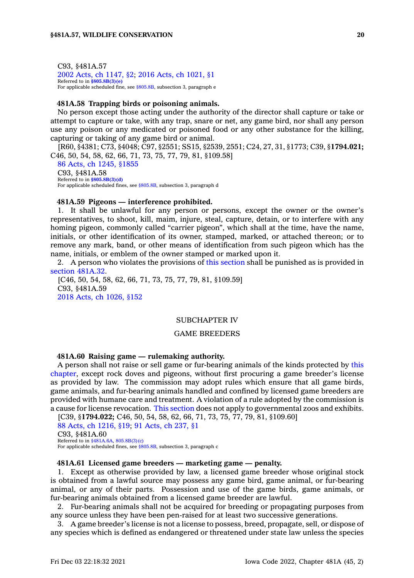C93, §481A.57 2002 Acts, ch [1147,](https://www.legis.iowa.gov/docs/acts/2002/CH1147.pdf) §2; 2016 Acts, ch [1021,](https://www.legis.iowa.gov/docs/acts/2016/CH1021.pdf) §1 Referred to in **[§805.8B\(3\)\(e\)](https://www.legis.iowa.gov/docs/code/805.8B.pdf)** For applicable scheduled fine, see [§805.8B](https://www.legis.iowa.gov/docs/code/805.8B.pdf), subsection 3, paragraph <sup>e</sup>

### **481A.58 Trapping birds or poisoning animals.**

No person except those acting under the authority of the director shall capture or take or attempt to capture or take, with any trap, snare or net, any game bird, nor shall any person use any poison or any medicated or poisoned food or any other substance for the killing, capturing or taking of any game bird or animal.

[R60, §4381; C73, §4048; C97, §2551; SS15, §2539, 2551; C24, 27, 31, §1773; C39, §**1794.021;** C46, 50, 54, 58, 62, 66, 71, 73, 75, 77, 79, 81, §109.58]

86 Acts, ch 1245, [§1855](https://www.legis.iowa.gov/docs/acts/1986/CH1245.pdf) C93, §481A.58 Referred to in **[§805.8B\(3\)\(d\)](https://www.legis.iowa.gov/docs/code/805.8B.pdf)** For applicable scheduled fines, see [§805.8B](https://www.legis.iowa.gov/docs/code/805.8B.pdf), subsection 3, paragraph d

#### **481A.59 Pigeons — interference prohibited.**

1. It shall be unlawful for any person or persons, except the owner or the owner's representatives, to shoot, kill, maim, injure, steal, capture, detain, or to interfere with any homing pigeon, commonly called "carrier pigeon", which shall at the time, have the name, initials, or other identification of its owner, stamped, marked, or attached thereon; or to remove any mark, band, or other means of identification from such pigeon which has the name, initials, or emblem of the owner stamped or marked upon it.

2. A person who violates the provisions of this [section](https://www.legis.iowa.gov/docs/code/481A.59.pdf) shall be punished as is provided in section [481A.32](https://www.legis.iowa.gov/docs/code/481A.32.pdf).

[C46, 50, 54, 58, 62, 66, 71, 73, 75, 77, 79, 81, §109.59] C93, §481A.59 2018 Acts, ch [1026,](https://www.legis.iowa.gov/docs/acts/2018/CH1026.pdf) §152

### SUBCHAPTER IV

#### GAME BREEDERS

# **481A.60 Raising game — rulemaking authority.**

A person shall not raise or sell game or fur-bearing animals of the kinds protected by [this](https://www.legis.iowa.gov/docs/code//481A.pdf) [chapter](https://www.legis.iowa.gov/docs/code//481A.pdf), except rock doves and pigeons, without first procuring <sup>a</sup> game breeder's license as provided by law. The commission may adopt rules which ensure that all game birds, game animals, and fur-bearing animals handled and confined by licensed game breeders are provided with humane care and treatment. A violation of <sup>a</sup> rule adopted by the commission is <sup>a</sup> cause for license revocation. This [section](https://www.legis.iowa.gov/docs/code/481A.60.pdf) does not apply to governmental zoos and exhibits. [C39, §**1794.022;** C46, 50, 54, 58, 62, 66, 71, 73, 75, 77, 79, 81, §109.60]

88 Acts, ch [1216,](https://www.legis.iowa.gov/docs/acts/1988/CH1216.pdf) §19; 91 [Acts,](https://www.legis.iowa.gov/docs/acts/1991/CH0237.pdf) ch 237, §1 C93, §481A.60 Referred to in [§481A.6A](https://www.legis.iowa.gov/docs/code/481A.6A.pdf), [805.8B\(3\)\(c\)](https://www.legis.iowa.gov/docs/code/805.8B.pdf) For applicable scheduled fines, see [§805.8B](https://www.legis.iowa.gov/docs/code/805.8B.pdf), subsection 3, paragraph <sup>c</sup>

#### **481A.61 Licensed game breeders — marketing game — penalty.**

1. Except as otherwise provided by law, <sup>a</sup> licensed game breeder whose original stock is obtained from <sup>a</sup> lawful source may possess any game bird, game animal, or fur-bearing animal, or any of their parts. Possession and use of the game birds, game animals, or fur-bearing animals obtained from <sup>a</sup> licensed game breeder are lawful.

2. Fur-bearing animals shall not be acquired for breeding or propagating purposes from any source unless they have been pen-raised for at least two successive generations.

3. A game breeder's license is not <sup>a</sup> license to possess, breed, propagate, sell, or dispose of any species which is defined as endangered or threatened under state law unless the species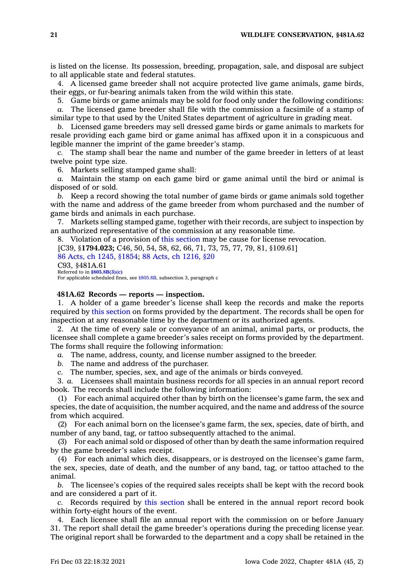is listed on the license. Its possession, breeding, propagation, sale, and disposal are subject to all applicable state and federal statutes.

4. A licensed game breeder shall not acquire protected live game animals, game birds, their eggs, or fur-bearing animals taken from the wild within this state.

5. Game birds or game animals may be sold for food only under the following conditions: *a.* The licensed game breeder shall file with the commission <sup>a</sup> facsimile of <sup>a</sup> stamp of

similar type to that used by the United States department of agriculture in grading meat.

*b.* Licensed game breeders may sell dressed game birds or game animals to markets for resale providing each game bird or game animal has affixed upon it in <sup>a</sup> conspicuous and legible manner the imprint of the game breeder's stamp.

*c.* The stamp shall bear the name and number of the game breeder in letters of at least twelve point type size.

6. Markets selling stamped game shall:

*a.* Maintain the stamp on each game bird or game animal until the bird or animal is disposed of or sold.

*b.* Keep <sup>a</sup> record showing the total number of game birds or game animals sold together with the name and address of the game breeder from whom purchased and the number of game birds and animals in each purchase.

7. Markets selling stamped game, together with their records, are subject to inspection by an authorized representative of the commission at any reasonable time.

8. Violation of <sup>a</sup> provision of this [section](https://www.legis.iowa.gov/docs/code/481A.61.pdf) may be cause for license revocation.

[C39, §**1794.023;** C46, 50, 54, 58, 62, 66, 71, 73, 75, 77, 79, 81, §109.61]

86 Acts, ch 1245, [§1854](https://www.legis.iowa.gov/docs/acts/1986/CH1245.pdf); 88 Acts, ch [1216,](https://www.legis.iowa.gov/docs/acts/1988/CH1216.pdf) §20 C93, §481A.61

Referred to in **[§805.8B\(3\)\(c\)](https://www.legis.iowa.gov/docs/code/805.8B.pdf)** For applicable scheduled fines, see [§805.8B](https://www.legis.iowa.gov/docs/code/805.8B.pdf), subsection 3, paragraph <sup>c</sup>

### **481A.62 Records — reports — inspection.**

1. A holder of <sup>a</sup> game breeder's license shall keep the records and make the reports required by this [section](https://www.legis.iowa.gov/docs/code/481A.62.pdf) on forms provided by the department. The records shall be open for inspection at any reasonable time by the department or its authorized agents.

2. At the time of every sale or conveyance of an animal, animal parts, or products, the licensee shall complete <sup>a</sup> game breeder's sales receipt on forms provided by the department. The forms shall require the following information:

*a.* The name, address, county, and license number assigned to the breeder.

*b.* The name and address of the purchaser.

*c.* The number, species, sex, and age of the animals or birds conveyed.

3. *a.* Licensees shall maintain business records for all species in an annual report record book. The records shall include the following information:

(1) For each animal acquired other than by birth on the licensee's game farm, the sex and species, the date of acquisition, the number acquired, and the name and address of the source from which acquired.

(2) For each animal born on the licensee's game farm, the sex, species, date of birth, and number of any band, tag, or tattoo subsequently attached to the animal.

(3) For each animal sold or disposed of other than by death the same information required by the game breeder's sales receipt.

(4) For each animal which dies, disappears, or is destroyed on the licensee's game farm, the sex, species, date of death, and the number of any band, tag, or tattoo attached to the animal.

*b.* The licensee's copies of the required sales receipts shall be kept with the record book and are considered <sup>a</sup> part of it.

*c.* Records required by this [section](https://www.legis.iowa.gov/docs/code/481A.62.pdf) shall be entered in the annual report record book within forty-eight hours of the event.

4. Each licensee shall file an annual report with the commission on or before January 31. The report shall detail the game breeder's operations during the preceding license year. The original report shall be forwarded to the department and <sup>a</sup> copy shall be retained in the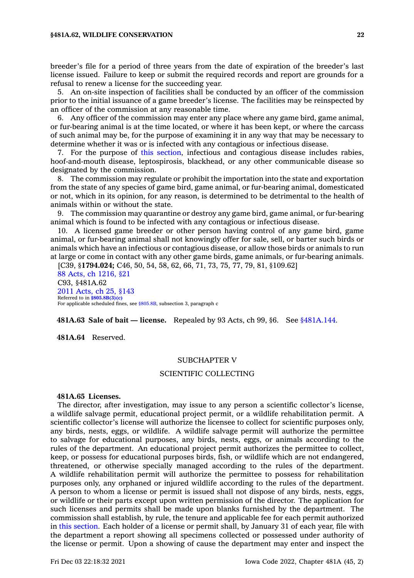breeder's file for <sup>a</sup> period of three years from the date of expiration of the breeder's last license issued. Failure to keep or submit the required records and report are grounds for <sup>a</sup> refusal to renew <sup>a</sup> license for the succeeding year.

5. An on-site inspection of facilities shall be conducted by an officer of the commission prior to the initial issuance of <sup>a</sup> game breeder's license. The facilities may be reinspected by an officer of the commission at any reasonable time.

6. Any officer of the commission may enter any place where any game bird, game animal, or fur-bearing animal is at the time located, or where it has been kept, or where the carcass of such animal may be, for the purpose of examining it in any way that may be necessary to determine whether it was or is infected with any contagious or infectious disease.

7. For the purpose of this [section](https://www.legis.iowa.gov/docs/code/481A.62.pdf), infectious and contagious disease includes rabies, hoof-and-mouth disease, leptospirosis, blackhead, or any other communicable disease so designated by the commission.

8. The commission may regulate or prohibit the importation into the state and exportation from the state of any species of game bird, game animal, or fur-bearing animal, domesticated or not, which in its opinion, for any reason, is determined to be detrimental to the health of animals within or without the state.

9. The commission may quarantine or destroy any game bird, game animal, or fur-bearing animal which is found to be infected with any contagious or infectious disease.

10. A licensed game breeder or other person having control of any game bird, game animal, or fur-bearing animal shall not knowingly offer for sale, sell, or barter such birds or animals which have an infectious or contagious disease, or allow those birds or animals to run at large or come in contact with any other game birds, game animals, or fur-bearing animals.

[C39, §**1794.024;** C46, 50, 54, 58, 62, 66, 71, 73, 75, 77, 79, 81, §109.62] 88 Acts, ch [1216,](https://www.legis.iowa.gov/docs/acts/1988/CH1216.pdf) §21 C93, §481A.62 2011 [Acts,](https://www.legis.iowa.gov/docs/acts/2011/CH0025.pdf) ch 25, §143 Referred to in **[§805.8B\(3\)\(c\)](https://www.legis.iowa.gov/docs/code/805.8B.pdf)** For applicable scheduled fines, see [§805.8B](https://www.legis.iowa.gov/docs/code/805.8B.pdf), subsection 3, paragraph c

**481A.63 Sale of bait — license.** Repealed by 93 Acts, ch 99, §6. See [§481A.144](https://www.legis.iowa.gov/docs/code/481A.144.pdf).

**481A.64** Reserved.

### SUBCHAPTER V

### SCIENTIFIC COLLECTING

### **481A.65 Licenses.**

The director, after investigation, may issue to any person <sup>a</sup> scientific collector's license, <sup>a</sup> wildlife salvage permit, educational project permit, or <sup>a</sup> wildlife rehabilitation permit. A scientific collector's license will authorize the licensee to collect for scientific purposes only, any birds, nests, eggs, or wildlife. A wildlife salvage permit will authorize the permittee to salvage for educational purposes, any birds, nests, eggs, or animals according to the rules of the department. An educational project permit authorizes the permittee to collect, keep, or possess for educational purposes birds, fish, or wildlife which are not endangered, threatened, or otherwise specially managed according to the rules of the department. A wildlife rehabilitation permit will authorize the permittee to possess for rehabilitation purposes only, any orphaned or injured wildlife according to the rules of the department. A person to whom <sup>a</sup> license or permit is issued shall not dispose of any birds, nests, eggs, or wildlife or their parts except upon written permission of the director. The application for such licenses and permits shall be made upon blanks furnished by the department. The commission shall establish, by rule, the tenure and applicable fee for each permit authorized in this [section](https://www.legis.iowa.gov/docs/code/481A.65.pdf). Each holder of <sup>a</sup> license or permit shall, by January 31 of each year, file with the department <sup>a</sup> report showing all specimens collected or possessed under authority of the license or permit. Upon <sup>a</sup> showing of cause the department may enter and inspect the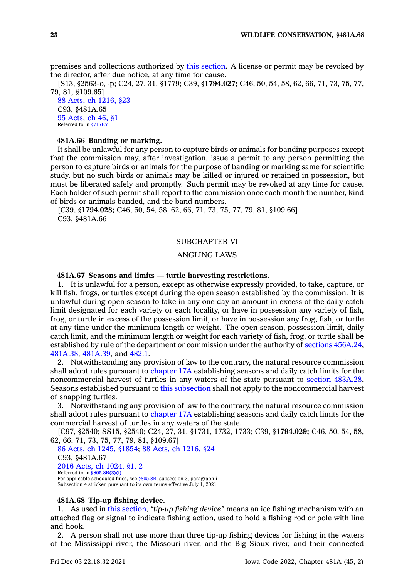premises and collections authorized by this [section](https://www.legis.iowa.gov/docs/code/481A.65.pdf). A license or permit may be revoked by the director, after due notice, at any time for cause.

[S13, §2563-o, -p; C24, 27, 31, §1779; C39, §**1794.027;** C46, 50, 54, 58, 62, 66, 71, 73, 75, 77, 79, 81, §109.65]

88 Acts, ch [1216,](https://www.legis.iowa.gov/docs/acts/1988/CH1216.pdf) §23 C93, §481A.65 95 [Acts,](https://www.legis.iowa.gov/docs/acts/1995/CH0046.pdf) ch 46, §1 Referred to in [§717F.7](https://www.legis.iowa.gov/docs/code/717F.7.pdf)

# **481A.66 Banding or marking.**

It shall be unlawful for any person to capture birds or animals for banding purposes except that the commission may, after investigation, issue <sup>a</sup> permit to any person permitting the person to capture birds or animals for the purpose of banding or marking same for scientific study, but no such birds or animals may be killed or injured or retained in possession, but must be liberated safely and promptly. Such permit may be revoked at any time for cause. Each holder of such permit shall report to the commission once each month the number, kind of birds or animals banded, and the band numbers.

[C39, §**1794.028;** C46, 50, 54, 58, 62, 66, 71, 73, 75, 77, 79, 81, §109.66] C93, §481A.66

### SUBCHAPTER VI

### ANGLING LAWS

### **481A.67 Seasons and limits — turtle harvesting restrictions.**

1. It is unlawful for <sup>a</sup> person, except as otherwise expressly provided, to take, capture, or kill fish, frogs, or turtles except during the open season established by the commission. It is unlawful during open season to take in any one day an amount in excess of the daily catch limit designated for each variety or each locality, or have in possession any variety of fish, frog, or turtle in excess of the possession limit, or have in possession any frog, fish, or turtle at any time under the minimum length or weight. The open season, possession limit, daily catch limit, and the minimum length or weight for each variety of fish, frog, or turtle shall be established by rule of the department or commission under the authority of sections [456A.24](https://www.legis.iowa.gov/docs/code/456A.24.pdf), [481A.38](https://www.legis.iowa.gov/docs/code/481A.38.pdf), [481A.39](https://www.legis.iowa.gov/docs/code/481A.39.pdf), and [482.1](https://www.legis.iowa.gov/docs/code/482.1.pdf).

2. Notwithstanding any provision of law to the contrary, the natural resource commission shall adopt rules pursuant to [chapter](https://www.legis.iowa.gov/docs/code//17A.pdf) 17A establishing seasons and daily catch limits for the noncommercial harvest of turtles in any waters of the state pursuant to section [483A.28](https://www.legis.iowa.gov/docs/code/483A.28.pdf). Seasons established pursuant to this [subsection](https://www.legis.iowa.gov/docs/code/481A.67.pdf) shall not apply to the noncommercial harvest of snapping turtles.

3. Notwithstanding any provision of law to the contrary, the natural resource commission shall adopt rules pursuant to [chapter](https://www.legis.iowa.gov/docs/code//17A.pdf) 17A establishing seasons and daily catch limits for the commercial harvest of turtles in any waters of the state.

[C97, §2540; SS15, §2540; C24, 27, 31, §1731, 1732, 1733; C39, §**1794.029;** C46, 50, 54, 58, 62, 66, 71, 73, 75, 77, 79, 81, §109.67]

86 Acts, ch 1245, [§1854](https://www.legis.iowa.gov/docs/acts/1986/CH1245.pdf); 88 Acts, ch [1216,](https://www.legis.iowa.gov/docs/acts/88/CH1216.pdf) §24 C93, §481A.67 2016 Acts, ch [1024,](https://www.legis.iowa.gov/docs/acts/2016/CH1024.pdf) §1, 2 Referred to in **[§805.8B\(3\)\(i\)](https://www.legis.iowa.gov/docs/code/805.8B.pdf)** For applicable scheduled fines, see [§805.8B](https://www.legis.iowa.gov/docs/code/805.8B.pdf), subsection 3, paragraph i Subsection 4 stricken pursuant to its own terms effective July 1, 2021

### **481A.68 Tip-up fishing device.**

1. As used in this [section](https://www.legis.iowa.gov/docs/code/481A.68.pdf), *"tip-up fishing device"* means an ice fishing mechanism with an attached flag or signal to indicate fishing action, used to hold <sup>a</sup> fishing rod or pole with line and hook.

2. A person shall not use more than three tip-up fishing devices for fishing in the waters of the Mississippi river, the Missouri river, and the Big Sioux river, and their connected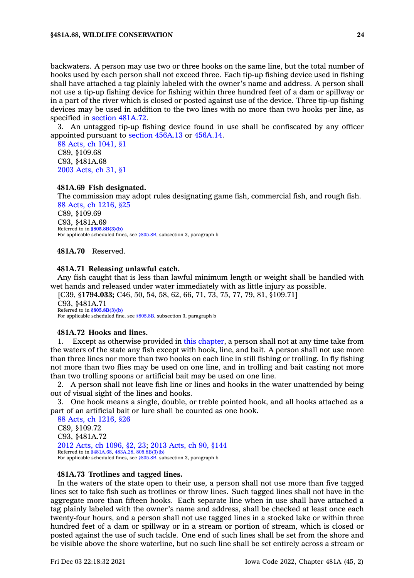backwaters. A person may use two or three hooks on the same line, but the total number of hooks used by each person shall not exceed three. Each tip-up fishing device used in fishing shall have attached <sup>a</sup> tag plainly labeled with the owner's name and address. A person shall not use <sup>a</sup> tip-up fishing device for fishing within three hundred feet of <sup>a</sup> dam or spillway or in <sup>a</sup> part of the river which is closed or posted against use of the device. Three tip-up fishing devices may be used in addition to the two lines with no more than two hooks per line, as specified in section [481A.72](https://www.legis.iowa.gov/docs/code/481A.72.pdf).

3. An untagged tip-up fishing device found in use shall be confiscated by any officer appointed pursuant to section [456A.13](https://www.legis.iowa.gov/docs/code/456A.13.pdf) or [456A.14](https://www.legis.iowa.gov/docs/code/456A.14.pdf).

88 Acts, ch [1041,](https://www.legis.iowa.gov/docs/acts/1988/CH1041.pdf) §1 C89, §109.68 C93, §481A.68 2003 [Acts,](https://www.legis.iowa.gov/docs/acts/2003/CH0031.pdf) ch 31, §1

### **481A.69 Fish designated.**

The commission may adopt rules designating game fish, commercial fish, and rough fish. 88 Acts, ch [1216,](https://www.legis.iowa.gov/docs/acts/1988/CH1216.pdf) §25 C89, §109.69 C93, §481A.69 Referred to in **[§805.8B\(3\)\(b\)](https://www.legis.iowa.gov/docs/code/805.8B.pdf)** For applicable scheduled fines, see [§805.8B](https://www.legis.iowa.gov/docs/code/805.8B.pdf), subsection 3, paragraph b

**481A.70** Reserved.

### **481A.71 Releasing unlawful catch.**

Any fish caught that is less than lawful minimum length or weight shall be handled with wet hands and released under water immediately with as little injury as possible.

[C39, §**1794.033;** C46, 50, 54, 58, 62, 66, 71, 73, 75, 77, 79, 81, §109.71]

C93, §481A.71 Referred to in **[§805.8B\(3\)\(b\)](https://www.legis.iowa.gov/docs/code/805.8B.pdf)** For applicable scheduled fine, see [§805.8B](https://www.legis.iowa.gov/docs/code/805.8B.pdf), subsection 3, paragraph b

#### **481A.72 Hooks and lines.**

1. Except as otherwise provided in this [chapter](https://www.legis.iowa.gov/docs/code//481A.pdf), <sup>a</sup> person shall not at any time take from the waters of the state any fish except with hook, line, and bait. A person shall not use more than three lines nor more than two hooks on each line in still fishing or trolling. In fly fishing not more than two flies may be used on one line, and in trolling and bait casting not more than two trolling spoons or artificial bait may be used on one line.

2. A person shall not leave fish line or lines and hooks in the water unattended by being out of visual sight of the lines and hooks.

3. One hook means <sup>a</sup> single, double, or treble pointed hook, and all hooks attached as <sup>a</sup> part of an artificial bait or lure shall be counted as one hook.

88 Acts, ch [1216,](https://www.legis.iowa.gov/docs/acts/1988/CH1216.pdf) §26 C89, §109.72 C93, §481A.72 2012 Acts, ch [1096,](https://www.legis.iowa.gov/docs/acts/2012/CH1096.pdf) §2, 23; 2013 [Acts,](https://www.legis.iowa.gov/docs/acts/2013/CH0090.pdf) ch 90, §144 Referred to in [§481A.68](https://www.legis.iowa.gov/docs/code/481A.68.pdf), [483A.28](https://www.legis.iowa.gov/docs/code/483A.28.pdf), [805.8B\(3\)\(b\)](https://www.legis.iowa.gov/docs/code/805.8B.pdf) For applicable scheduled fines, see [§805.8B](https://www.legis.iowa.gov/docs/code/805.8B.pdf), subsection 3, paragraph b

### **481A.73 Trotlines and tagged lines.**

In the waters of the state open to their use, <sup>a</sup> person shall not use more than five tagged lines set to take fish such as trotlines or throw lines. Such tagged lines shall not have in the aggregate more than fifteen hooks. Each separate line when in use shall have attached <sup>a</sup> tag plainly labeled with the owner's name and address, shall be checked at least once each twenty-four hours, and <sup>a</sup> person shall not use tagged lines in <sup>a</sup> stocked lake or within three hundred feet of <sup>a</sup> dam or spillway or in <sup>a</sup> stream or portion of stream, which is closed or posted against the use of such tackle. One end of such lines shall be set from the shore and be visible above the shore waterline, but no such line shall be set entirely across <sup>a</sup> stream or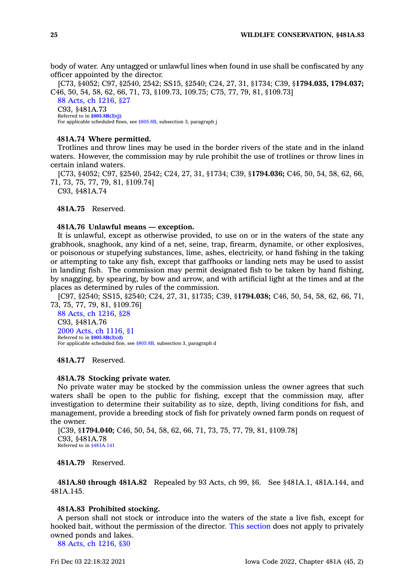body of water. Any untagged or unlawful lines when found in use shall be confiscated by any officer appointed by the director.

[C73, §4052; C97, §2540, 2542; SS15, §2540; C24, 27, 31, §1734; C39, §**1794.035, 1794.037;** C46, 50, 54, 58, 62, 66, 71, 73, §109.73, 109.75; C75, 77, 79, 81, §109.73] 88 Acts, ch [1216,](https://www.legis.iowa.gov/docs/acts/1988/CH1216.pdf) §27 C93, §481A.73 Referred to in **[§805.8B\(3\)\(j\)](https://www.legis.iowa.gov/docs/code/805.8B.pdf)** For applicable scheduled fines, see [§805.8B](https://www.legis.iowa.gov/docs/code/805.8B.pdf), subsection 3, paragraph j

### **481A.74 Where permitted.**

Trotlines and throw lines may be used in the border rivers of the state and in the inland waters. However, the commission may by rule prohibit the use of trotlines or throw lines in certain inland waters.

[C73, §4052; C97, §2540, 2542; C24, 27, 31, §1734; C39, §**1794.036;** C46, 50, 54, 58, 62, 66, 71, 73, 75, 77, 79, 81, §109.74]

C93, §481A.74

**481A.75** Reserved.

### **481A.76 Unlawful means — exception.**

It is unlawful, except as otherwise provided, to use on or in the waters of the state any grabhook, snaghook, any kind of <sup>a</sup> net, seine, trap, firearm, dynamite, or other explosives, or poisonous or stupefying substances, lime, ashes, electricity, or hand fishing in the taking or attempting to take any fish, except that gaffhooks or landing nets may be used to assist in landing fish. The commission may permit designated fish to be taken by hand fishing, by snagging, by spearing, by bow and arrow, and with artificial light at the times and at the places as determined by rules of the commission.

[C97, §2540; SS15, §2540; C24, 27, 31, §1735; C39, §**1794.038;** C46, 50, 54, 58, 62, 66, 71, 73, 75, 77, 79, 81, §109.76]

88 Acts, ch [1216,](https://www.legis.iowa.gov/docs/acts/1988/CH1216.pdf) §28 C93, §481A.76 2000 Acts, ch [1116,](https://www.legis.iowa.gov/docs/acts/2000/CH1116.pdf) §1 Referred to in **[§805.8B\(3\)\(d\)](https://www.legis.iowa.gov/docs/code/805.8B.pdf)** For applicable scheduled fine, see [§805.8B](https://www.legis.iowa.gov/docs/code/805.8B.pdf), subsection 3, paragraph d

**481A.77** Reserved.

#### **481A.78 Stocking private water.**

No private water may be stocked by the commission unless the owner agrees that such waters shall be open to the public for fishing, except that the commission may, after investigation to determine their suitability as to size, depth, living conditions for fish, and management, provide <sup>a</sup> breeding stock of fish for privately owned farm ponds on request of the owner.

[C39, §**1794.040;** C46, 50, 54, 58, 62, 66, 71, 73, 75, 77, 79, 81, §109.78] C93, §481A.78 Referred to in [§481A.141](https://www.legis.iowa.gov/docs/code/481A.141.pdf)

**481A.79** Reserved.

**481A.80 through 481A.82** Repealed by 93 Acts, ch 99, §6. See §481A.1, 481A.144, and 481A.145.

### **481A.83 Prohibited stocking.**

A person shall not stock or introduce into the waters of the state <sup>a</sup> live fish, except for hooked bait, without the permission of the director. This [section](https://www.legis.iowa.gov/docs/code/481A.83.pdf) does not apply to privately owned ponds and lakes.

88 Acts, ch [1216,](https://www.legis.iowa.gov/docs/acts/1988/CH1216.pdf) §30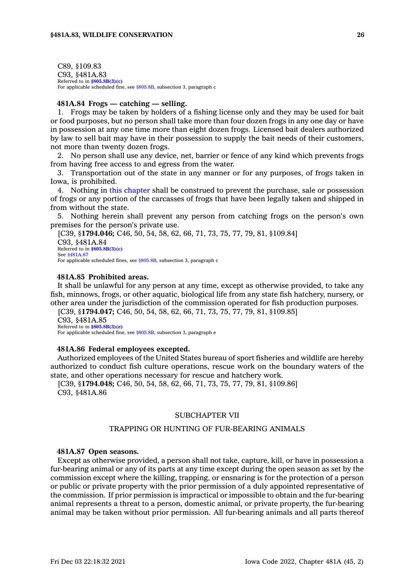C89, §109.83 C93, §481A.83 Referred to in **[§805.8B\(3\)\(c\)](https://www.legis.iowa.gov/docs/code/805.8B.pdf)** For applicable scheduled fine, see [§805.8B](https://www.legis.iowa.gov/docs/code/805.8B.pdf), subsection 3, paragraph <sup>c</sup>

# **481A.84 Frogs — catching — selling.**

1. Frogs may be taken by holders of <sup>a</sup> fishing license only and they may be used for bait or food purposes, but no person shall take more than four dozen frogs in any one day or have in possession at any one time more than eight dozen frogs. Licensed bait dealers authorized by law to sell bait may have in their possession to supply the bait needs of their customers, not more than twenty dozen frogs.

2. No person shall use any device, net, barrier or fence of any kind which prevents frogs from having free access to and egress from the water.

3. Transportation out of the state in any manner or for any purposes, of frogs taken in Iowa, is prohibited.

4. Nothing in this [chapter](https://www.legis.iowa.gov/docs/code//481A.pdf) shall be construed to prevent the purchase, sale or possession of frogs or any portion of the carcasses of frogs that have been legally taken and shipped in from without the state.

5. Nothing herein shall prevent any person from catching frogs on the person's own premises for the person's private use.

[C39, §**1794.046;** C46, 50, 54, 58, 62, 66, 71, 73, 75, 77, 79, 81, §109.84] C93, §481A.84 Referred to in **[§805.8B\(3\)\(c\)](https://www.legis.iowa.gov/docs/code/805.8B.pdf)** See [§481A.67](https://www.legis.iowa.gov/docs/code/481A.67.pdf) For applicable scheduled fines, see [§805.8B](https://www.legis.iowa.gov/docs/code/805.8B.pdf), subsection 3, paragraph <sup>c</sup>

### **481A.85 Prohibited areas.**

It shall be unlawful for any person at any time, except as otherwise provided, to take any fish, minnows, frogs, or other aquatic, biological life from any state fish hatchery, nursery, or other area under the jurisdiction of the commission operated for fish production purposes.

[C39, §**1794.047;** C46, 50, 54, 58, 62, 66, 71, 73, 75, 77, 79, 81, §109.85] C93, §481A.85 Referred to in **[§805.8B\(3\)\(e\)](https://www.legis.iowa.gov/docs/code/805.8B.pdf)**

For applicable scheduled fine, see [§805.8B](https://www.legis.iowa.gov/docs/code/805.8B.pdf), subsection 3, paragraph <sup>e</sup>

#### **481A.86 Federal employees excepted.**

Authorized employees of the United States bureau of sport fisheries and wildlife are hereby authorized to conduct fish culture operations, rescue work on the boundary waters of the state, and other operations necessary for rescue and hatchery work.

[C39, §**1794.048;** C46, 50, 54, 58, 62, 66, 71, 73, 75, 77, 79, 81, §109.86] C93, §481A.86

### SUBCHAPTER VII

# TRAPPING OR HUNTING OF FUR-BEARING ANIMALS

### **481A.87 Open seasons.**

Except as otherwise provided, <sup>a</sup> person shall not take, capture, kill, or have in possession <sup>a</sup> fur-bearing animal or any of its parts at any time except during the open season as set by the commission except where the killing, trapping, or ensnaring is for the protection of <sup>a</sup> person or public or private property with the prior permission of <sup>a</sup> duly appointed representative of the commission. If prior permission is impractical or impossible to obtain and the fur-bearing animal represents <sup>a</sup> threat to <sup>a</sup> person, domestic animal, or private property, the fur-bearing animal may be taken without prior permission. All fur-bearing animals and all parts thereof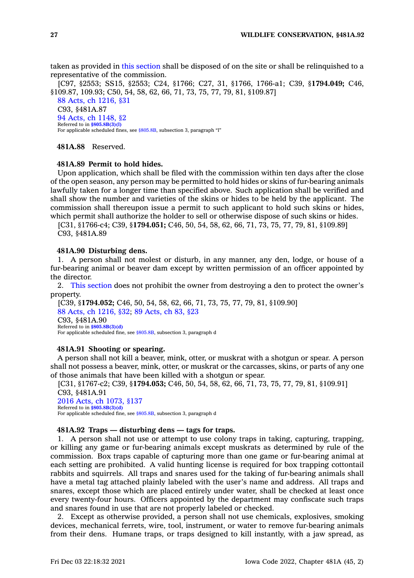taken as provided in this [section](https://www.legis.iowa.gov/docs/code/481A.87.pdf) shall be disposed of on the site or shall be relinquished to <sup>a</sup> representative of the commission.

[C97, §2553; SS15, §2553; C24, §1766; C27, 31, §1766, 1766-a1; C39, §**1794.049;** C46, §109.87, 109.93; C50, 54, 58, 62, 66, 71, 73, 75, 77, 79, 81, §109.87] 88 Acts, ch [1216,](https://www.legis.iowa.gov/docs/acts/1988/CH1216.pdf) §31 C93, §481A.87 94 Acts, ch [1148,](https://www.legis.iowa.gov/docs/acts/1994/CH1148.pdf) §2 Referred to in **[§805.8B\(3\)\(l\)](https://www.legis.iowa.gov/docs/code/805.8B.pdf)** For applicable scheduled fines, see [§805.8B](https://www.legis.iowa.gov/docs/code/805.8B.pdf), subsection 3, paragraph "l"

**481A.88** Reserved.

### **481A.89 Permit to hold hides.**

Upon application, which shall be filed with the commission within ten days after the close of the open season, any person may be permitted to hold hides or skins of fur-bearing animals lawfully taken for <sup>a</sup> longer time than specified above. Such application shall be verified and shall show the number and varieties of the skins or hides to be held by the applicant. The commission shall thereupon issue <sup>a</sup> permit to such applicant to hold such skins or hides, which permit shall authorize the holder to sell or otherwise dispose of such skins or hides.

[C31, §1766-c4; C39, §**1794.051;** C46, 50, 54, 58, 62, 66, 71, 73, 75, 77, 79, 81, §109.89] C93, §481A.89

# **481A.90 Disturbing dens.**

1. A person shall not molest or disturb, in any manner, any den, lodge, or house of <sup>a</sup> fur-bearing animal or beaver dam except by written permission of an officer appointed by the director.

2. This [section](https://www.legis.iowa.gov/docs/code/481A.90.pdf) does not prohibit the owner from destroying <sup>a</sup> den to protect the owner's property.

[C39, §**1794.052;** C46, 50, 54, 58, 62, 66, 71, 73, 75, 77, 79, 81, §109.90] 88 Acts, ch [1216,](https://www.legis.iowa.gov/docs/acts/1988/CH1216.pdf) §32; 89 [Acts,](https://www.legis.iowa.gov/docs/acts/1989/CH0083.pdf) ch 83, §23 C93, §481A.90 Referred to in **[§805.8B\(3\)\(d\)](https://www.legis.iowa.gov/docs/code/805.8B.pdf)** For applicable scheduled fine, see [§805.8B](https://www.legis.iowa.gov/docs/code/805.8B.pdf), subsection 3, paragraph d

### **481A.91 Shooting or spearing.**

A person shall not kill <sup>a</sup> beaver, mink, otter, or muskrat with <sup>a</sup> shotgun or spear. A person shall not possess <sup>a</sup> beaver, mink, otter, or muskrat or the carcasses, skins, or parts of any one of those animals that have been killed with <sup>a</sup> shotgun or spear.

[C31, §1767-c2; C39, §**1794.053;** C46, 50, 54, 58, 62, 66, 71, 73, 75, 77, 79, 81, §109.91] C93, §481A.91 2016 Acts, ch [1073,](https://www.legis.iowa.gov/docs/acts/2016/CH1073.pdf) §137 Referred to in **[§805.8B\(3\)\(d\)](https://www.legis.iowa.gov/docs/code/805.8B.pdf)** For applicable scheduled fine, see [§805.8B](https://www.legis.iowa.gov/docs/code/805.8B.pdf), subsection 3, paragraph d

#### **481A.92 Traps — disturbing dens — tags for traps.**

1. A person shall not use or attempt to use colony traps in taking, capturing, trapping, or killing any game or fur-bearing animals except muskrats as determined by rule of the commission. Box traps capable of capturing more than one game or fur-bearing animal at each setting are prohibited. A valid hunting license is required for box trapping cottontail rabbits and squirrels. All traps and snares used for the taking of fur-bearing animals shall have <sup>a</sup> metal tag attached plainly labeled with the user's name and address. All traps and snares, except those which are placed entirely under water, shall be checked at least once every twenty-four hours. Officers appointed by the department may confiscate such traps and snares found in use that are not properly labeled or checked.

2. Except as otherwise provided, <sup>a</sup> person shall not use chemicals, explosives, smoking devices, mechanical ferrets, wire, tool, instrument, or water to remove fur-bearing animals from their dens. Humane traps, or traps designed to kill instantly, with <sup>a</sup> jaw spread, as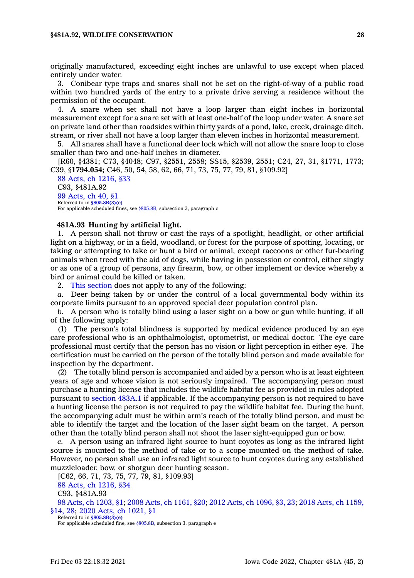### **§481A.92, WILDLIFE CONSERVATION 28**

originally manufactured, exceeding eight inches are unlawful to use except when placed entirely under water.

3. Conibear type traps and snares shall not be set on the right-of-way of <sup>a</sup> public road within two hundred yards of the entry to <sup>a</sup> private drive serving <sup>a</sup> residence without the permission of the occupant.

4. A snare when set shall not have <sup>a</sup> loop larger than eight inches in horizontal measurement except for <sup>a</sup> snare set with at least one-half of the loop under water. A snare set on private land other than roadsides within thirty yards of <sup>a</sup> pond, lake, creek, drainage ditch, stream, or river shall not have <sup>a</sup> loop larger than eleven inches in horizontal measurement.

5. All snares shall have <sup>a</sup> functional deer lock which will not allow the snare loop to close smaller than two and one-half inches in diameter.

[R60, §4381; C73, §4048; C97, §2551, 2558; SS15, §2539, 2551; C24, 27, 31, §1771, 1773; C39, §**1794.054;** C46, 50, 54, 58, 62, 66, 71, 73, 75, 77, 79, 81, §109.92]

88 Acts, ch [1216,](https://www.legis.iowa.gov/docs/acts/1988/CH1216.pdf) §33 C93, §481A.92 99 [Acts,](https://www.legis.iowa.gov/docs/acts/1999/CH0040.pdf) ch 40, §1 Referred to in **[§805.8B\(3\)\(c\)](https://www.legis.iowa.gov/docs/code/805.8B.pdf)** For applicable scheduled fines, see [§805.8B](https://www.legis.iowa.gov/docs/code/805.8B.pdf), subsection 3, paragraph <sup>c</sup>

#### **481A.93 Hunting by artificial light.**

1. A person shall not throw or cast the rays of <sup>a</sup> spotlight, headlight, or other artificial light on <sup>a</sup> highway, or in <sup>a</sup> field, woodland, or forest for the purpose of spotting, locating, or taking or attempting to take or hunt <sup>a</sup> bird or animal, except raccoons or other fur-bearing animals when treed with the aid of dogs, while having in possession or control, either singly or as one of <sup>a</sup> group of persons, any firearm, bow, or other implement or device whereby <sup>a</sup> bird or animal could be killed or taken.

2. This [section](https://www.legis.iowa.gov/docs/code/481A.93.pdf) does not apply to any of the following:

*a.* Deer being taken by or under the control of <sup>a</sup> local governmental body within its corporate limits pursuant to an approved special deer population control plan.

*b.* A person who is totally blind using <sup>a</sup> laser sight on <sup>a</sup> bow or gun while hunting, if all of the following apply:

(1) The person's total blindness is supported by medical evidence produced by an eye care professional who is an ophthalmologist, optometrist, or medical doctor. The eye care professional must certify that the person has no vision or light perception in either eye. The certification must be carried on the person of the totally blind person and made available for inspection by the department.

(2) The totally blind person is accompanied and aided by <sup>a</sup> person who is at least eighteen years of age and whose vision is not seriously impaired. The accompanying person must purchase <sup>a</sup> hunting license that includes the wildlife habitat fee as provided in rules adopted pursuant to [section](https://www.legis.iowa.gov/docs/code/483A.1.pdf) 483A.1 if applicable. If the accompanying person is not required to have <sup>a</sup> hunting license the person is not required to pay the wildlife habitat fee. During the hunt, the accompanying adult must be within arm's reach of the totally blind person, and must be able to identify the target and the location of the laser sight beam on the target. A person other than the totally blind person shall not shoot the laser sight-equipped gun or bow.

*c.* A person using an infrared light source to hunt coyotes as long as the infrared light source is mounted to the method of take or to <sup>a</sup> scope mounted on the method of take. However, no person shall use an infrared light source to hunt coyotes during any established muzzleloader, bow, or shotgun deer hunting season.

[C62, 66, 71, 73, 75, 77, 79, 81, §109.93] 88 Acts, ch [1216,](https://www.legis.iowa.gov/docs/acts/1988/CH1216.pdf) §34 C93, §481A.93 98 Acts, ch [1203,](https://www.legis.iowa.gov/docs/acts/1998/CH1203.pdf) §1; 2008 Acts, ch [1161,](https://www.legis.iowa.gov/docs/acts/2008/CH1161.pdf) §20; 2012 Acts, ch [1096,](https://www.legis.iowa.gov/docs/acts/2012/CH1096.pdf) §3, 23; 2018 Acts, ch [1159,](https://www.legis.iowa.gov/docs/acts/2018/CH1159.pdf) [§14,](https://www.legis.iowa.gov/docs/acts/2018/CH1159.pdf) 28; 2020 Acts, ch [1021,](https://www.legis.iowa.gov/docs/acts/2020/CH1021.pdf) §1 Referred to in **[§805.8B\(3\)\(e\)](https://www.legis.iowa.gov/docs/code/805.8B.pdf)**

For applicable scheduled fine, see [§805.8B](https://www.legis.iowa.gov/docs/code/805.8B.pdf), subsection 3, paragraph <sup>e</sup>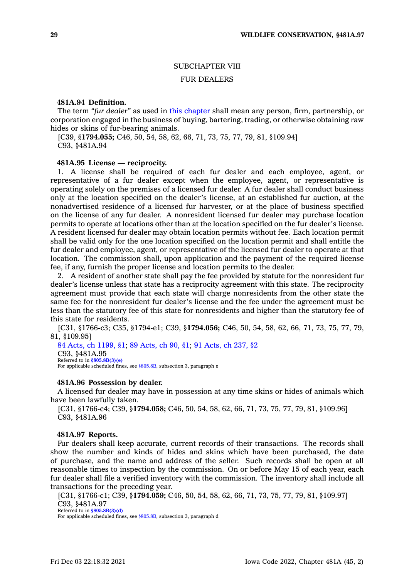### SUBCHAPTER VIII

### FUR DEALERS

### **481A.94 Definition.**

The term *"fur dealer"* as used in this [chapter](https://www.legis.iowa.gov/docs/code//481A.pdf) shall mean any person, firm, partnership, or corporation engaged in the business of buying, bartering, trading, or otherwise obtaining raw hides or skins of fur-bearing animals.

[C39, §**1794.055;** C46, 50, 54, 58, 62, 66, 71, 73, 75, 77, 79, 81, §109.94] C93, §481A.94

### **481A.95 License — reciprocity.**

1. A license shall be required of each fur dealer and each employee, agent, or representative of <sup>a</sup> fur dealer except when the employee, agent, or representative is operating solely on the premises of <sup>a</sup> licensed fur dealer. A fur dealer shall conduct business only at the location specified on the dealer's license, at an established fur auction, at the nonadvertised residence of <sup>a</sup> licensed fur harvester, or at the place of business specified on the license of any fur dealer. A nonresident licensed fur dealer may purchase location permits to operate at locations other than at the location specified on the fur dealer's license. A resident licensed fur dealer may obtain location permits without fee. Each location permit shall be valid only for the one location specified on the location permit and shall entitle the fur dealer and employee, agent, or representative of the licensed fur dealer to operate at that location. The commission shall, upon application and the payment of the required license fee, if any, furnish the proper license and location permits to the dealer.

2. A resident of another state shall pay the fee provided by statute for the nonresident fur dealer's license unless that state has <sup>a</sup> reciprocity agreement with this state. The reciprocity agreement must provide that each state will charge nonresidents from the other state the same fee for the nonresident fur dealer's license and the fee under the agreement must be less than the statutory fee of this state for nonresidents and higher than the statutory fee of this state for residents.

[C31, §1766-c3; C35, §1794-e1; C39, §**1794.056;** C46, 50, 54, 58, 62, 66, 71, 73, 75, 77, 79, 81, §109.95]

84 Acts, ch [1199,](https://www.legis.iowa.gov/docs/acts/1984/CH1199.pdf) §1; 89 [Acts,](https://www.legis.iowa.gov/docs/acts/1989/CH0090.pdf) ch 90, §1; 91 [Acts,](https://www.legis.iowa.gov/docs/acts/1991/CH0237.pdf) ch 237, §2 C93, §481A.95 Referred to in **[§805.8B\(3\)\(e\)](https://www.legis.iowa.gov/docs/code/805.8B.pdf)** For applicable scheduled fines, see [§805.8B](https://www.legis.iowa.gov/docs/code/805.8B.pdf), subsection 3, paragraph <sup>e</sup>

### **481A.96 Possession by dealer.**

A licensed fur dealer may have in possession at any time skins or hides of animals which have been lawfully taken.

[C31, §1766-c4; C39, §**1794.058;** C46, 50, 54, 58, 62, 66, 71, 73, 75, 77, 79, 81, §109.96] C93, §481A.96

#### **481A.97 Reports.**

Fur dealers shall keep accurate, current records of their transactions. The records shall show the number and kinds of hides and skins which have been purchased, the date of purchase, and the name and address of the seller. Such records shall be open at all reasonable times to inspection by the commission. On or before May 15 of each year, each fur dealer shall file <sup>a</sup> verified inventory with the commission. The inventory shall include all transactions for the preceding year.

[C31, §1766-c1; C39, §**1794.059;** C46, 50, 54, 58, 62, 66, 71, 73, 75, 77, 79, 81, §109.97] C93, §481A.97

Referred to in **[§805.8B\(3\)\(d\)](https://www.legis.iowa.gov/docs/code/805.8B.pdf)**

For applicable scheduled fines, see [§805.8B](https://www.legis.iowa.gov/docs/code/805.8B.pdf), subsection 3, paragraph d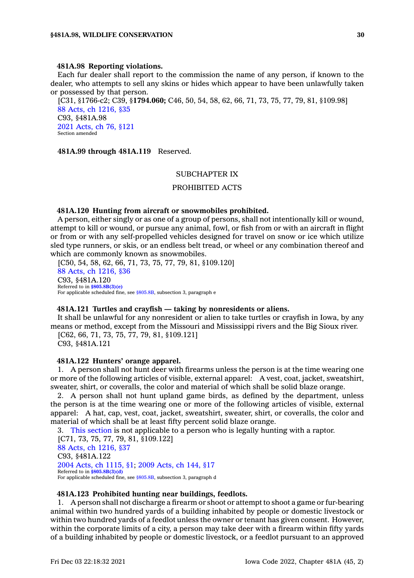#### **481A.98 Reporting violations.**

Each fur dealer shall report to the commission the name of any person, if known to the dealer, who attempts to sell any skins or hides which appear to have been unlawfully taken or possessed by that person.

[C31, §1766-c2; C39, §**1794.060;** C46, 50, 54, 58, 62, 66, 71, 73, 75, 77, 79, 81, §109.98] 88 Acts, ch [1216,](https://www.legis.iowa.gov/docs/acts/1988/CH1216.pdf) §35 C93, §481A.98 2021 [Acts,](https://www.legis.iowa.gov/docs/acts/2021/CH0076.pdf) ch 76, §121 Section amended

**481A.99 through 481A.119** Reserved.

### SUBCHAPTER IX

# PROHIBITED ACTS

#### **481A.120 Hunting from aircraft or snowmobiles prohibited.**

A person, either singly or as one of <sup>a</sup> group of persons, shall not intentionally kill or wound, attempt to kill or wound, or pursue any animal, fowl, or fish from or with an aircraft in flight or from or with any self-propelled vehicles designed for travel on snow or ice which utilize sled type runners, or skis, or an endless belt tread, or wheel or any combination thereof and which are commonly known as snowmobiles.

[C50, 54, 58, 62, 66, 71, 73, 75, 77, 79, 81, §109.120] 88 Acts, ch [1216,](https://www.legis.iowa.gov/docs/acts/1988/CH1216.pdf) §36 C93, §481A.120 Referred to in **[§805.8B\(3\)\(e\)](https://www.legis.iowa.gov/docs/code/805.8B.pdf)** For applicable scheduled fine, see [§805.8B](https://www.legis.iowa.gov/docs/code/805.8B.pdf), subsection 3, paragraph <sup>e</sup>

### **481A.121 Turtles and crayfish — taking by nonresidents or aliens.**

It shall be unlawful for any nonresident or alien to take turtles or crayfish in Iowa, by any means or method, except from the Missouri and Mississippi rivers and the Big Sioux river.

[C62, 66, 71, 73, 75, 77, 79, 81, §109.121] C93, §481A.121

### **481A.122 Hunters' orange apparel.**

1. A person shall not hunt deer with firearms unless the person is at the time wearing one or more of the following articles of visible, external apparel: A vest, coat, jacket, sweatshirt, sweater, shirt, or coveralls, the color and material of which shall be solid blaze orange.

2. A person shall not hunt upland game birds, as defined by the department, unless the person is at the time wearing one or more of the following articles of visible, external apparel: A hat, cap, vest, coat, jacket, sweatshirt, sweater, shirt, or coveralls, the color and material of which shall be at least fifty percent solid blaze orange.

3. This [section](https://www.legis.iowa.gov/docs/code/481A.122.pdf) is not applicable to <sup>a</sup> person who is legally hunting with <sup>a</sup> raptor. [C71, 73, 75, 77, 79, 81, §109.122] 88 Acts, ch [1216,](https://www.legis.iowa.gov/docs/acts/1988/CH1216.pdf) §37 C93, §481A.122 2004 Acts, ch [1115,](https://www.legis.iowa.gov/docs/acts/2004/CH1115.pdf) §1; 2009 [Acts,](https://www.legis.iowa.gov/docs/acts/2009/CH0144.pdf) ch 144, §17 Referred to in **[§805.8B\(3\)\(d\)](https://www.legis.iowa.gov/docs/code/805.8B.pdf)** For applicable scheduled fine, see [§805.8B](https://www.legis.iowa.gov/docs/code/805.8B.pdf), subsection 3, paragraph d

#### **481A.123 Prohibited hunting near buildings, feedlots.**

1. A person shall not discharge <sup>a</sup> firearm or shoot or attempt to shoot <sup>a</sup> game or fur-bearing animal within two hundred yards of <sup>a</sup> building inhabited by people or domestic livestock or within two hundred yards of <sup>a</sup> feedlot unless the owner or tenant has given consent. However, within the corporate limits of <sup>a</sup> city, <sup>a</sup> person may take deer with <sup>a</sup> firearm within fifty yards of <sup>a</sup> building inhabited by people or domestic livestock, or <sup>a</sup> feedlot pursuant to an approved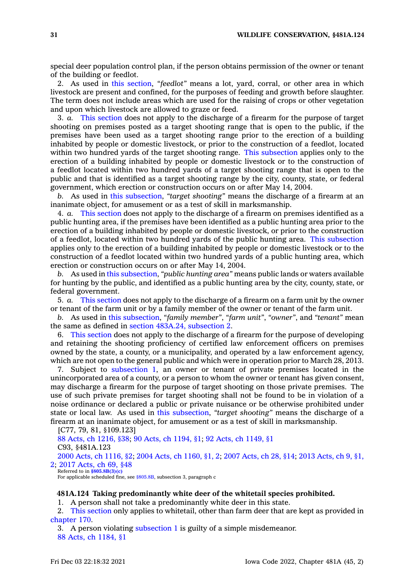special deer population control plan, if the person obtains permission of the owner or tenant of the building or feedlot.

2. As used in this [section](https://www.legis.iowa.gov/docs/code/481A.123.pdf), *"feedlot"* means <sup>a</sup> lot, yard, corral, or other area in which livestock are present and confined, for the purposes of feeding and growth before slaughter. The term does not include areas which are used for the raising of crops or other vegetation and upon which livestock are allowed to graze or feed.

3. *a.* This [section](https://www.legis.iowa.gov/docs/code/481A.123.pdf) does not apply to the discharge of <sup>a</sup> firearm for the purpose of target shooting on premises posted as <sup>a</sup> target shooting range that is open to the public, if the premises have been used as <sup>a</sup> target shooting range prior to the erection of <sup>a</sup> building inhabited by people or domestic livestock, or prior to the construction of <sup>a</sup> feedlot, located within two hundred yards of the target shooting range. This [subsection](https://www.legis.iowa.gov/docs/code/481A.123.pdf) applies only to the erection of <sup>a</sup> building inhabited by people or domestic livestock or to the construction of <sup>a</sup> feedlot located within two hundred yards of <sup>a</sup> target shooting range that is open to the public and that is identified as <sup>a</sup> target shooting range by the city, county, state, or federal government, which erection or construction occurs on or after May 14, 2004.

*b.* As used in this [subsection](https://www.legis.iowa.gov/docs/code/481A.123.pdf), *"target shooting"* means the discharge of <sup>a</sup> firearm at an inanimate object, for amusement or as <sup>a</sup> test of skill in marksmanship.

4. *a.* This [section](https://www.legis.iowa.gov/docs/code/481A.123.pdf) does not apply to the discharge of <sup>a</sup> firearm on premises identified as <sup>a</sup> public hunting area, if the premises have been identified as <sup>a</sup> public hunting area prior to the erection of <sup>a</sup> building inhabited by people or domestic livestock, or prior to the construction of <sup>a</sup> feedlot, located within two hundred yards of the public hunting area. This [subsection](https://www.legis.iowa.gov/docs/code/481A.123.pdf) applies only to the erection of <sup>a</sup> building inhabited by people or domestic livestock or to the construction of <sup>a</sup> feedlot located within two hundred yards of <sup>a</sup> public hunting area, which erection or construction occurs on or after May 14, 2004.

*b.* As used in this [subsection](https://www.legis.iowa.gov/docs/code/481A.123.pdf), *"public hunting area"* means public lands or waters available for hunting by the public, and identified as <sup>a</sup> public hunting area by the city, county, state, or federal government.

5. *a.* This [section](https://www.legis.iowa.gov/docs/code/481A.123.pdf) does not apply to the discharge of <sup>a</sup> firearm on <sup>a</sup> farm unit by the owner or tenant of the farm unit or by <sup>a</sup> family member of the owner or tenant of the farm unit.

*b.* As used in this [subsection](https://www.legis.iowa.gov/docs/code/481A.123.pdf), *"family member"*, *"farm unit"*, *"owner"*, and *"tenant"* mean the same as defined in section 483A.24, [subsection](https://www.legis.iowa.gov/docs/code/483A.24.pdf) 2.

6. This [section](https://www.legis.iowa.gov/docs/code/481A.123.pdf) does not apply to the discharge of <sup>a</sup> firearm for the purpose of developing and retaining the shooting proficiency of certified law enforcement officers on premises owned by the state, <sup>a</sup> county, or <sup>a</sup> municipality, and operated by <sup>a</sup> law enforcement agency, which are not open to the general public and which were in operation prior to March 28, 2013.

7. Subject to [subsection](https://www.legis.iowa.gov/docs/code/481A.123.pdf) 1, an owner or tenant of private premises located in the unincorporated area of <sup>a</sup> county, or <sup>a</sup> person to whom the owner or tenant has given consent, may discharge <sup>a</sup> firearm for the purpose of target shooting on those private premises. The use of such private premises for target shooting shall not be found to be in violation of <sup>a</sup> noise ordinance or declared <sup>a</sup> public or private nuisance or be otherwise prohibited under state or local law. As used in this [subsection](https://www.legis.iowa.gov/docs/code/481A.123.pdf), *"target shooting"* means the discharge of <sup>a</sup> firearm at an inanimate object, for amusement or as <sup>a</sup> test of skill in marksmanship.

[C77, 79, 81, §109.123] 88 Acts, ch [1216,](https://www.legis.iowa.gov/docs/acts/1988/CH1216.pdf) §38; 90 Acts, ch [1194,](https://www.legis.iowa.gov/docs/acts/90/CH1194.pdf) §1; 92 Acts, ch [1149,](https://www.legis.iowa.gov/docs/acts/92/CH1149.pdf) §1 C93, §481A.123 2000 Acts, ch [1116,](https://www.legis.iowa.gov/docs/acts/2000/CH1116.pdf) §2; 2004 Acts, ch [1160,](https://www.legis.iowa.gov/docs/acts/2004/CH1160.pdf) §1, 2; 2007 [Acts,](https://www.legis.iowa.gov/docs/acts/2007/CH0028.pdf) ch 28, §14; 2013 [Acts,](https://www.legis.iowa.gov/docs/acts/2013/CH0009.pdf) ch 9, §1, [2](https://www.legis.iowa.gov/docs/acts/2013/CH0009.pdf); 2017 [Acts,](https://www.legis.iowa.gov/docs/acts/2017/CH0069.pdf) ch 69, §48 Referred to in **[§805.8B\(3\)\(c\)](https://www.legis.iowa.gov/docs/code/805.8B.pdf)** For applicable scheduled fine, see [§805.8B](https://www.legis.iowa.gov/docs/code/805.8B.pdf), subsection 3, paragraph c

#### **481A.124 Taking predominantly white deer of the whitetail species prohibited.**

1. A person shall not take <sup>a</sup> predominantly white deer in this state.

2. This [section](https://www.legis.iowa.gov/docs/code/481A.124.pdf) only applies to whitetail, other than farm deer that are kept as provided in [chapter](https://www.legis.iowa.gov/docs/code//170.pdf) 170.

3. A person violating [subsection](https://www.legis.iowa.gov/docs/code/481A.124.pdf) 1 is guilty of <sup>a</sup> simple misdemeanor. 88 Acts, ch [1184,](https://www.legis.iowa.gov/docs/acts/1988/CH1184.pdf) §1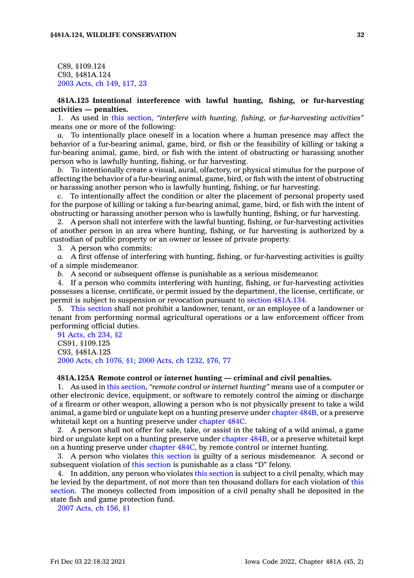C89, §109.124 C93, §481A.124 2003 [Acts,](https://www.legis.iowa.gov/docs/acts/2003/CH0149.pdf) ch 149, §17, 23

**481A.125 Intentional interference with lawful hunting, fishing, or fur-harvesting activities — penalties.**

1. As used in this [section](https://www.legis.iowa.gov/docs/code/481A.125.pdf), *"interfere with hunting, fishing, or fur-harvesting activities"* means one or more of the following:

*a.* To intentionally place oneself in <sup>a</sup> location where <sup>a</sup> human presence may affect the behavior of <sup>a</sup> fur-bearing animal, game, bird, or fish or the feasibility of killing or taking <sup>a</sup> fur-bearing animal, game, bird, or fish with the intent of obstructing or harassing another person who is lawfully hunting, fishing, or fur harvesting.

*b.* To intentionally create <sup>a</sup> visual, aural, olfactory, or physical stimulus for the purpose of affecting the behavior of <sup>a</sup> fur-bearing animal, game, bird, or fish with the intent of obstructing or harassing another person who is lawfully hunting, fishing, or fur harvesting.

*c.* To intentionally affect the condition or alter the placement of personal property used for the purpose of killing or taking <sup>a</sup> fur-bearing animal, game, bird, or fish with the intent of obstructing or harassing another person who is lawfully hunting, fishing, or fur harvesting.

2. A person shall not interfere with the lawful hunting, fishing, or fur-harvesting activities of another person in an area where hunting, fishing, or fur harvesting is authorized by <sup>a</sup> custodian of public property or an owner or lessee of private property.

3. A person who commits:

*a.* A first offense of interfering with hunting, fishing, or fur-harvesting activities is guilty of <sup>a</sup> simple misdemeanor.

*b.* A second or subsequent offense is punishable as <sup>a</sup> serious misdemeanor.

4. If <sup>a</sup> person who commits interfering with hunting, fishing, or fur-harvesting activities possesses <sup>a</sup> license, certificate, or permit issued by the department, the license, certificate, or permit is subject to suspension or revocation pursuant to section [481A.134](https://www.legis.iowa.gov/docs/code/481A.134.pdf).

5. This [section](https://www.legis.iowa.gov/docs/code/481A.125.pdf) shall not prohibit <sup>a</sup> landowner, tenant, or an employee of <sup>a</sup> landowner or tenant from performing normal agricultural operations or <sup>a</sup> law enforcement officer from performing official duties.

91 [Acts,](https://www.legis.iowa.gov/docs/acts/1991/CH0234.pdf) ch 234, §2 CS91, §109.125 C93, §481A.125 2000 Acts, ch [1076,](https://www.legis.iowa.gov/docs/acts/2000/CH1076.pdf) §1; 2000 Acts, ch [1232,](https://www.legis.iowa.gov/docs/acts/2000/CH1232.pdf) §76, 77

### **481A.125A Remote control or internet hunting — criminal and civil penalties.**

1. As used in this [section](https://www.legis.iowa.gov/docs/code/481A.125A.pdf), *"remote control or internet hunting"* means use of <sup>a</sup> computer or other electronic device, equipment, or software to remotely control the aiming or discharge of <sup>a</sup> firearm or other weapon, allowing <sup>a</sup> person who is not physically present to take <sup>a</sup> wild animal, <sup>a</sup> game bird or ungulate kept on <sup>a</sup> hunting preserve under [chapter](https://www.legis.iowa.gov/docs/code//484B.pdf) 484B, or <sup>a</sup> preserve whitetail kept on <sup>a</sup> hunting preserve under [chapter](https://www.legis.iowa.gov/docs/code//484C.pdf) 484C.

2. A person shall not offer for sale, take, or assist in the taking of <sup>a</sup> wild animal, <sup>a</sup> game bird or ungulate kept on <sup>a</sup> hunting preserve under [chapter](https://www.legis.iowa.gov/docs/code//484B.pdf) 484B, or <sup>a</sup> preserve whitetail kept on <sup>a</sup> hunting preserve under [chapter](https://www.legis.iowa.gov/docs/code//484C.pdf) 484C, by remote control or internet hunting.

3. A person who violates this [section](https://www.legis.iowa.gov/docs/code/481A.125A.pdf) is guilty of <sup>a</sup> serious misdemeanor. A second or subsequent violation of this [section](https://www.legis.iowa.gov/docs/code/481A.125A.pdf) is punishable as <sup>a</sup> class "D" felony.

4. In addition, any person who violates this [section](https://www.legis.iowa.gov/docs/code/481A.125A.pdf) is subject to a civil penalty, which may be levied by the department, of not more than ten thousand dollars for each violation of [this](https://www.legis.iowa.gov/docs/code/481A.125A.pdf) [section](https://www.legis.iowa.gov/docs/code/481A.125A.pdf). The moneys collected from imposition of <sup>a</sup> civil penalty shall be deposited in the state fish and game protection fund.

2007 [Acts,](https://www.legis.iowa.gov/docs/acts/2007/CH0156.pdf) ch 156, §1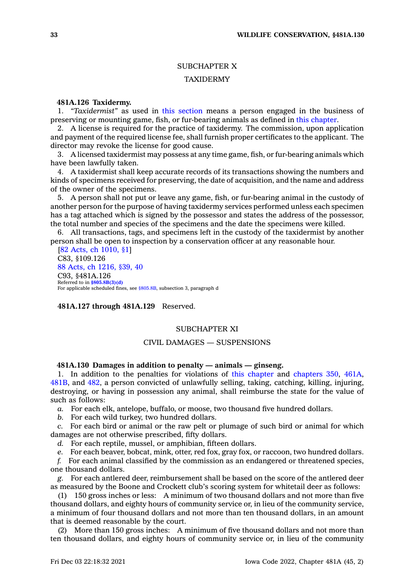# SUBCHAPTER X

# TAXIDERMY

# **481A.126 Taxidermy.**

1. *"Taxidermist"* as used in this [section](https://www.legis.iowa.gov/docs/code/481A.126.pdf) means <sup>a</sup> person engaged in the business of preserving or mounting game, fish, or fur-bearing animals as defined in this [chapter](https://www.legis.iowa.gov/docs/code//481A.pdf).

2. A license is required for the practice of taxidermy. The commission, upon application and payment of the required license fee, shall furnish proper certificates to the applicant. The director may revoke the license for good cause.

3. A licensed taxidermist may possess at any time game, fish, or fur-bearing animals which have been lawfully taken.

4. A taxidermist shall keep accurate records of its transactions showing the numbers and kinds of specimens received for preserving, the date of acquisition, and the name and address of the owner of the specimens.

5. A person shall not put or leave any game, fish, or fur-bearing animal in the custody of another person for the purpose of having taxidermy services performed unless each specimen has <sup>a</sup> tag attached which is signed by the possessor and states the address of the possessor, the total number and species of the specimens and the date the specimens were killed.

6. All transactions, tags, and specimens left in the custody of the taxidermist by another person shall be open to inspection by <sup>a</sup> conservation officer at any reasonable hour.

[82 Acts, ch [1010,](https://www.legis.iowa.gov/docs/acts/1982/CH1010.pdf) §1] C83, §109.126 88 Acts, ch [1216,](https://www.legis.iowa.gov/docs/acts/1988/CH1216.pdf) §39, 40 C93, §481A.126 Referred to in **[§805.8B\(3\)\(d\)](https://www.legis.iowa.gov/docs/code/805.8B.pdf)** For applicable scheduled fines, see [§805.8B](https://www.legis.iowa.gov/docs/code/805.8B.pdf), subsection 3, paragraph d

**481A.127 through 481A.129** Reserved.

### SUBCHAPTER XI

# CIVIL DAMAGES — SUSPENSIONS

# **481A.130 Damages in addition to penalty — animals — ginseng.**

1. In addition to the penalties for violations of this [chapter](https://www.legis.iowa.gov/docs/code//481A.pdf) and [chapters](https://www.legis.iowa.gov/docs/code//350.pdf) 350, [461A](https://www.legis.iowa.gov/docs/code//461A.pdf), [481B](https://www.legis.iowa.gov/docs/code//481B.pdf), and [482](https://www.legis.iowa.gov/docs/code//482.pdf), <sup>a</sup> person convicted of unlawfully selling, taking, catching, killing, injuring, destroying, or having in possession any animal, shall reimburse the state for the value of such as follows:

*a.* For each elk, antelope, buffalo, or moose, two thousand five hundred dollars.

*b.* For each wild turkey, two hundred dollars.

*c.* For each bird or animal or the raw pelt or plumage of such bird or animal for which damages are not otherwise prescribed, fifty dollars.

*d.* For each reptile, mussel, or amphibian, fifteen dollars.

*e.* For each beaver, bobcat, mink, otter, red fox, gray fox, or raccoon, two hundred dollars.

*f.* For each animal classified by the commission as an endangered or threatened species, one thousand dollars.

*g.* For each antlered deer, reimbursement shall be based on the score of the antlered deer as measured by the Boone and Crockett club's scoring system for whitetail deer as follows:

(1) 150 gross inches or less: A minimum of two thousand dollars and not more than five thousand dollars, and eighty hours of community service or, in lieu of the community service, <sup>a</sup> minimum of four thousand dollars and not more than ten thousand dollars, in an amount that is deemed reasonable by the court.

(2) More than 150 gross inches: A minimum of five thousand dollars and not more than ten thousand dollars, and eighty hours of community service or, in lieu of the community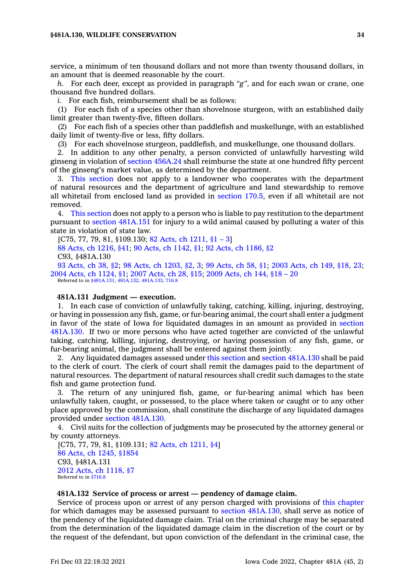service, <sup>a</sup> minimum of ten thousand dollars and not more than twenty thousand dollars, in an amount that is deemed reasonable by the court.

*h.* For each deer, except as provided in paragraph *"g"*, and for each swan or crane, one thousand five hundred dollars.

*i.* For each fish, reimbursement shall be as follows:

(1) For each fish of <sup>a</sup> species other than shovelnose sturgeon, with an established daily limit greater than twenty-five, fifteen dollars.

(2) For each fish of <sup>a</sup> species other than paddlefish and muskellunge, with an established daily limit of twenty-five or less, fifty dollars.

(3) For each shovelnose sturgeon, paddlefish, and muskellunge, one thousand dollars.

2. In addition to any other penalty, <sup>a</sup> person convicted of unlawfully harvesting wild ginseng in violation of section [456A.24](https://www.legis.iowa.gov/docs/code/456A.24.pdf) shall reimburse the state at one hundred fifty percent of the ginseng's market value, as determined by the department.

3. This [section](https://www.legis.iowa.gov/docs/code/481A.130.pdf) does not apply to <sup>a</sup> landowner who cooperates with the department of natural resources and the department of agriculture and land stewardship to remove all whitetail from enclosed land as provided in [section](https://www.legis.iowa.gov/docs/code/170.5.pdf) 170.5, even if all whitetail are not removed.

4. This [section](https://www.legis.iowa.gov/docs/code/481A.130.pdf) does not apply to <sup>a</sup> person who is liable to pay restitution to the department pursuant to section [481A.151](https://www.legis.iowa.gov/docs/code/481A.151.pdf) for injury to <sup>a</sup> wild animal caused by polluting <sup>a</sup> water of this state in violation of state law.

[C75, 77, 79, 81, §109.130; 82 Acts, ch [1211,](https://www.legis.iowa.gov/docs/acts/1982/CH1211.pdf) §1 – 3]

88 Acts, ch [1216,](https://www.legis.iowa.gov/docs/acts/1988/CH1216.pdf) §41; 90 Acts, ch [1142,](https://www.legis.iowa.gov/docs/acts/1990/CH1142.pdf) §1; 92 Acts, ch [1186,](https://www.legis.iowa.gov/docs/acts/1992/CH1186.pdf) §2 C93, §481A.130

93 [Acts,](https://www.legis.iowa.gov/docs/acts/1993/CH0038.pdf) ch 38, §2; 98 Acts, ch [1203,](https://www.legis.iowa.gov/docs/acts/1998/CH1203.pdf) §2, 3; 99 [Acts,](https://www.legis.iowa.gov/docs/acts/1999/CH0058.pdf) ch 58, §1; 2003 [Acts,](https://www.legis.iowa.gov/docs/acts/2003/CH0149.pdf) ch 149, §18, 23; 2004 Acts, ch [1124,](https://www.legis.iowa.gov/docs/acts/2004/CH1124.pdf) §1; 2007 [Acts,](https://www.legis.iowa.gov/docs/acts/2007/CH0028.pdf) ch 28, §15; 2009 [Acts,](https://www.legis.iowa.gov/docs/acts/2009/CH0144.pdf) ch 144, §18 – 20 Referred to in [§481A.131](https://www.legis.iowa.gov/docs/code/481A.131.pdf), [481A.132](https://www.legis.iowa.gov/docs/code/481A.132.pdf), [481A.133](https://www.legis.iowa.gov/docs/code/481A.133.pdf), [716.8](https://www.legis.iowa.gov/docs/code/716.8.pdf)

#### **481A.131 Judgment — execution.**

1. In each case of conviction of unlawfully taking, catching, killing, injuring, destroying, or having in possession any fish, game, or fur-bearing animal, the court shall enter <sup>a</sup> judgment in favor of the state of Iowa for liquidated damages in an amount as provided in [section](https://www.legis.iowa.gov/docs/code/481A.130.pdf) [481A.130](https://www.legis.iowa.gov/docs/code/481A.130.pdf). If two or more persons who have acted together are convicted of the unlawful taking, catching, killing, injuring, destroying, or having possession of any fish, game, or fur-bearing animal, the judgment shall be entered against them jointly.

2. Any liquidated damages assessed under this [section](https://www.legis.iowa.gov/docs/code/481A.131.pdf) and section [481A.130](https://www.legis.iowa.gov/docs/code/481A.130.pdf) shall be paid to the clerk of court. The clerk of court shall remit the damages paid to the department of natural resources. The department of natural resources shall credit such damages to the state fish and game protection fund.

3. The return of any uninjured fish, game, or fur-bearing animal which has been unlawfully taken, caught, or possessed, to the place where taken or caught or to any other place approved by the commission, shall constitute the discharge of any liquidated damages provided under section [481A.130](https://www.legis.iowa.gov/docs/code/481A.130.pdf).

4. Civil suits for the collection of judgments may be prosecuted by the attorney general or by county attorneys.

[C75, 77, 79, 81, §109.131; 82 Acts, ch [1211,](https://www.legis.iowa.gov/docs/acts/1982/CH1211.pdf) §4] 86 Acts, ch 1245, [§1854](https://www.legis.iowa.gov/docs/acts/1986/CH1245.pdf) C93, §481A.131 2012 Acts, ch [1118,](https://www.legis.iowa.gov/docs/acts/2012/CH1118.pdf) §7 Referred to in [§716.8](https://www.legis.iowa.gov/docs/code/716.8.pdf)

### **481A.132 Service of process or arrest —pendency of damage claim.**

Service of process upon or arrest of any person charged with provisions of this [chapter](https://www.legis.iowa.gov/docs/code//481A.pdf) for which damages may be assessed pursuant to section [481A.130](https://www.legis.iowa.gov/docs/code/481A.130.pdf), shall serve as notice of the pendency of the liquidated damage claim. Trial on the criminal charge may be separated from the determination of the liquidated damage claim in the discretion of the court or by the request of the defendant, but upon conviction of the defendant in the criminal case, the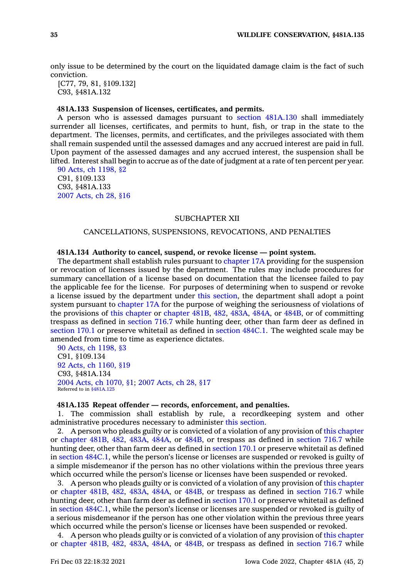only issue to be determined by the court on the liquidated damage claim is the fact of such conviction.

[C77, 79, 81, §109.132] C93, §481A.132

### **481A.133 Suspension of licenses, certificates, and permits.**

A person who is assessed damages pursuant to section [481A.130](https://www.legis.iowa.gov/docs/code/481A.130.pdf) shall immediately surrender all licenses, certificates, and permits to hunt, fish, or trap in the state to the department. The licenses, permits, and certificates, and the privileges associated with them shall remain suspended until the assessed damages and any accrued interest are paid in full. Upon payment of the assessed damages and any accrued interest, the suspension shall be lifted. Interest shall begin to accrue as of the date of judgment at <sup>a</sup> rate of ten percent per year.

90 Acts, ch [1198,](https://www.legis.iowa.gov/docs/acts/1990/CH1198.pdf) §2 C91, §109.133 C93, §481A.133 2007 [Acts,](https://www.legis.iowa.gov/docs/acts/2007/CH0028.pdf) ch 28, §16

### SUBCHAPTER XII

# CANCELLATIONS, SUSPENSIONS, REVOCATIONS, AND PENALTIES

### **481A.134 Authority to cancel, suspend, or revoke license — point system.**

The department shall establish rules pursuant to [chapter](https://www.legis.iowa.gov/docs/code//17A.pdf) 17A providing for the suspension or revocation of licenses issued by the department. The rules may include procedures for summary cancellation of <sup>a</sup> license based on documentation that the licensee failed to pay the applicable fee for the license. For purposes of determining when to suspend or revoke <sup>a</sup> license issued by the department under this [section](https://www.legis.iowa.gov/docs/code/481A.134.pdf), the department shall adopt <sup>a</sup> point system pursuant to [chapter](https://www.legis.iowa.gov/docs/code//17A.pdf) 17A for the purpose of weighing the seriousness of violations of the provisions of this [chapter](https://www.legis.iowa.gov/docs/code//481A.pdf) or [chapter](https://www.legis.iowa.gov/docs/code//481B.pdf) 481B, [482](https://www.legis.iowa.gov/docs/code//482.pdf), [483A](https://www.legis.iowa.gov/docs/code//483A.pdf), [484A](https://www.legis.iowa.gov/docs/code//484A.pdf), or [484B](https://www.legis.iowa.gov/docs/code//484B.pdf), or of committing trespass as defined in [section](https://www.legis.iowa.gov/docs/code/716.7.pdf) 716.7 while hunting deer, other than farm deer as defined in [section](https://www.legis.iowa.gov/docs/code/170.1.pdf) 170.1 or preserve whitetail as defined in [section](https://www.legis.iowa.gov/docs/code/484C.1.pdf) 484C.1. The weighted scale may be amended from time to time as experience dictates.

90 Acts, ch [1198,](https://www.legis.iowa.gov/docs/acts/1990/CH1198.pdf) §3 C91, §109.134 92 Acts, ch [1160,](https://www.legis.iowa.gov/docs/acts/1992/CH1160.pdf) §19 C93, §481A.134 2004 Acts, ch [1070,](https://www.legis.iowa.gov/docs/acts/2004/CH1070.pdf) §1; 2007 [Acts,](https://www.legis.iowa.gov/docs/acts/2007/CH0028.pdf) ch 28, §17 Referred to in [§481A.125](https://www.legis.iowa.gov/docs/code/481A.125.pdf)

### **481A.135 Repeat offender — records, enforcement, and penalties.**

1. The commission shall establish by rule, <sup>a</sup> recordkeeping system and other administrative procedures necessary to administer this [section](https://www.legis.iowa.gov/docs/code/481A.135.pdf).

2. A person who pleads guilty or is convicted of <sup>a</sup> violation of any provision of this [chapter](https://www.legis.iowa.gov/docs/code//481A.pdf) or [chapter](https://www.legis.iowa.gov/docs/code//481B.pdf) 481B, [482](https://www.legis.iowa.gov/docs/code//482.pdf), [483A](https://www.legis.iowa.gov/docs/code//483A.pdf), [484A](https://www.legis.iowa.gov/docs/code//484A.pdf), or [484B](https://www.legis.iowa.gov/docs/code//484B.pdf), or trespass as defined in [section](https://www.legis.iowa.gov/docs/code/716.7.pdf) 716.7 while hunting deer, other than farm deer as defined in [section](https://www.legis.iowa.gov/docs/code/170.1.pdf) 170.1 or preserve whitetail as defined in section [484C.1](https://www.legis.iowa.gov/docs/code/484C.1.pdf), while the person's license or licenses are suspended or revoked is guilty of <sup>a</sup> simple misdemeanor if the person has no other violations within the previous three years which occurred while the person's license or licenses have been suspended or revoked.

3. A person who pleads guilty or is convicted of <sup>a</sup> violation of any provision of this [chapter](https://www.legis.iowa.gov/docs/code//481A.pdf) or [chapter](https://www.legis.iowa.gov/docs/code//481B.pdf) 481B, [482](https://www.legis.iowa.gov/docs/code//482.pdf), [483A](https://www.legis.iowa.gov/docs/code//483A.pdf), [484A](https://www.legis.iowa.gov/docs/code//484A.pdf), or [484B](https://www.legis.iowa.gov/docs/code//484B.pdf), or trespass as defined in [section](https://www.legis.iowa.gov/docs/code/716.7.pdf) 716.7 while hunting deer, other than farm deer as defined in [section](https://www.legis.iowa.gov/docs/code/170.1.pdf) 170.1 or preserve whitetail as defined in section [484C.1](https://www.legis.iowa.gov/docs/code/484C.1.pdf), while the person's license or licenses are suspended or revoked is guilty of <sup>a</sup> serious misdemeanor if the person has one other violation within the previous three years which occurred while the person's license or licenses have been suspended or revoked.

4. A person who pleads guilty or is convicted of <sup>a</sup> violation of any provision of this [chapter](https://www.legis.iowa.gov/docs/code//481A.pdf) or [chapter](https://www.legis.iowa.gov/docs/code//481B.pdf) 481B, [482](https://www.legis.iowa.gov/docs/code//482.pdf), [483A](https://www.legis.iowa.gov/docs/code//483A.pdf), [484A](https://www.legis.iowa.gov/docs/code//484A.pdf), or [484B](https://www.legis.iowa.gov/docs/code//484B.pdf), or trespass as defined in [section](https://www.legis.iowa.gov/docs/code/716.7.pdf) 716.7 while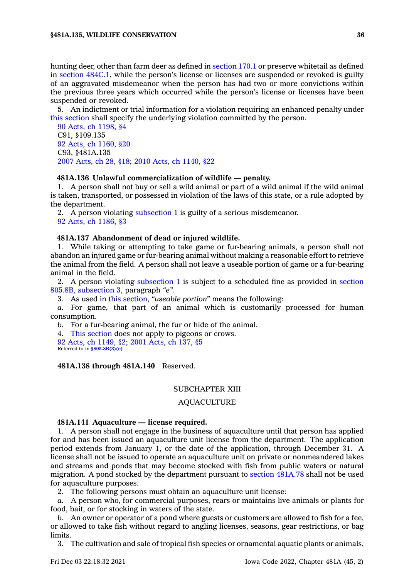hunting deer, other than farm deer as defined in [section](https://www.legis.iowa.gov/docs/code/170.1.pdf) 170.1 or preserve whitetail as defined in section [484C.1](https://www.legis.iowa.gov/docs/code/484C.1.pdf), while the person's license or licenses are suspended or revoked is guilty of an aggravated misdemeanor when the person has had two or more convictions within the previous three years which occurred while the person's license or licenses have been suspended or revoked.

5. An indictment or trial information for <sup>a</sup> violation requiring an enhanced penalty under this [section](https://www.legis.iowa.gov/docs/code/481A.135.pdf) shall specify the underlying violation committed by the person.

90 Acts, ch [1198,](https://www.legis.iowa.gov/docs/acts/1990/CH1198.pdf) §4 C91, §109.135 92 Acts, ch [1160,](https://www.legis.iowa.gov/docs/acts/1992/CH1160.pdf) §20 C93, §481A.135 2007 [Acts,](https://www.legis.iowa.gov/docs/acts/2007/CH0028.pdf) ch 28, §18; 2010 Acts, ch [1140,](https://www.legis.iowa.gov/docs/acts/2010/CH1140.pdf) §22

# **481A.136 Unlawful commercialization of wildlife — penalty.**

1. A person shall not buy or sell <sup>a</sup> wild animal or part of <sup>a</sup> wild animal if the wild animal is taken, transported, or possessed in violation of the laws of this state, or <sup>a</sup> rule adopted by the department.

2. A person violating [subsection](https://www.legis.iowa.gov/docs/code/481A.136.pdf) 1 is guilty of <sup>a</sup> serious misdemeanor. 92 Acts, ch [1186,](https://www.legis.iowa.gov/docs/acts/1992/CH1186.pdf) §3

### **481A.137 Abandonment of dead or injured wildlife.**

1. While taking or attempting to take game or fur-bearing animals, <sup>a</sup> person shall not abandon an injured game or fur-bearing animal without making <sup>a</sup> reasonable effort to retrieve the animal from the field. A person shall not leave <sup>a</sup> useable portion of game or <sup>a</sup> fur-bearing animal in the field.

2. A person violating [subsection](https://www.legis.iowa.gov/docs/code/481A.137.pdf) 1 is subject to <sup>a</sup> scheduled fine as provided in [section](https://www.legis.iowa.gov/docs/code/805.8B.pdf) 805.8B, [subsection](https://www.legis.iowa.gov/docs/code/805.8B.pdf) 3, paragraph *"e"*.

3. As used in this [section](https://www.legis.iowa.gov/docs/code/481A.137.pdf), *"useable portion"* means the following:

*a.* For game, that part of an animal which is customarily processed for human consumption.

*b.* For <sup>a</sup> fur-bearing animal, the fur or hide of the animal.

4. This [section](https://www.legis.iowa.gov/docs/code/481A.137.pdf) does not apply to pigeons or crows.

92 Acts, ch [1149,](https://www.legis.iowa.gov/docs/acts/1992/CH1149.pdf) §2; 2001 [Acts,](https://www.legis.iowa.gov/docs/acts/2001/CH0137.pdf) ch 137, §5 Referred to in **[§805.8B\(3\)\(e\)](https://www.legis.iowa.gov/docs/code/805.8B.pdf)**

#### **481A.138 through 481A.140** Reserved.

#### SUBCHAPTER XIII

# AQUACULTURE

### **481A.141 Aquaculture — license required.**

1. A person shall not engage in the business of aquaculture until that person has applied for and has been issued an aquaculture unit license from the department. The application period extends from January 1, or the date of the application, through December 31. A license shall not be issued to operate an aquaculture unit on private or nonmeandered lakes and streams and ponds that may become stocked with fish from public waters or natural migration. A pond stocked by the department pursuant to section [481A.78](https://www.legis.iowa.gov/docs/code/481A.78.pdf) shall not be used for aquaculture purposes.

2. The following persons must obtain an aquaculture unit license:

*a.* A person who, for commercial purposes, rears or maintains live animals or plants for food, bait, or for stocking in waters of the state.

*b.* An owner or operator of <sup>a</sup> pond where guests or customers are allowed to fish for <sup>a</sup> fee, or allowed to take fish without regard to angling licenses, seasons, gear restrictions, or bag limits.

3. The cultivation and sale of tropical fish species or ornamental aquatic plants or animals,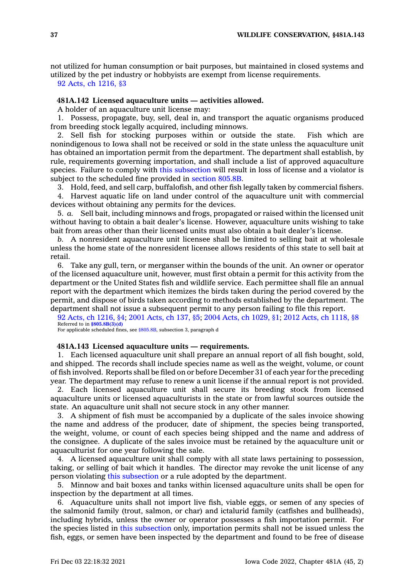not utilized for human consumption or bait purposes, but maintained in closed systems and utilized by the pet industry or hobbyists are exempt from license requirements.

92 Acts, ch [1216,](https://www.legis.iowa.gov/docs/acts/1992/CH1216.pdf) §3

# **481A.142 Licensed aquaculture units — activities allowed.**

A holder of an aquaculture unit license may:

1. Possess, propagate, buy, sell, deal in, and transport the aquatic organisms produced from breeding stock legally acquired, including minnows.

2. Sell fish for stocking purposes within or outside the state. Fish which are nonindigenous to Iowa shall not be received or sold in the state unless the aquaculture unit has obtained an importation permit from the department. The department shall establish, by rule, requirements governing importation, and shall include <sup>a</sup> list of approved aquaculture species. Failure to comply with this [subsection](https://www.legis.iowa.gov/docs/code/481A.142.pdf) will result in loss of license and <sup>a</sup> violator is subject to the scheduled fine provided in [section](https://www.legis.iowa.gov/docs/code/805.8B.pdf) 805.8B.

3. Hold, feed, and sell carp, buffalofish, and other fish legally taken by commercial fishers.

4. Harvest aquatic life on land under control of the aquaculture unit with commercial devices without obtaining any permits for the devices.

5. *a.* Sell bait, including minnows and frogs, propagated or raised within the licensed unit without having to obtain <sup>a</sup> bait dealer's license. However, aquaculture units wishing to take bait from areas other than their licensed units must also obtain <sup>a</sup> bait dealer's license.

*b.* A nonresident aquaculture unit licensee shall be limited to selling bait at wholesale unless the home state of the nonresident licensee allows residents of this state to sell bait at retail.

6. Take any gull, tern, or merganser within the bounds of the unit. An owner or operator of the licensed aquaculture unit, however, must first obtain <sup>a</sup> permit for this activity from the department or the United States fish and wildlife service. Each permittee shall file an annual report with the department which itemizes the birds taken during the period covered by the permit, and dispose of birds taken according to methods established by the department. The department shall not issue <sup>a</sup> subsequent permit to any person failing to file this report.

92 Acts, ch [1216,](https://www.legis.iowa.gov/docs/acts/1992/CH1216.pdf) §4; 2001 [Acts,](https://www.legis.iowa.gov/docs/acts/2001/CH0137.pdf) ch 137, §5; 2004 Acts, ch [1029,](https://www.legis.iowa.gov/docs/acts/2004/CH1029.pdf) §1; 2012 Acts, ch [1118,](https://www.legis.iowa.gov/docs/acts/2012/CH1118.pdf) §8 Referred to in **[§805.8B\(3\)\(d\)](https://www.legis.iowa.gov/docs/code/805.8B.pdf)**

For applicable scheduled fines, see [§805.8B](https://www.legis.iowa.gov/docs/code/805.8B.pdf), subsection 3, paragraph d

#### **481A.143 Licensed aquaculture units — requirements.**

1. Each licensed aquaculture unit shall prepare an annual report of all fish bought, sold, and shipped. The records shall include species name as well as the weight, volume, or count of fish involved. Reports shall be filed on or before December 31 of each year for the preceding year. The department may refuse to renew <sup>a</sup> unit license if the annual report is not provided.

2. Each licensed aquaculture unit shall secure its breeding stock from licensed aquaculture units or licensed aquaculturists in the state or from lawful sources outside the state. An aquaculture unit shall not secure stock in any other manner.

3. A shipment of fish must be accompanied by <sup>a</sup> duplicate of the sales invoice showing the name and address of the producer, date of shipment, the species being transported, the weight, volume, or count of each species being shipped and the name and address of the consignee. A duplicate of the sales invoice must be retained by the aquaculture unit or aquaculturist for one year following the sale.

4. A licensed aquaculture unit shall comply with all state laws pertaining to possession, taking, or selling of bait which it handles. The director may revoke the unit license of any person violating this [subsection](https://www.legis.iowa.gov/docs/code/481A.143.pdf) or <sup>a</sup> rule adopted by the department.

5. Minnow and bait boxes and tanks within licensed aquaculture units shall be open for inspection by the department at all times.

6. Aquaculture units shall not import live fish, viable eggs, or semen of any species of the salmonid family (trout, salmon, or char) and ictalurid family (catfishes and bullheads), including hybrids, unless the owner or operator possesses <sup>a</sup> fish importation permit. For the species listed in this [subsection](https://www.legis.iowa.gov/docs/code/481A.143.pdf) only, importation permits shall not be issued unless the fish, eggs, or semen have been inspected by the department and found to be free of disease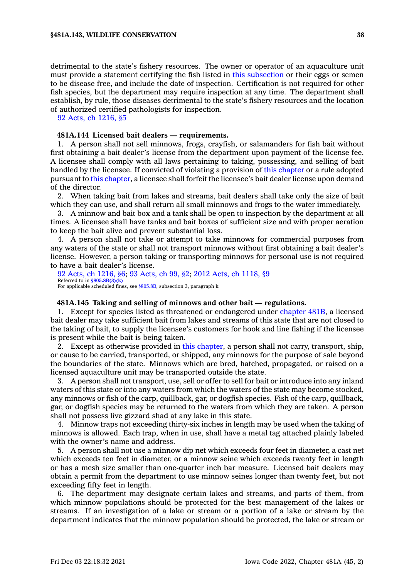detrimental to the state's fishery resources. The owner or operator of an aquaculture unit must provide <sup>a</sup> statement certifying the fish listed in this [subsection](https://www.legis.iowa.gov/docs/code/481A.143.pdf) or their eggs or semen to be disease free, and include the date of inspection. Certification is not required for other fish species, but the department may require inspection at any time. The department shall establish, by rule, those diseases detrimental to the state's fishery resources and the location of authorized certified pathologists for inspection.

92 Acts, ch [1216,](https://www.legis.iowa.gov/docs/acts/1992/CH1216.pdf) §5

# **481A.144 Licensed bait dealers — requirements.**

1. A person shall not sell minnows, frogs, crayfish, or salamanders for fish bait without first obtaining <sup>a</sup> bait dealer's license from the department upon payment of the license fee. A licensee shall comply with all laws pertaining to taking, possessing, and selling of bait handled by the licensee. If convicted of violating <sup>a</sup> provision of this [chapter](https://www.legis.iowa.gov/docs/code//481A.pdf) or <sup>a</sup> rule adopted pursuant to this [chapter](https://www.legis.iowa.gov/docs/code//481A.pdf), <sup>a</sup> licensee shall forfeit the licensee's bait dealer license upon demand of the director.

2. When taking bait from lakes and streams, bait dealers shall take only the size of bait which they can use, and shall return all small minnows and frogs to the water immediately.

3. A minnow and bait box and <sup>a</sup> tank shall be open to inspection by the department at all times. A licensee shall have tanks and bait boxes of sufficient size and with proper aeration to keep the bait alive and prevent substantial loss.

4. A person shall not take or attempt to take minnows for commercial purposes from any waters of the state or shall not transport minnows without first obtaining <sup>a</sup> bait dealer's license. However, <sup>a</sup> person taking or transporting minnows for personal use is not required to have <sup>a</sup> bait dealer's license.

92 Acts, ch [1216,](https://www.legis.iowa.gov/docs/acts/1992/CH1216.pdf) §6; 93 [Acts,](https://www.legis.iowa.gov/docs/acts/93/CH0099.pdf) ch 99, §2; 2012 Acts, ch [1118,](https://www.legis.iowa.gov/docs/acts/2012/CH1118.pdf) §9 Referred to in **[§805.8B\(3\)\(k\)](https://www.legis.iowa.gov/docs/code/805.8B.pdf)** For applicable scheduled fines, see [§805.8B](https://www.legis.iowa.gov/docs/code/805.8B.pdf), subsection 3, paragraph k

### **481A.145 Taking and selling of minnows and other bait — regulations.**

1. Except for species listed as threatened or endangered under [chapter](https://www.legis.iowa.gov/docs/code//481B.pdf) 481B, <sup>a</sup> licensed bait dealer may take sufficient bait from lakes and streams of this state that are not closed to the taking of bait, to supply the licensee's customers for hook and line fishing if the licensee is present while the bait is being taken.

2. Except as otherwise provided in this [chapter](https://www.legis.iowa.gov/docs/code//481A.pdf), <sup>a</sup> person shall not carry, transport, ship, or cause to be carried, transported, or shipped, any minnows for the purpose of sale beyond the boundaries of the state. Minnows which are bred, hatched, propagated, or raised on <sup>a</sup> licensed aquaculture unit may be transported outside the state.

3. A person shall not transport, use, sell or offer to sell for bait or introduce into any inland waters of this state or into any waters from which the waters of the state may become stocked, any minnows or fish of the carp, quillback, gar, or dogfish species. Fish of the carp, quillback, gar, or dogfish species may be returned to the waters from which they are taken. A person shall not possess live gizzard shad at any lake in this state.

4. Minnow traps not exceeding thirty-six inches in length may be used when the taking of minnows is allowed. Each trap, when in use, shall have <sup>a</sup> metal tag attached plainly labeled with the owner's name and address.

5. A person shall not use <sup>a</sup> minnow dip net which exceeds four feet in diameter, <sup>a</sup> cast net which exceeds ten feet in diameter, or <sup>a</sup> minnow seine which exceeds twenty feet in length or has <sup>a</sup> mesh size smaller than one-quarter inch bar measure. Licensed bait dealers may obtain <sup>a</sup> permit from the department to use minnow seines longer than twenty feet, but not exceeding fifty feet in length.

6. The department may designate certain lakes and streams, and parts of them, from which minnow populations should be protected for the best management of the lakes or streams. If an investigation of <sup>a</sup> lake or stream or <sup>a</sup> portion of <sup>a</sup> lake or stream by the department indicates that the minnow population should be protected, the lake or stream or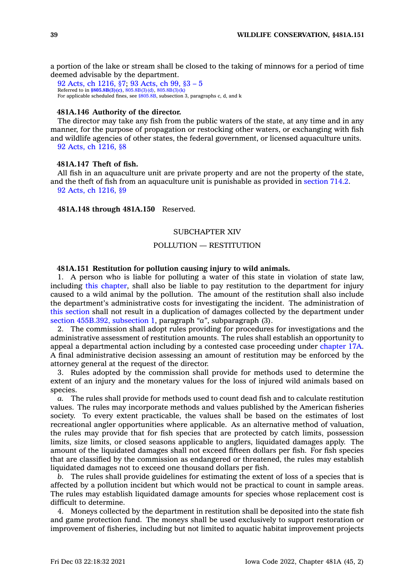<sup>a</sup> portion of the lake or stream shall be closed to the taking of minnows for <sup>a</sup> period of time deemed advisable by the department.

92 Acts, ch [1216,](https://www.legis.iowa.gov/docs/acts/1992/CH1216.pdf) §7; 93 [Acts,](https://www.legis.iowa.gov/docs/acts/1993/CH0099.pdf) ch 99, §3 – 5 Referred to in **[§805.8B\(3\)\(c\)](https://www.legis.iowa.gov/docs/code/805.8B.pdf)**, [805.8B\(3\)\(d\)](https://www.legis.iowa.gov/docs/code/805.8B.pdf), [805.8B\(3\)\(k\)](https://www.legis.iowa.gov/docs/code/805.8B.pdf) For applicable scheduled fines, see [§805.8B](https://www.legis.iowa.gov/docs/code/805.8B.pdf), subsection 3, paragraphs c, d, and k

### **481A.146 Authority of the director.**

The director may take any fish from the public waters of the state, at any time and in any manner, for the purpose of propagation or restocking other waters, or exchanging with fish and wildlife agencies of other states, the federal government, or licensed aquaculture units. 92 Acts, ch [1216,](https://www.legis.iowa.gov/docs/acts/1992/CH1216.pdf) §8

# **481A.147 Theft of fish.**

All fish in an aquaculture unit are private property and are not the property of the state, and the theft of fish from an aquaculture unit is punishable as provided in [section](https://www.legis.iowa.gov/docs/code/714.2.pdf) 714.2. 92 Acts, ch [1216,](https://www.legis.iowa.gov/docs/acts/1992/CH1216.pdf) §9

# **481A.148 through 481A.150** Reserved.

## SUBCHAPTER XIV

# POLLUTION — RESTITUTION

# **481A.151 Restitution for pollution causing injury to wild animals.**

1. A person who is liable for polluting <sup>a</sup> water of this state in violation of state law, including this [chapter](https://www.legis.iowa.gov/docs/code//481A.pdf), shall also be liable to pay restitution to the department for injury caused to <sup>a</sup> wild animal by the pollution. The amount of the restitution shall also include the department's administrative costs for investigating the incident. The administration of this [section](https://www.legis.iowa.gov/docs/code/481A.151.pdf) shall not result in <sup>a</sup> duplication of damages collected by the department under section [455B.392,](https://www.legis.iowa.gov/docs/code/455B.392.pdf) subsection 1, paragraph *"a"*, subparagraph (3).

2. The commission shall adopt rules providing for procedures for investigations and the administrative assessment of restitution amounts. The rules shall establish an opportunity to appeal <sup>a</sup> departmental action including by <sup>a</sup> contested case proceeding under [chapter](https://www.legis.iowa.gov/docs/code//17A.pdf) 17A. A final administrative decision assessing an amount of restitution may be enforced by the attorney general at the request of the director.

3. Rules adopted by the commission shall provide for methods used to determine the extent of an injury and the monetary values for the loss of injured wild animals based on species.

*a.* The rules shall provide for methods used to count dead fish and to calculate restitution values. The rules may incorporate methods and values published by the American fisheries society. To every extent practicable, the values shall be based on the estimates of lost recreational angler opportunities where applicable. As an alternative method of valuation, the rules may provide that for fish species that are protected by catch limits, possession limits, size limits, or closed seasons applicable to anglers, liquidated damages apply. The amount of the liquidated damages shall not exceed fifteen dollars per fish. For fish species that are classified by the commission as endangered or threatened, the rules may establish liquidated damages not to exceed one thousand dollars per fish.

*b.* The rules shall provide guidelines for estimating the extent of loss of <sup>a</sup> species that is affected by <sup>a</sup> pollution incident but which would not be practical to count in sample areas. The rules may establish liquidated damage amounts for species whose replacement cost is difficult to determine.

4. Moneys collected by the department in restitution shall be deposited into the state fish and game protection fund. The moneys shall be used exclusively to support restoration or improvement of fisheries, including but not limited to aquatic habitat improvement projects